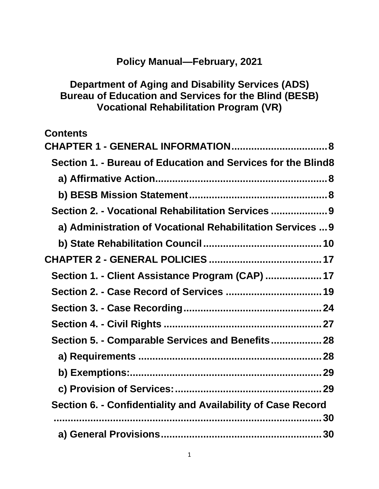# **Policy Manual—February, 2021**

## **Department of Aging and Disability Services (ADS) Bureau of Education and Services for the Blind (BESB) Vocational Rehabilitation Program (VR)**

| <b>Contents</b>                                              |
|--------------------------------------------------------------|
| <b>CHAPTER 1 - GENERAL INFORMATION 8</b>                     |
| Section 1. - Bureau of Education and Services for the Blind8 |
|                                                              |
|                                                              |
| Section 2. - Vocational Rehabilitation Services 9            |
| a) Administration of Vocational Rehabilitation Services  9   |
|                                                              |
|                                                              |
| Section 1. - Client Assistance Program (CAP)  17             |
| Section 2. - Case Record of Services  19                     |
|                                                              |
|                                                              |
| Section 5. - Comparable Services and Benefits 28             |
|                                                              |
|                                                              |
|                                                              |
| Section 6. - Confidentiality and Availability of Case Record |
|                                                              |
|                                                              |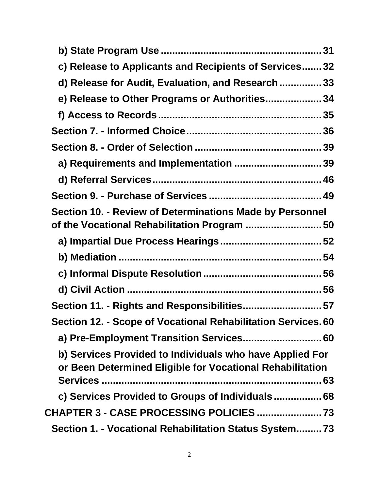| c) Release to Applicants and Recipients of Services32                                                                 |
|-----------------------------------------------------------------------------------------------------------------------|
| d) Release for Audit, Evaluation, and Research  33                                                                    |
| e) Release to Other Programs or Authorities34                                                                         |
|                                                                                                                       |
|                                                                                                                       |
|                                                                                                                       |
| a) Requirements and Implementation 39                                                                                 |
|                                                                                                                       |
|                                                                                                                       |
| Section 10. - Review of Determinations Made by Personnel<br>of the Vocational Rehabilitation Program 50               |
|                                                                                                                       |
|                                                                                                                       |
|                                                                                                                       |
|                                                                                                                       |
| Section 11. - Rights and Responsibilities57                                                                           |
| Section 12. - Scope of Vocational Rehabilitation Services. 60                                                         |
| a) Pre-Employment Transition Services 60                                                                              |
| b) Services Provided to Individuals who have Applied For<br>or Been Determined Eligible for Vocational Rehabilitation |
| c) Services Provided to Groups of Individuals 68                                                                      |
| <b>CHAPTER 3 - CASE PROCESSING POLICIES  73</b>                                                                       |
| Section 1. - Vocational Rehabilitation Status System73                                                                |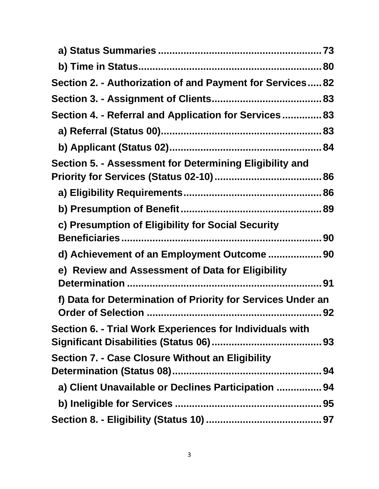| Section 2. - Authorization of and Payment for Services 82   |  |
|-------------------------------------------------------------|--|
|                                                             |  |
| Section 4. - Referral and Application for Services 83       |  |
|                                                             |  |
|                                                             |  |
| Section 5. - Assessment for Determining Eligibility and     |  |
|                                                             |  |
|                                                             |  |
|                                                             |  |
| c) Presumption of Eligibility for Social Security           |  |
|                                                             |  |
| d) Achievement of an Employment Outcome 90                  |  |
| e) Review and Assessment of Data for Eligibility            |  |
|                                                             |  |
| f) Data for Determination of Priority for Services Under an |  |
| Section 6. - Trial Work Experiences for Individuals with    |  |
|                                                             |  |
| <b>Section 7. - Case Closure Without an Eligibility</b>     |  |
|                                                             |  |
| a) Client Unavailable or Declines Participation  94         |  |
|                                                             |  |
|                                                             |  |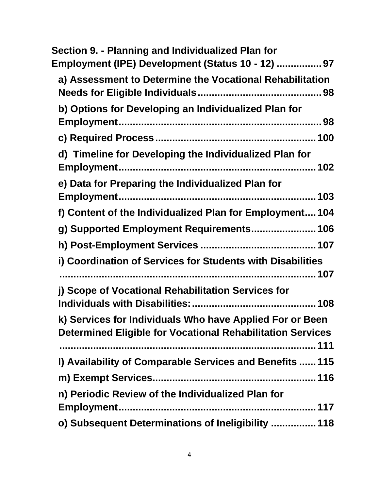| Section 9. - Planning and Individualized Plan for<br>Employment (IPE) Development (Status 10 - 12)  97                        |
|-------------------------------------------------------------------------------------------------------------------------------|
| a) Assessment to Determine the Vocational Rehabilitation                                                                      |
| b) Options for Developing an Individualized Plan for                                                                          |
|                                                                                                                               |
| d) Timeline for Developing the Individualized Plan for                                                                        |
| e) Data for Preparing the Individualized Plan for                                                                             |
| f) Content of the Individualized Plan for Employment 104                                                                      |
| g) Supported Employment Requirements 106                                                                                      |
|                                                                                                                               |
| i) Coordination of Services for Students with Disabilities                                                                    |
|                                                                                                                               |
| j) Scope of Vocational Rehabilitation Services for                                                                            |
| k) Services for Individuals Who have Applied For or Been<br><b>Determined Eligible for Vocational Rehabilitation Services</b> |
| I) Availability of Comparable Services and Benefits  115                                                                      |
|                                                                                                                               |
| n) Periodic Review of the Individualized Plan for                                                                             |
| o) Subsequent Determinations of Ineligibility  118                                                                            |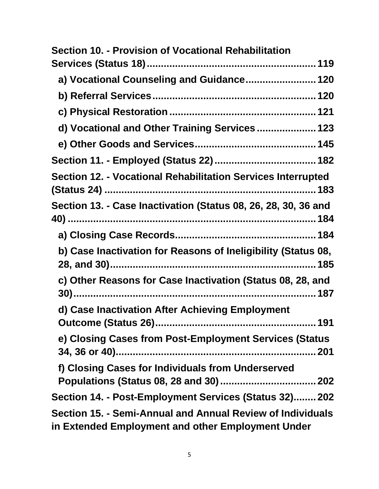| <b>Section 10. - Provision of Vocational Rehabilitation</b>                                                     |
|-----------------------------------------------------------------------------------------------------------------|
|                                                                                                                 |
| a) Vocational Counseling and Guidance 120                                                                       |
|                                                                                                                 |
|                                                                                                                 |
| d) Vocational and Other Training Services 123                                                                   |
|                                                                                                                 |
|                                                                                                                 |
| Section 12. - Vocational Rehabilitation Services Interrupted                                                    |
| Section 13. - Case Inactivation (Status 08, 26, 28, 30, 36 and                                                  |
|                                                                                                                 |
| b) Case Inactivation for Reasons of Ineligibility (Status 08,                                                   |
| c) Other Reasons for Case Inactivation (Status 08, 28, and                                                      |
| d) Case Inactivation After Achieving Employment                                                                 |
| e) Closing Cases from Post-Employment Services (Status                                                          |
| f) Closing Cases for Individuals from Underserved                                                               |
|                                                                                                                 |
| Section 14. - Post-Employment Services (Status 32) 202                                                          |
| Section 15. - Semi-Annual and Annual Review of Individuals<br>in Extended Employment and other Employment Under |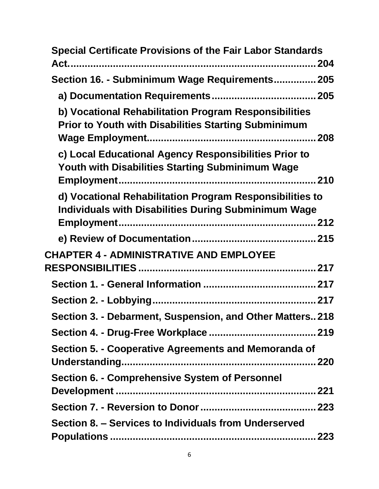| <b>Special Certificate Provisions of the Fair Labor Standards</b>                                                       |
|-------------------------------------------------------------------------------------------------------------------------|
| Section 16. - Subminimum Wage Requirements 205                                                                          |
|                                                                                                                         |
| b) Vocational Rehabilitation Program Responsibilities<br><b>Prior to Youth with Disabilities Starting Subminimum</b>    |
| c) Local Educational Agency Responsibilities Prior to<br>Youth with Disabilities Starting Subminimum Wage               |
| d) Vocational Rehabilitation Program Responsibilities to<br><b>Individuals with Disabilities During Subminimum Wage</b> |
|                                                                                                                         |
| <b>CHAPTER 4 - ADMINISTRATIVE AND EMPLOYEE</b>                                                                          |
|                                                                                                                         |
|                                                                                                                         |
| Section 3. - Debarment, Suspension, and Other Matters 218                                                               |
|                                                                                                                         |
| Section 5. - Cooperative Agreements and Memoranda of                                                                    |
| <b>Section 6. - Comprehensive System of Personnel</b>                                                                   |
|                                                                                                                         |
|                                                                                                                         |
| Section 8. - Services to Individuals from Underserved                                                                   |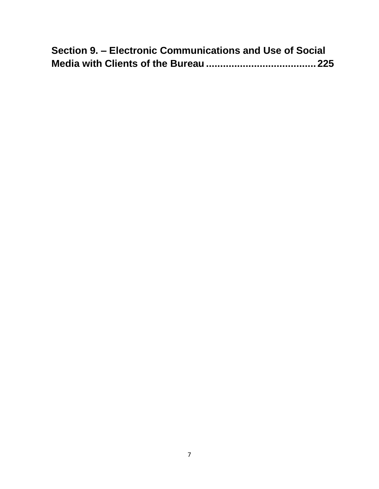| Section 9. – Electronic Communications and Use of Social |  |
|----------------------------------------------------------|--|
|                                                          |  |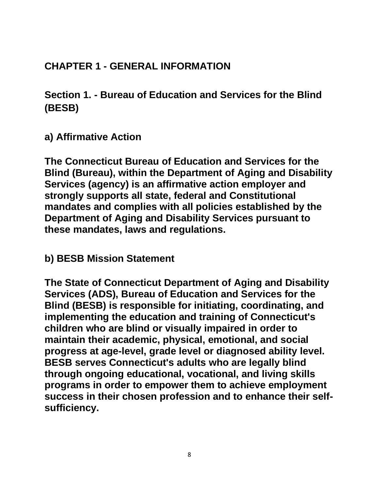# <span id="page-7-0"></span>**CHAPTER 1 - GENERAL INFORMATION**

<span id="page-7-1"></span>**Section 1. - Bureau of Education and Services for the Blind (BESB)**

<span id="page-7-2"></span>**a) Affirmative Action**

**The Connecticut Bureau of Education and Services for the Blind (Bureau), within the Department of Aging and Disability Services (agency) is an affirmative action employer and strongly supports all state, federal and Constitutional mandates and complies with all policies established by the Department of Aging and Disability Services pursuant to these mandates, laws and regulations.** 

<span id="page-7-3"></span>**b) BESB Mission Statement**

**The State of Connecticut Department of Aging and Disability Services (ADS), Bureau of Education and Services for the Blind (BESB) is responsible for initiating, coordinating, and implementing the education and training of Connecticut's children who are blind or visually impaired in order to maintain their academic, physical, emotional, and social progress at age-level, grade level or diagnosed ability level. BESB serves Connecticut's adults who are legally blind through ongoing educational, vocational, and living skills programs in order to empower them to achieve employment success in their chosen profession and to enhance their selfsufficiency.**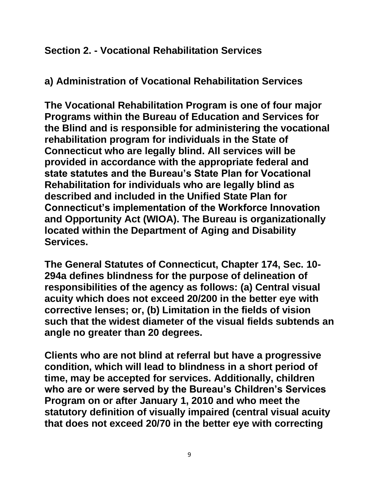## <span id="page-8-0"></span>**Section 2. - Vocational Rehabilitation Services**

<span id="page-8-1"></span>**a) Administration of Vocational Rehabilitation Services**

**The Vocational Rehabilitation Program is one of four major Programs within the Bureau of Education and Services for the Blind and is responsible for administering the vocational rehabilitation program for individuals in the State of Connecticut who are legally blind. All services will be provided in accordance with the appropriate federal and state statutes and the Bureau's State Plan for Vocational Rehabilitation for individuals who are legally blind as described and included in the Unified State Plan for Connecticut's implementation of the Workforce Innovation and Opportunity Act (WIOA). The Bureau is organizationally located within the Department of Aging and Disability Services.**

**The General Statutes of Connecticut, Chapter 174, Sec. 10- 294a defines blindness for the purpose of delineation of responsibilities of the agency as follows: (a) Central visual acuity which does not exceed 20/200 in the better eye with corrective lenses; or, (b) Limitation in the fields of vision such that the widest diameter of the visual fields subtends an angle no greater than 20 degrees.**

**Clients who are not blind at referral but have a progressive condition, which will lead to blindness in a short period of time, may be accepted for services. Additionally, children who are or were served by the Bureau's Children's Services Program on or after January 1, 2010 and who meet the statutory definition of visually impaired (central visual acuity that does not exceed 20/70 in the better eye with correcting**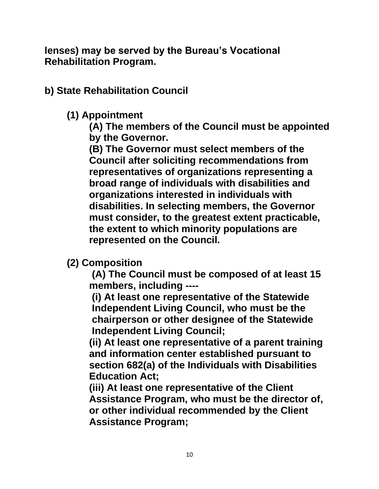**lenses) may be served by the Bureau's Vocational Rehabilitation Program.**

<span id="page-9-0"></span>**b) State Rehabilitation Council**

## **(1) Appointment**

**(A) The members of the Council must be appointed by the Governor.**

**(B) The Governor must select members of the Council after soliciting recommendations from representatives of organizations representing a broad range of individuals with disabilities and organizations interested in individuals with disabilities. In selecting members, the Governor must consider, to the greatest extent practicable, the extent to which minority populations are represented on the Council.**

**(2) Composition**

**(A) The Council must be composed of at least 15 members, including ----**

**(i) At least one representative of the Statewide Independent Living Council, who must be the chairperson or other designee of the Statewide Independent Living Council;**

**(ii) At least one representative of a parent training and information center established pursuant to section 682(a) of the Individuals with Disabilities Education Act;**

**(iii) At least one representative of the Client Assistance Program, who must be the director of, or other individual recommended by the Client Assistance Program;**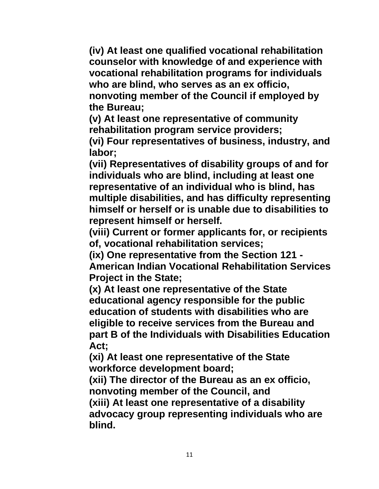**(iv) At least one qualified vocational rehabilitation counselor with knowledge of and experience with vocational rehabilitation programs for individuals who are blind, who serves as an ex officio, nonvoting member of the Council if employed by the Bureau;** 

**(v) At least one representative of community rehabilitation program service providers;**

**(vi) Four representatives of business, industry, and labor;** 

**(vii) Representatives of disability groups of and for individuals who are blind, including at least one representative of an individual who is blind, has multiple disabilities, and has difficulty representing himself or herself or is unable due to disabilities to represent himself or herself.**

**(viii) Current or former applicants for, or recipients of, vocational rehabilitation services;**

**(ix) One representative from the Section 121 - American Indian Vocational Rehabilitation Services Project in the State;** 

**(x) At least one representative of the State educational agency responsible for the public education of students with disabilities who are eligible to receive services from the Bureau and part B of the Individuals with Disabilities Education Act;**

**(xi) At least one representative of the State workforce development board;** 

**(xii) The director of the Bureau as an ex officio, nonvoting member of the Council, and**

**(xiii) At least one representative of a disability advocacy group representing individuals who are blind.**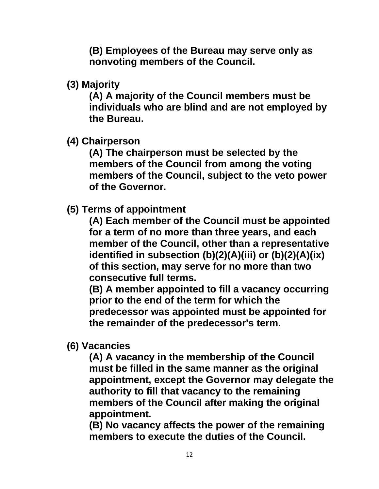**(B) Employees of the Bureau may serve only as nonvoting members of the Council.** 

**(3) Majority**

**(A) A majority of the Council members must be individuals who are blind and are not employed by the Bureau.**

**(4) Chairperson** 

**(A) The chairperson must be selected by the members of the Council from among the voting members of the Council, subject to the veto power of the Governor.** 

**(5) Terms of appointment**

**(A) Each member of the Council must be appointed for a term of no more than three years, and each member of the Council, other than a representative identified in subsection (b)(2)(A)(iii) or (b)(2)(A)(ix) of this section, may serve for no more than two consecutive full terms.**

**(B) A member appointed to fill a vacancy occurring prior to the end of the term for which the predecessor was appointed must be appointed for the remainder of the predecessor's term.**

**(6) Vacancies**

**(A) A vacancy in the membership of the Council must be filled in the same manner as the original appointment, except the Governor may delegate the authority to fill that vacancy to the remaining members of the Council after making the original appointment.**

**(B) No vacancy affects the power of the remaining members to execute the duties of the Council.**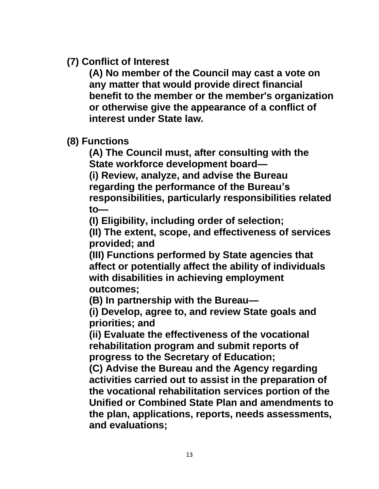**(7) Conflict of Interest**

**(A) No member of the Council may cast a vote on any matter that would provide direct financial benefit to the member or the member's organization or otherwise give the appearance of a conflict of interest under State law.**

**(8) Functions**

**(A) The Council must, after consulting with the State workforce development board—**

**(i) Review, analyze, and advise the Bureau regarding the performance of the Bureau's responsibilities, particularly responsibilities related to—**

**(I) Eligibility, including order of selection;**

**(II) The extent, scope, and effectiveness of services provided; and**

**(III) Functions performed by State agencies that affect or potentially affect the ability of individuals with disabilities in achieving employment outcomes;**

**(B) In partnership with the Bureau—**

**(i) Develop, agree to, and review State goals and priorities; and**

**(ii) Evaluate the effectiveness of the vocational rehabilitation program and submit reports of progress to the Secretary of Education;**

**(C) Advise the Bureau and the Agency regarding activities carried out to assist in the preparation of the vocational rehabilitation services portion of the Unified or Combined State Plan and amendments to the plan, applications, reports, needs assessments, and evaluations;**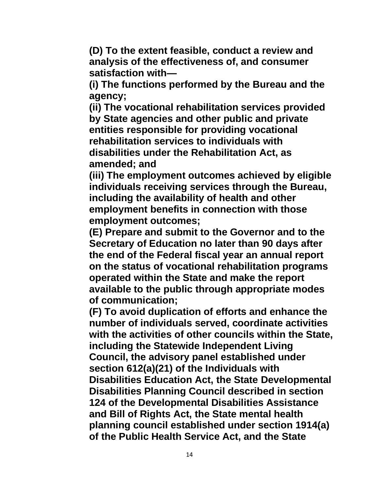**(D) To the extent feasible, conduct a review and analysis of the effectiveness of, and consumer satisfaction with—**

**(i) The functions performed by the Bureau and the agency;**

**(ii) The vocational rehabilitation services provided by State agencies and other public and private entities responsible for providing vocational rehabilitation services to individuals with disabilities under the Rehabilitation Act, as amended; and**

**(iii) The employment outcomes achieved by eligible individuals receiving services through the Bureau, including the availability of health and other employment benefits in connection with those employment outcomes;**

**(E) Prepare and submit to the Governor and to the Secretary of Education no later than 90 days after the end of the Federal fiscal year an annual report on the status of vocational rehabilitation programs operated within the State and make the report available to the public through appropriate modes of communication;**

**(F) To avoid duplication of efforts and enhance the number of individuals served, coordinate activities with the activities of other councils within the State, including the Statewide Independent Living Council, the advisory panel established under section 612(a)(21) of the Individuals with Disabilities Education Act, the State Developmental Disabilities Planning Council described in section 124 of the Developmental Disabilities Assistance and Bill of Rights Act, the State mental health planning council established under section 1914(a) of the Public Health Service Act, and the State**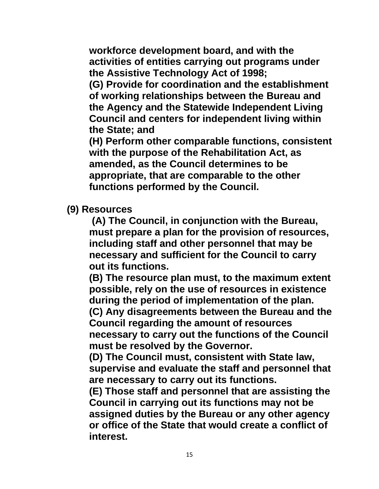**workforce development board, and with the activities of entities carrying out programs under the Assistive Technology Act of 1998;**

**(G) Provide for coordination and the establishment of working relationships between the Bureau and the Agency and the Statewide Independent Living Council and centers for independent living within the State; and**

**(H) Perform other comparable functions, consistent with the purpose of the Rehabilitation Act, as amended, as the Council determines to be appropriate, that are comparable to the other functions performed by the Council.**

**(9) Resources**

**(A) The Council, in conjunction with the Bureau, must prepare a plan for the provision of resources, including staff and other personnel that may be necessary and sufficient for the Council to carry out its functions.**

**(B) The resource plan must, to the maximum extent possible, rely on the use of resources in existence during the period of implementation of the plan. (C) Any disagreements between the Bureau and the Council regarding the amount of resources necessary to carry out the functions of the Council must be resolved by the Governor.**

**(D) The Council must, consistent with State law, supervise and evaluate the staff and personnel that are necessary to carry out its functions.**

**(E) Those staff and personnel that are assisting the Council in carrying out its functions may not be assigned duties by the Bureau or any other agency or office of the State that would create a conflict of interest.**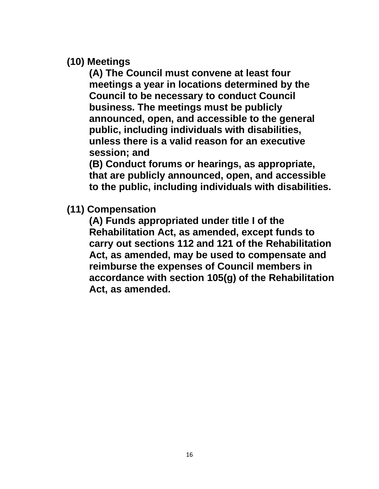**(10) Meetings** 

**(A) The Council must convene at least four meetings a year in locations determined by the Council to be necessary to conduct Council business. The meetings must be publicly announced, open, and accessible to the general public, including individuals with disabilities, unless there is a valid reason for an executive session; and**

**(B) Conduct forums or hearings, as appropriate, that are publicly announced, open, and accessible to the public, including individuals with disabilities.**

**(11) Compensation**

**(A) Funds appropriated under title I of the Rehabilitation Act, as amended, except funds to carry out sections 112 and 121 of the Rehabilitation Act, as amended, may be used to compensate and reimburse the expenses of Council members in accordance with section 105(g) of the Rehabilitation Act, as amended.**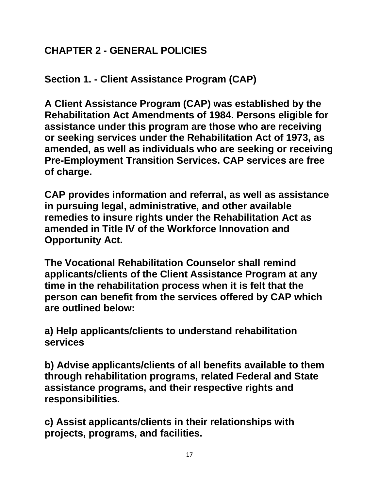# <span id="page-16-0"></span>**CHAPTER 2 - GENERAL POLICIES**

<span id="page-16-1"></span>**Section 1. - Client Assistance Program (CAP)**

**A Client Assistance Program (CAP) was established by the Rehabilitation Act Amendments of 1984. Persons eligible for assistance under this program are those who are receiving or seeking services under the Rehabilitation Act of 1973, as amended, as well as individuals who are seeking or receiving Pre-Employment Transition Services. CAP services are free of charge.**

**CAP provides information and referral, as well as assistance in pursuing legal, administrative, and other available remedies to insure rights under the Rehabilitation Act as amended in Title IV of the Workforce Innovation and Opportunity Act.**

**The Vocational Rehabilitation Counselor shall remind applicants/clients of the Client Assistance Program at any time in the rehabilitation process when it is felt that the person can benefit from the services offered by CAP which are outlined below:**

**a) Help applicants/clients to understand rehabilitation services**

**b) Advise applicants/clients of all benefits available to them through rehabilitation programs, related Federal and State assistance programs, and their respective rights and responsibilities.**

**c) Assist applicants/clients in their relationships with projects, programs, and facilities.**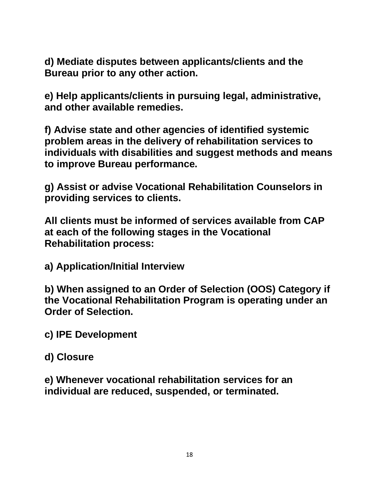**d) Mediate disputes between applicants/clients and the Bureau prior to any other action.**

**e) Help applicants/clients in pursuing legal, administrative, and other available remedies.**

**f) Advise state and other agencies of identified systemic problem areas in the delivery of rehabilitation services to individuals with disabilities and suggest methods and means to improve Bureau performance.**

**g) Assist or advise Vocational Rehabilitation Counselors in providing services to clients.**

**All clients must be informed of services available from CAP at each of the following stages in the Vocational Rehabilitation process:**

**a) Application/Initial Interview**

**b) When assigned to an Order of Selection (OOS) Category if the Vocational Rehabilitation Program is operating under an Order of Selection.**

**c) IPE Development**

**d) Closure**

**e) Whenever vocational rehabilitation services for an individual are reduced, suspended, or terminated.**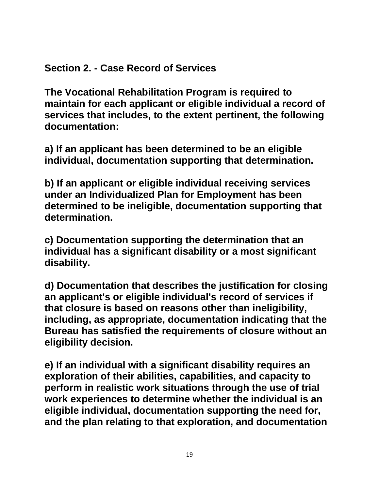# <span id="page-18-0"></span>**Section 2. - Case Record of Services**

**The Vocational Rehabilitation Program is required to maintain for each applicant or eligible individual a record of services that includes, to the extent pertinent, the following documentation:**

**a) If an applicant has been determined to be an eligible individual, documentation supporting that determination.**

**b) If an applicant or eligible individual receiving services under an Individualized Plan for Employment has been determined to be ineligible, documentation supporting that determination.**

**c) Documentation supporting the determination that an individual has a significant disability or a most significant disability.**

**d) Documentation that describes the justification for closing an applicant's or eligible individual's record of services if that closure is based on reasons other than ineligibility, including, as appropriate, documentation indicating that the Bureau has satisfied the requirements of closure without an eligibility decision.**

**e) If an individual with a significant disability requires an exploration of their abilities, capabilities, and capacity to perform in realistic work situations through the use of trial work experiences to determine whether the individual is an eligible individual, documentation supporting the need for, and the plan relating to that exploration, and documentation**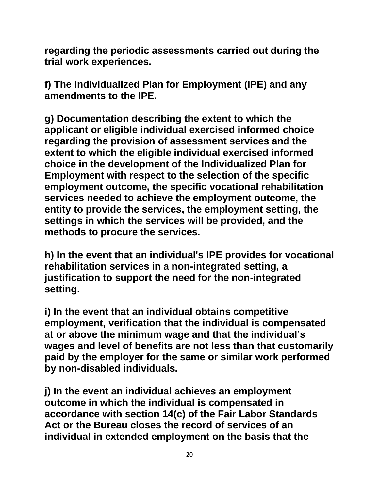**regarding the periodic assessments carried out during the trial work experiences.**

**f) The Individualized Plan for Employment (IPE) and any amendments to the IPE.**

**g) Documentation describing the extent to which the applicant or eligible individual exercised informed choice regarding the provision of assessment services and the extent to which the eligible individual exercised informed choice in the development of the Individualized Plan for Employment with respect to the selection of the specific employment outcome, the specific vocational rehabilitation services needed to achieve the employment outcome, the entity to provide the services, the employment setting, the settings in which the services will be provided, and the methods to procure the services.**

**h) In the event that an individual's IPE provides for vocational rehabilitation services in a non-integrated setting, a justification to support the need for the non-integrated setting.**

**i) In the event that an individual obtains competitive employment, verification that the individual is compensated at or above the minimum wage and that the individual's wages and level of benefits are not less than that customarily paid by the employer for the same or similar work performed by non-disabled individuals.**

**j) In the event an individual achieves an employment outcome in which the individual is compensated in accordance with section 14(c) of the Fair Labor Standards Act or the Bureau closes the record of services of an individual in extended employment on the basis that the**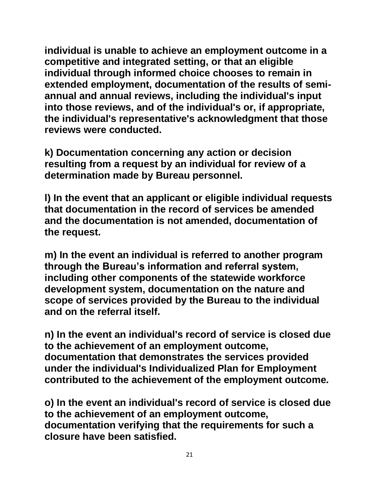**individual is unable to achieve an employment outcome in a competitive and integrated setting, or that an eligible individual through informed choice chooses to remain in extended employment, documentation of the results of semiannual and annual reviews, including the individual's input into those reviews, and of the individual's or, if appropriate, the individual's representative's acknowledgment that those reviews were conducted.**

**k) Documentation concerning any action or decision resulting from a request by an individual for review of a determination made by Bureau personnel.**

**l) In the event that an applicant or eligible individual requests that documentation in the record of services be amended and the documentation is not amended, documentation of the request.** 

**m) In the event an individual is referred to another program through the Bureau's information and referral system, including other components of the statewide workforce development system, documentation on the nature and scope of services provided by the Bureau to the individual and on the referral itself.**

**n) In the event an individual's record of service is closed due to the achievement of an employment outcome, documentation that demonstrates the services provided under the individual's Individualized Plan for Employment contributed to the achievement of the employment outcome.** 

**o) In the event an individual's record of service is closed due to the achievement of an employment outcome, documentation verifying that the requirements for such a closure have been satisfied.**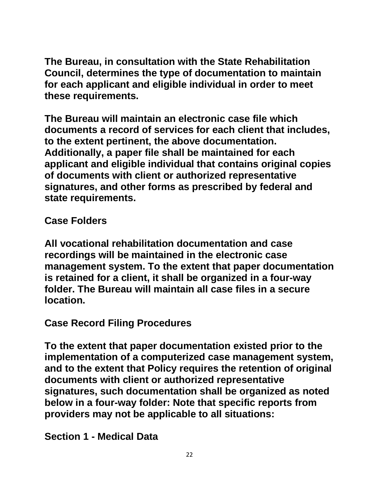**The Bureau, in consultation with the State Rehabilitation Council, determines the type of documentation to maintain for each applicant and eligible individual in order to meet these requirements.**

**The Bureau will maintain an electronic case file which documents a record of services for each client that includes, to the extent pertinent, the above documentation. Additionally, a paper file shall be maintained for each applicant and eligible individual that contains original copies of documents with client or authorized representative signatures, and other forms as prescribed by federal and state requirements.**

**Case Folders**

**All vocational rehabilitation documentation and case recordings will be maintained in the electronic case management system. To the extent that paper documentation is retained for a client, it shall be organized in a four-way folder. The Bureau will maintain all case files in a secure location.**

**Case Record Filing Procedures**

**To the extent that paper documentation existed prior to the implementation of a computerized case management system, and to the extent that Policy requires the retention of original documents with client or authorized representative signatures, such documentation shall be organized as noted below in a four-way folder: Note that specific reports from providers may not be applicable to all situations:**

**Section 1 - Medical Data**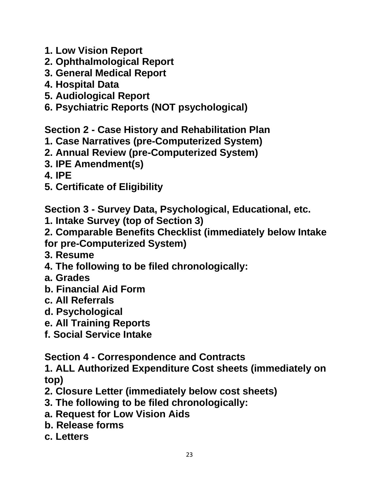- **1. Low Vision Report**
- **2. Ophthalmological Report**
- **3. General Medical Report**
- **4. Hospital Data**
- **5. Audiological Report**
- **6. Psychiatric Reports (NOT psychological)**

**Section 2 - Case History and Rehabilitation Plan**

- **1. Case Narratives (pre-Computerized System)**
- **2. Annual Review (pre-Computerized System)**
- **3. IPE Amendment(s)**
- **4. IPE**
- **5. Certificate of Eligibility**

**Section 3 - Survey Data, Psychological, Educational, etc.**

- **1. Intake Survey (top of Section 3)**
- **2. Comparable Benefits Checklist (immediately below Intake for pre-Computerized System)**
- **3. Resume**
- **4. The following to be filed chronologically:**
- **a. Grades**
- **b. Financial Aid Form**
- **c. All Referrals**
- **d. Psychological**
- **e. All Training Reports**
- **f. Social Service Intake**

**Section 4 - Correspondence and Contracts**

**1. ALL Authorized Expenditure Cost sheets (immediately on top)** 

- **2. Closure Letter (immediately below cost sheets)**
- **3. The following to be filed chronologically:**
- **a. Request for Low Vision Aids**
- **b. Release forms**
- **c. Letters**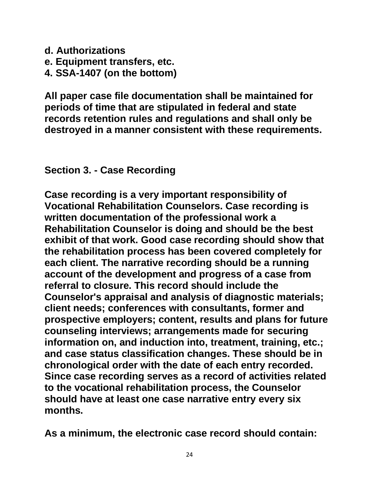- **d. Authorizations**
- **e. Equipment transfers, etc.**
- **4. SSA-1407 (on the bottom)**

**All paper case file documentation shall be maintained for periods of time that are stipulated in federal and state records retention rules and regulations and shall only be destroyed in a manner consistent with these requirements.**

<span id="page-23-0"></span>**Section 3. - Case Recording**

**Case recording is a very important responsibility of Vocational Rehabilitation Counselors. Case recording is written documentation of the professional work a Rehabilitation Counselor is doing and should be the best exhibit of that work. Good case recording should show that the rehabilitation process has been covered completely for each client. The narrative recording should be a running account of the development and progress of a case from referral to closure. This record should include the Counselor's appraisal and analysis of diagnostic materials; client needs; conferences with consultants, former and prospective employers; content, results and plans for future counseling interviews; arrangements made for securing information on, and induction into, treatment, training, etc.; and case status classification changes. These should be in chronological order with the date of each entry recorded. Since case recording serves as a record of activities related to the vocational rehabilitation process, the Counselor should have at least one case narrative entry every six months.**

**As a minimum, the electronic case record should contain:**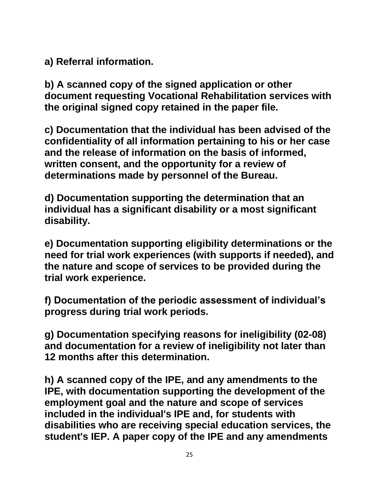**a) Referral information.**

**b) A scanned copy of the signed application or other document requesting Vocational Rehabilitation services with the original signed copy retained in the paper file.**

**c) Documentation that the individual has been advised of the confidentiality of all information pertaining to his or her case and the release of information on the basis of informed, written consent, and the opportunity for a review of determinations made by personnel of the Bureau.**

**d) Documentation supporting the determination that an individual has a significant disability or a most significant disability.**

**e) Documentation supporting eligibility determinations or the need for trial work experiences (with supports if needed), and the nature and scope of services to be provided during the trial work experience.**

**f) Documentation of the periodic assessment of individual's progress during trial work periods.**

**g) Documentation specifying reasons for ineligibility (02-08) and documentation for a review of ineligibility not later than 12 months after this determination.**

**h) A scanned copy of the IPE, and any amendments to the IPE, with documentation supporting the development of the employment goal and the nature and scope of services included in the individual's IPE and, for students with disabilities who are receiving special education services, the student's IEP. A paper copy of the IPE and any amendments**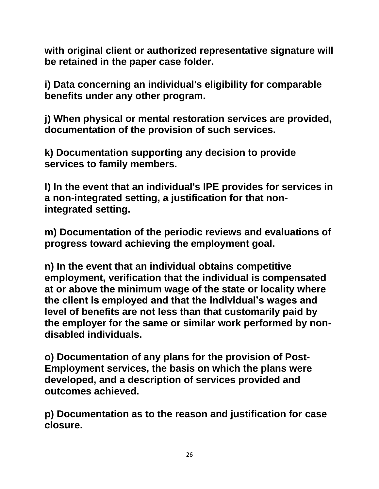**with original client or authorized representative signature will be retained in the paper case folder.** 

**i) Data concerning an individual's eligibility for comparable benefits under any other program.**

**j) When physical or mental restoration services are provided, documentation of the provision of such services.**

**k) Documentation supporting any decision to provide services to family members.**

**l) In the event that an individual's IPE provides for services in a non-integrated setting, a justification for that nonintegrated setting.**

**m) Documentation of the periodic reviews and evaluations of progress toward achieving the employment goal.**

**n) In the event that an individual obtains competitive employment, verification that the individual is compensated at or above the minimum wage of the state or locality where the client is employed and that the individual's wages and level of benefits are not less than that customarily paid by the employer for the same or similar work performed by nondisabled individuals.**

**o) Documentation of any plans for the provision of Post-Employment services, the basis on which the plans were developed, and a description of services provided and outcomes achieved.**

**p) Documentation as to the reason and justification for case closure.**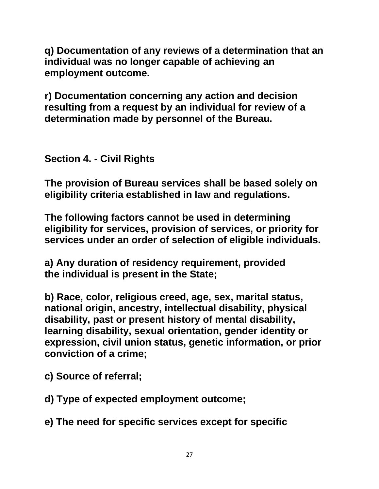**q) Documentation of any reviews of a determination that an individual was no longer capable of achieving an employment outcome.**

**r) Documentation concerning any action and decision resulting from a request by an individual for review of a determination made by personnel of the Bureau.**

<span id="page-26-0"></span>**Section 4. - Civil Rights**

**The provision of Bureau services shall be based solely on eligibility criteria established in law and regulations.** 

**The following factors cannot be used in determining eligibility for services, provision of services, or priority for services under an order of selection of eligible individuals.** 

**a) Any duration of residency requirement, provided the individual is present in the State;**

**b) Race, color, religious creed, age, sex, marital status, national origin, ancestry, intellectual disability, physical disability, past or present history of mental disability, learning disability, sexual orientation, gender identity or expression, civil union status, genetic information, or prior conviction of a crime;**

**c) Source of referral;**

**d) Type of expected employment outcome;**

**e) The need for specific services except for specific**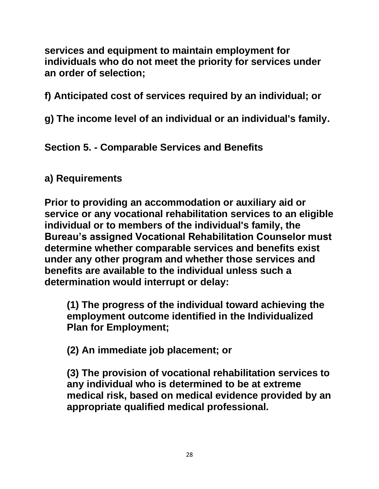**services and equipment to maintain employment for individuals who do not meet the priority for services under an order of selection;** 

**f) Anticipated cost of services required by an individual; or**

**g) The income level of an individual or an individual's family.**

<span id="page-27-0"></span>**Section 5. - Comparable Services and Benefits**

## <span id="page-27-1"></span>**a) Requirements**

**Prior to providing an accommodation or auxiliary aid or service or any vocational rehabilitation services to an eligible individual or to members of the individual's family, the Bureau's assigned Vocational Rehabilitation Counselor must determine whether comparable services and benefits exist under any other program and whether those services and benefits are available to the individual unless such a determination would interrupt or delay:**

**(1) The progress of the individual toward achieving the employment outcome identified in the Individualized Plan for Employment;**

**(2) An immediate job placement; or**

**(3) The provision of vocational rehabilitation services to any individual who is determined to be at extreme medical risk, based on medical evidence provided by an appropriate qualified medical professional.**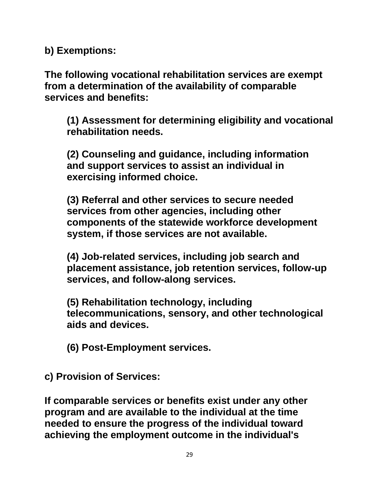<span id="page-28-0"></span>**b) Exemptions:**

**The following vocational rehabilitation services are exempt from a determination of the availability of comparable services and benefits:**

**(1) Assessment for determining eligibility and vocational rehabilitation needs.**

**(2) Counseling and guidance, including information and support services to assist an individual in exercising informed choice.**

**(3) Referral and other services to secure needed services from other agencies, including other components of the statewide workforce development system, if those services are not available.**

**(4) Job-related services, including job search and placement assistance, job retention services, follow-up services, and follow-along services.**

**(5) Rehabilitation technology, including telecommunications, sensory, and other technological aids and devices.**

**(6) Post-Employment services.**

<span id="page-28-1"></span>**c) Provision of Services:**

**If comparable services or benefits exist under any other program and are available to the individual at the time needed to ensure the progress of the individual toward achieving the employment outcome in the individual's**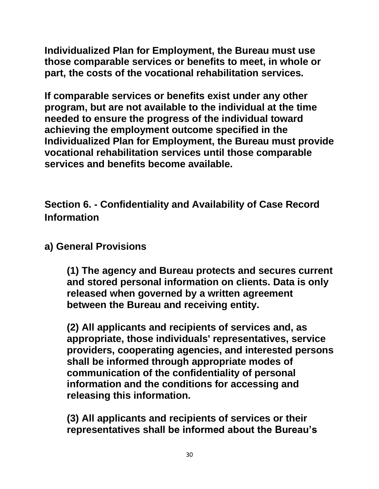**Individualized Plan for Employment, the Bureau must use those comparable services or benefits to meet, in whole or part, the costs of the vocational rehabilitation services.**

**If comparable services or benefits exist under any other program, but are not available to the individual at the time needed to ensure the progress of the individual toward achieving the employment outcome specified in the Individualized Plan for Employment, the Bureau must provide vocational rehabilitation services until those comparable services and benefits become available.**

<span id="page-29-0"></span>**Section 6. - Confidentiality and Availability of Case Record Information**

<span id="page-29-1"></span>**a) General Provisions** 

**(1) The agency and Bureau protects and secures current and stored personal information on clients. Data is only released when governed by a written agreement between the Bureau and receiving entity.**

**(2) All applicants and recipients of services and, as appropriate, those individuals' representatives, service providers, cooperating agencies, and interested persons shall be informed through appropriate modes of communication of the confidentiality of personal information and the conditions for accessing and releasing this information.**

**(3) All applicants and recipients of services or their representatives shall be informed about the Bureau's**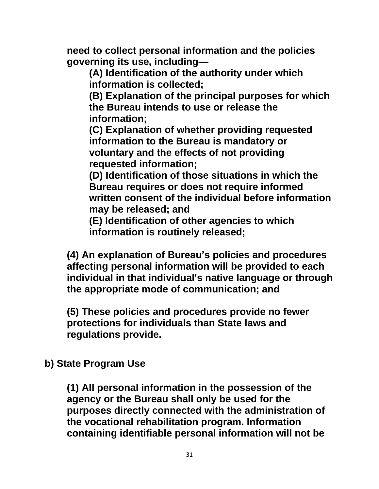**need to collect personal information and the policies governing its use, including—**

**(A) Identification of the authority under which information is collected;**

**(B) Explanation of the principal purposes for which the Bureau intends to use or release the information;**

**(C) Explanation of whether providing requested information to the Bureau is mandatory or voluntary and the effects of not providing requested information;**

**(D) Identification of those situations in which the Bureau requires or does not require informed written consent of the individual before information may be released; and**

**(E) Identification of other agencies to which information is routinely released;**

**(4) An explanation of Bureau's policies and procedures affecting personal information will be provided to each individual in that individual's native language or through the appropriate mode of communication; and**

**(5) These policies and procedures provide no fewer protections for individuals than State laws and regulations provide.**

<span id="page-30-0"></span>**b) State Program Use**

**(1) All personal information in the possession of the agency or the Bureau shall only be used for the purposes directly connected with the administration of the vocational rehabilitation program. Information containing identifiable personal information will not be**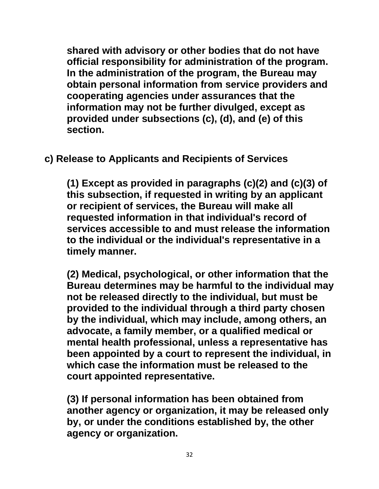**shared with advisory or other bodies that do not have official responsibility for administration of the program. In the administration of the program, the Bureau may obtain personal information from service providers and cooperating agencies under assurances that the information may not be further divulged, except as provided under subsections (c), (d), and (e) of this section.**

<span id="page-31-0"></span>**c) Release to Applicants and Recipients of Services** 

**(1) Except as provided in paragraphs (c)(2) and (c)(3) of this subsection, if requested in writing by an applicant or recipient of services, the Bureau will make all requested information in that individual's record of services accessible to and must release the information to the individual or the individual's representative in a timely manner.**

**(2) Medical, psychological, or other information that the Bureau determines may be harmful to the individual may not be released directly to the individual, but must be provided to the individual through a third party chosen by the individual, which may include, among others, an advocate, a family member, or a qualified medical or mental health professional, unless a representative has been appointed by a court to represent the individual, in which case the information must be released to the court appointed representative.**

**(3) If personal information has been obtained from another agency or organization, it may be released only by, or under the conditions established by, the other agency or organization.**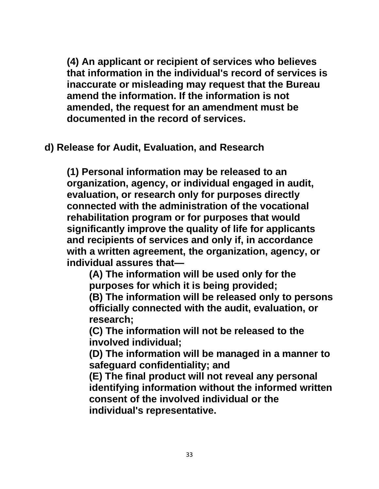**(4) An applicant or recipient of services who believes that information in the individual's record of services is inaccurate or misleading may request that the Bureau amend the information. If the information is not amended, the request for an amendment must be documented in the record of services.**

<span id="page-32-0"></span>**d) Release for Audit, Evaluation, and Research**

**(1) Personal information may be released to an organization, agency, or individual engaged in audit, evaluation, or research only for purposes directly connected with the administration of the vocational rehabilitation program or for purposes that would significantly improve the quality of life for applicants and recipients of services and only if, in accordance with a written agreement, the organization, agency, or individual assures that—**

**(A) The information will be used only for the purposes for which it is being provided;**

**(B) The information will be released only to persons officially connected with the audit, evaluation, or research;**

**(C) The information will not be released to the involved individual;**

**(D) The information will be managed in a manner to safeguard confidentiality; and**

**(E) The final product will not reveal any personal identifying information without the informed written consent of the involved individual or the individual's representative.**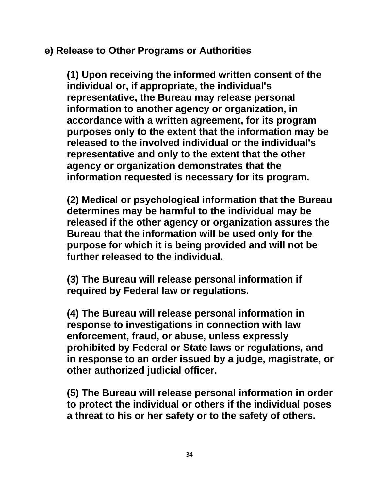### <span id="page-33-0"></span>**e) Release to Other Programs or Authorities**

**(1) Upon receiving the informed written consent of the individual or, if appropriate, the individual's representative, the Bureau may release personal information to another agency or organization, in accordance with a written agreement, for its program purposes only to the extent that the information may be released to the involved individual or the individual's representative and only to the extent that the other agency or organization demonstrates that the information requested is necessary for its program.**

**(2) Medical or psychological information that the Bureau determines may be harmful to the individual may be released if the other agency or organization assures the Bureau that the information will be used only for the purpose for which it is being provided and will not be further released to the individual.**

**(3) The Bureau will release personal information if required by Federal law or regulations.**

**(4) The Bureau will release personal information in response to investigations in connection with law enforcement, fraud, or abuse, unless expressly prohibited by Federal or State laws or regulations, and in response to an order issued by a judge, magistrate, or other authorized judicial officer.**

**(5) The Bureau will release personal information in order to protect the individual or others if the individual poses a threat to his or her safety or to the safety of others.**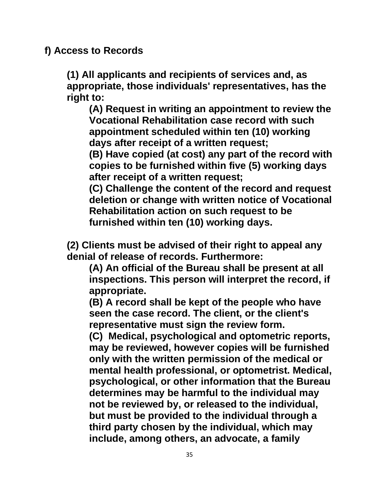### <span id="page-34-0"></span>**f) Access to Records**

**(1) All applicants and recipients of services and, as appropriate, those individuals' representatives, has the right to:** 

**(A) Request in writing an appointment to review the Vocational Rehabilitation case record with such appointment scheduled within ten (10) working days after receipt of a written request;** 

**(B) Have copied (at cost) any part of the record with copies to be furnished within five (5) working days after receipt of a written request;** 

**(C) Challenge the content of the record and request deletion or change with written notice of Vocational Rehabilitation action on such request to be furnished within ten (10) working days.**

**(2) Clients must be advised of their right to appeal any denial of release of records. Furthermore:**

**(A) An official of the Bureau shall be present at all inspections. This person will interpret the record, if appropriate.**

**(B) A record shall be kept of the people who have seen the case record. The client, or the client's representative must sign the review form.**

**(C) Medical, psychological and optometric reports, may be reviewed, however copies will be furnished only with the written permission of the medical or mental health professional, or optometrist. Medical, psychological, or other information that the Bureau determines may be harmful to the individual may not be reviewed by, or released to the individual, but must be provided to the individual through a third party chosen by the individual, which may include, among others, an advocate, a family**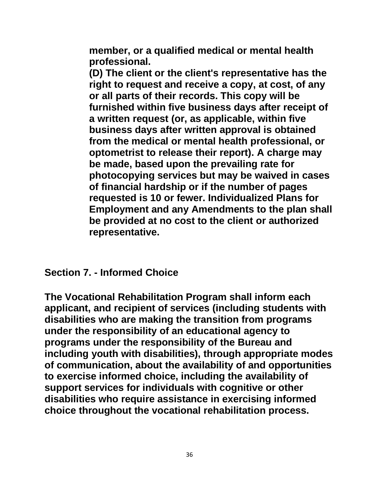**member, or a qualified medical or mental health professional.** 

**(D) The client or the client's representative has the right to request and receive a copy, at cost, of any or all parts of their records. This copy will be furnished within five business days after receipt of a written request (or, as applicable, within five business days after written approval is obtained from the medical or mental health professional, or optometrist to release their report). A charge may be made, based upon the prevailing rate for photocopying services but may be waived in cases of financial hardship or if the number of pages requested is 10 or fewer. Individualized Plans for Employment and any Amendments to the plan shall be provided at no cost to the client or authorized representative.**

<span id="page-35-0"></span>**Section 7. - Informed Choice**

**The Vocational Rehabilitation Program shall inform each applicant, and recipient of services (including students with disabilities who are making the transition from programs under the responsibility of an educational agency to programs under the responsibility of the Bureau and including youth with disabilities), through appropriate modes of communication, about the availability of and opportunities to exercise informed choice, including the availability of support services for individuals with cognitive or other disabilities who require assistance in exercising informed choice throughout the vocational rehabilitation process.**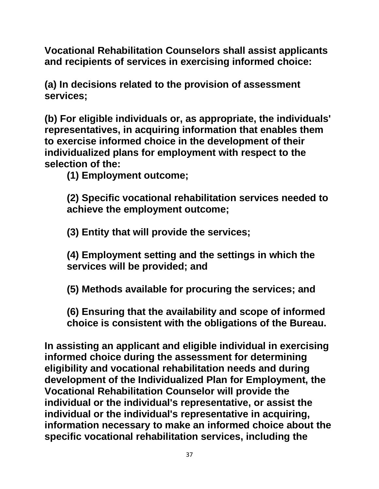**Vocational Rehabilitation Counselors shall assist applicants and recipients of services in exercising informed choice:** 

**(a) In decisions related to the provision of assessment services;**

**(b) For eligible individuals or, as appropriate, the individuals' representatives, in acquiring information that enables them to exercise informed choice in the development of their individualized plans for employment with respect to the selection of the:**

**(1) Employment outcome;**

**(2) Specific vocational rehabilitation services needed to achieve the employment outcome;**

**(3) Entity that will provide the services;** 

**(4) Employment setting and the settings in which the services will be provided; and** 

**(5) Methods available for procuring the services; and** 

**(6) Ensuring that the availability and scope of informed choice is consistent with the obligations of the Bureau.**

**In assisting an applicant and eligible individual in exercising informed choice during the assessment for determining eligibility and vocational rehabilitation needs and during development of the Individualized Plan for Employment, the Vocational Rehabilitation Counselor will provide the individual or the individual's representative, or assist the individual or the individual's representative in acquiring, information necessary to make an informed choice about the specific vocational rehabilitation services, including the**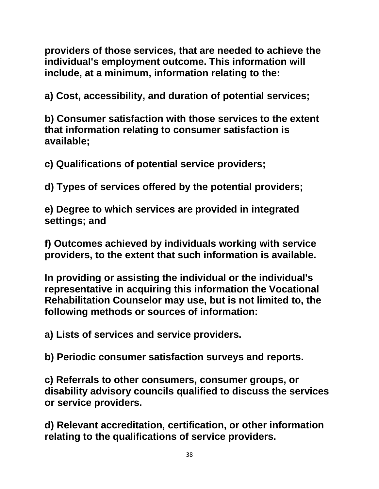**providers of those services, that are needed to achieve the individual's employment outcome. This information will include, at a minimum, information relating to the:**

**a) Cost, accessibility, and duration of potential services;** 

**b) Consumer satisfaction with those services to the extent that information relating to consumer satisfaction is available;** 

**c) Qualifications of potential service providers;**

**d) Types of services offered by the potential providers;**

**e) Degree to which services are provided in integrated settings; and**

**f) Outcomes achieved by individuals working with service providers, to the extent that such information is available.**

**In providing or assisting the individual or the individual's representative in acquiring this information the Vocational Rehabilitation Counselor may use, but is not limited to, the following methods or sources of information:**

**a) Lists of services and service providers.**

**b) Periodic consumer satisfaction surveys and reports.**

**c) Referrals to other consumers, consumer groups, or disability advisory councils qualified to discuss the services or service providers.**

**d) Relevant accreditation, certification, or other information relating to the qualifications of service providers.**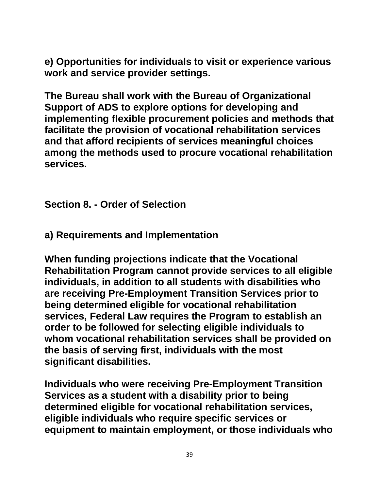**e) Opportunities for individuals to visit or experience various work and service provider settings.**

**The Bureau shall work with the Bureau of Organizational Support of ADS to explore options for developing and implementing flexible procurement policies and methods that facilitate the provision of vocational rehabilitation services and that afford recipients of services meaningful choices among the methods used to procure vocational rehabilitation services.**

**Section 8. - Order of Selection**

**a) Requirements and Implementation**

**When funding projections indicate that the Vocational Rehabilitation Program cannot provide services to all eligible individuals, in addition to all students with disabilities who are receiving Pre-Employment Transition Services prior to being determined eligible for vocational rehabilitation services, Federal Law requires the Program to establish an order to be followed for selecting eligible individuals to whom vocational rehabilitation services shall be provided on the basis of serving first, individuals with the most significant disabilities.** 

**Individuals who were receiving Pre-Employment Transition Services as a student with a disability prior to being determined eligible for vocational rehabilitation services, eligible individuals who require specific services or equipment to maintain employment, or those individuals who**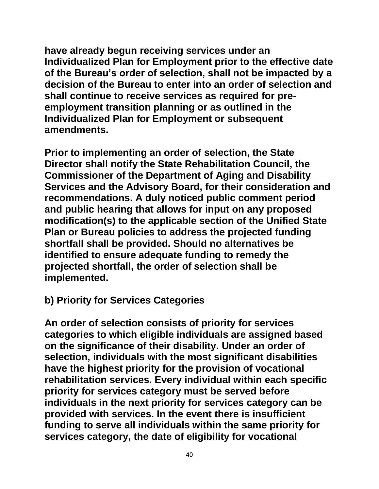**have already begun receiving services under an Individualized Plan for Employment prior to the effective date of the Bureau's order of selection, shall not be impacted by a decision of the Bureau to enter into an order of selection and shall continue to receive services as required for preemployment transition planning or as outlined in the Individualized Plan for Employment or subsequent amendments.**

**Prior to implementing an order of selection, the State Director shall notify the State Rehabilitation Council, the Commissioner of the Department of Aging and Disability Services and the Advisory Board, for their consideration and recommendations. A duly noticed public comment period and public hearing that allows for input on any proposed modification(s) to the applicable section of the Unified State Plan or Bureau policies to address the projected funding shortfall shall be provided. Should no alternatives be identified to ensure adequate funding to remedy the projected shortfall, the order of selection shall be implemented.**

#### **b) Priority for Services Categories**

**An order of selection consists of priority for services categories to which eligible individuals are assigned based on the significance of their disability. Under an order of selection, individuals with the most significant disabilities have the highest priority for the provision of vocational rehabilitation services. Every individual within each specific priority for services category must be served before individuals in the next priority for services category can be provided with services. In the event there is insufficient funding to serve all individuals within the same priority for services category, the date of eligibility for vocational**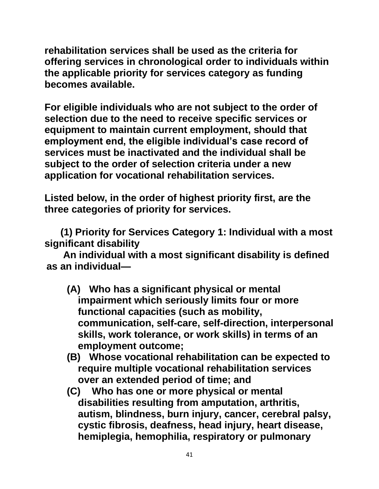**rehabilitation services shall be used as the criteria for offering services in chronological order to individuals within the applicable priority for services category as funding becomes available.** 

**For eligible individuals who are not subject to the order of selection due to the need to receive specific services or equipment to maintain current employment, should that employment end, the eligible individual's case record of services must be inactivated and the individual shall be subject to the order of selection criteria under a new application for vocational rehabilitation services.** 

**Listed below, in the order of highest priority first, are the three categories of priority for services.**

 **(1) Priority for Services Category 1: Individual with a most significant disability**

 **An individual with a most significant disability is defined as an individual—**

- **(A) Who has a significant physical or mental impairment which seriously limits four or more functional capacities (such as mobility, communication, self-care, self-direction, interpersonal skills, work tolerance, or work skills) in terms of an employment outcome;**
- **(B) Whose vocational rehabilitation can be expected to require multiple vocational rehabilitation services over an extended period of time; and**
- **(C) Who has one or more physical or mental disabilities resulting from amputation, arthritis, autism, blindness, burn injury, cancer, cerebral palsy, cystic fibrosis, deafness, head injury, heart disease, hemiplegia, hemophilia, respiratory or pulmonary**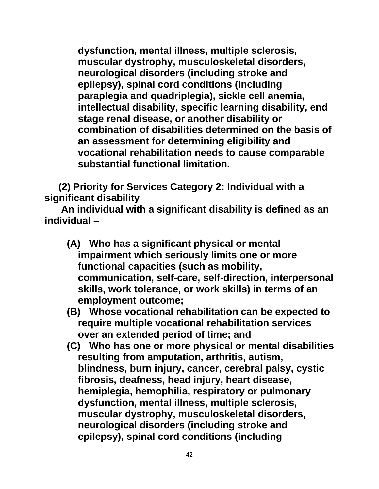**dysfunction, mental illness, multiple sclerosis, muscular dystrophy, musculoskeletal disorders, neurological disorders (including stroke and epilepsy), spinal cord conditions (including paraplegia and quadriplegia), sickle cell anemia, intellectual disability, specific learning disability, end stage renal disease, or another disability or combination of disabilities determined on the basis of an assessment for determining eligibility and vocational rehabilitation needs to cause comparable substantial functional limitation.**

 **(2) Priority for Services Category 2: Individual with a significant disability**

 **An individual with a significant disability is defined as an individual –**

- **(A) Who has a significant physical or mental impairment which seriously limits one or more functional capacities (such as mobility, communication, self-care, self-direction, interpersonal skills, work tolerance, or work skills) in terms of an employment outcome;**
- **(B) Whose vocational rehabilitation can be expected to require multiple vocational rehabilitation services over an extended period of time; and**
- **(C) Who has one or more physical or mental disabilities resulting from amputation, arthritis, autism, blindness, burn injury, cancer, cerebral palsy, cystic fibrosis, deafness, head injury, heart disease, hemiplegia, hemophilia, respiratory or pulmonary dysfunction, mental illness, multiple sclerosis, muscular dystrophy, musculoskeletal disorders, neurological disorders (including stroke and epilepsy), spinal cord conditions (including**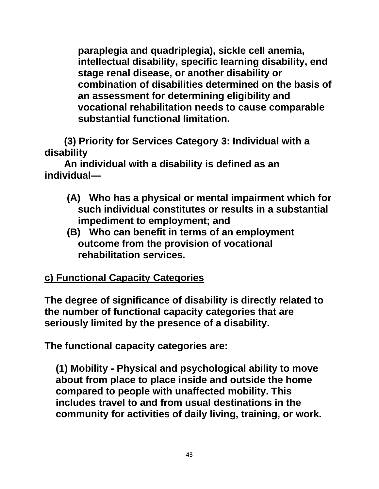**paraplegia and quadriplegia), sickle cell anemia, intellectual disability, specific learning disability, end stage renal disease, or another disability or combination of disabilities determined on the basis of an assessment for determining eligibility and vocational rehabilitation needs to cause comparable substantial functional limitation.**

 **(3) Priority for Services Category 3: Individual with a disability**

 **An individual with a disability is defined as an individual—**

- **(A) Who has a physical or mental impairment which for such individual constitutes or results in a substantial impediment to employment; and**
- **(B) Who can benefit in terms of an employment outcome from the provision of vocational rehabilitation services.**

# **c) Functional Capacity Categories**

**The degree of significance of disability is directly related to the number of functional capacity categories that are seriously limited by the presence of a disability.**

**The functional capacity categories are:**

**(1) Mobility - Physical and psychological ability to move about from place to place inside and outside the home compared to people with unaffected mobility. This includes travel to and from usual destinations in the community for activities of daily living, training, or work.**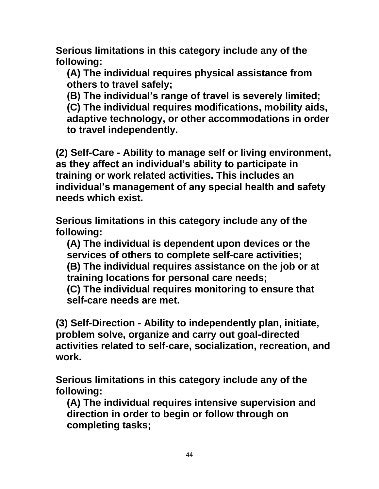**Serious limitations in this category include any of the following:**

**(A) The individual requires physical assistance from others to travel safely;**

**(B) The individual's range of travel is severely limited; (C) The individual requires modifications, mobility aids, adaptive technology, or other accommodations in order to travel independently.**

**(2) Self-Care - Ability to manage self or living environment, as they affect an individual's ability to participate in training or work related activities. This includes an individual's management of any special health and safety needs which exist.**

**Serious limitations in this category include any of the following:**

**(A) The individual is dependent upon devices or the services of others to complete self-care activities; (B) The individual requires assistance on the job or at training locations for personal care needs;**

**(C) The individual requires monitoring to ensure that self-care needs are met.**

**(3) Self-Direction - Ability to independently plan, initiate, problem solve, organize and carry out goal-directed activities related to self-care, socialization, recreation, and work.**

**Serious limitations in this category include any of the following:**

**(A) The individual requires intensive supervision and direction in order to begin or follow through on completing tasks;**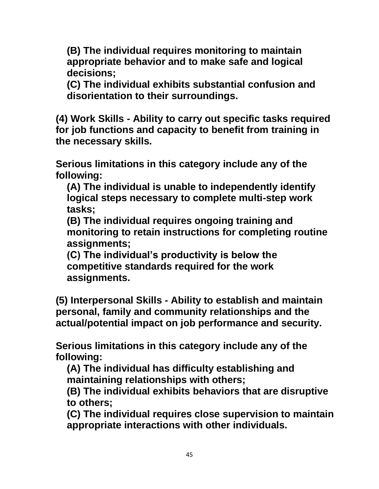**(B) The individual requires monitoring to maintain appropriate behavior and to make safe and logical decisions;**

**(C) The individual exhibits substantial confusion and disorientation to their surroundings.**

**(4) Work Skills - Ability to carry out specific tasks required for job functions and capacity to benefit from training in the necessary skills.**

**Serious limitations in this category include any of the following:**

**(A) The individual is unable to independently identify logical steps necessary to complete multi-step work tasks;**

**(B) The individual requires ongoing training and monitoring to retain instructions for completing routine assignments;**

**(C) The individual's productivity is below the competitive standards required for the work assignments.**

**(5) Interpersonal Skills - Ability to establish and maintain personal, family and community relationships and the actual/potential impact on job performance and security.**

**Serious limitations in this category include any of the following:**

**(A) The individual has difficulty establishing and maintaining relationships with others;**

**(B) The individual exhibits behaviors that are disruptive to others;**

**(C) The individual requires close supervision to maintain appropriate interactions with other individuals.**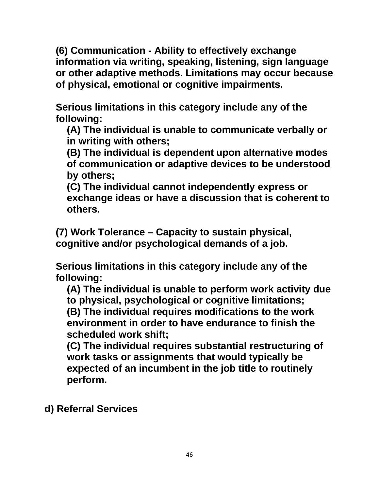**(6) Communication - Ability to effectively exchange information via writing, speaking, listening, sign language or other adaptive methods. Limitations may occur because of physical, emotional or cognitive impairments.**

**Serious limitations in this category include any of the following:**

**(A) The individual is unable to communicate verbally or in writing with others;**

**(B) The individual is dependent upon alternative modes of communication or adaptive devices to be understood by others;**

**(C) The individual cannot independently express or exchange ideas or have a discussion that is coherent to others.**

**(7) Work Tolerance – Capacity to sustain physical, cognitive and/or psychological demands of a job.**

**Serious limitations in this category include any of the following:**

**(A) The individual is unable to perform work activity due to physical, psychological or cognitive limitations; (B) The individual requires modifications to the work environment in order to have endurance to finish the scheduled work shift;**

**(C) The individual requires substantial restructuring of work tasks or assignments that would typically be expected of an incumbent in the job title to routinely perform.**

**d) Referral Services**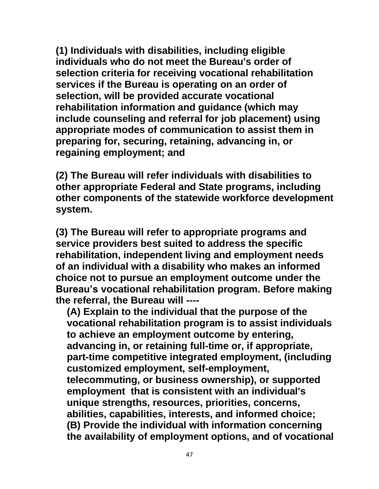**(1) Individuals with disabilities, including eligible individuals who do not meet the Bureau's order of selection criteria for receiving vocational rehabilitation services if the Bureau is operating on an order of selection, will be provided accurate vocational rehabilitation information and guidance (which may include counseling and referral for job placement) using appropriate modes of communication to assist them in preparing for, securing, retaining, advancing in, or regaining employment; and**

**(2) The Bureau will refer individuals with disabilities to other appropriate Federal and State programs, including other components of the statewide workforce development system.**

**(3) The Bureau will refer to appropriate programs and service providers best suited to address the specific rehabilitation, independent living and employment needs of an individual with a disability who makes an informed choice not to pursue an employment outcome under the Bureau's vocational rehabilitation program. Before making the referral, the Bureau will ----**

**(A) Explain to the individual that the purpose of the vocational rehabilitation program is to assist individuals to achieve an employment outcome by entering, advancing in, or retaining full-time or, if appropriate, part-time competitive integrated employment, (including customized employment, self-employment, telecommuting, or business ownership), or supported employment that is consistent with an individual's unique strengths, resources, priorities, concerns, abilities, capabilities, interests, and informed choice; (B) Provide the individual with information concerning the availability of employment options, and of vocational**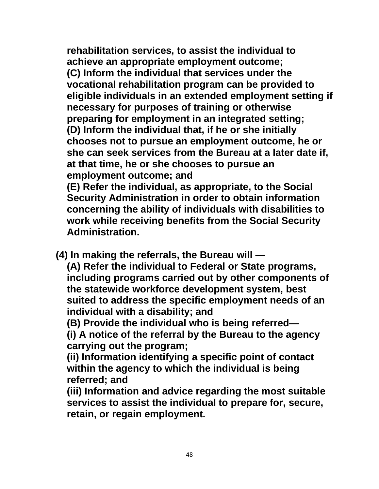**rehabilitation services, to assist the individual to achieve an appropriate employment outcome; (C) Inform the individual that services under the vocational rehabilitation program can be provided to eligible individuals in an extended employment setting if necessary for purposes of training or otherwise preparing for employment in an integrated setting; (D) Inform the individual that, if he or she initially chooses not to pursue an employment outcome, he or she can seek services from the Bureau at a later date if, at that time, he or she chooses to pursue an employment outcome; and**

**(E) Refer the individual, as appropriate, to the Social Security Administration in order to obtain information concerning the ability of individuals with disabilities to work while receiving benefits from the Social Security Administration.**

 **(4) In making the referrals, the Bureau will —**

**(A) Refer the individual to Federal or State programs, including programs carried out by other components of the statewide workforce development system, best suited to address the specific employment needs of an individual with a disability; and**

**(B) Provide the individual who is being referred—**

**(i) A notice of the referral by the Bureau to the agency carrying out the program;**

**(ii) Information identifying a specific point of contact within the agency to which the individual is being referred; and**

**(iii) Information and advice regarding the most suitable services to assist the individual to prepare for, secure, retain, or regain employment.**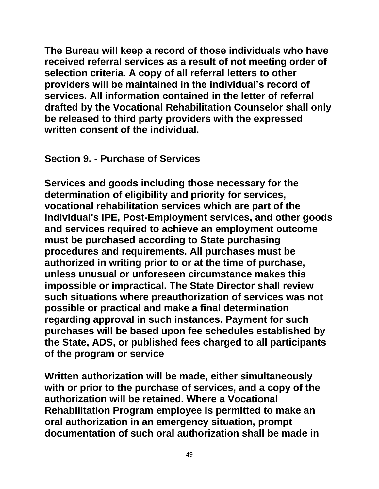**The Bureau will keep a record of those individuals who have received referral services as a result of not meeting order of selection criteria. A copy of all referral letters to other providers will be maintained in the individual's record of services. All information contained in the letter of referral drafted by the Vocational Rehabilitation Counselor shall only be released to third party providers with the expressed written consent of the individual.**

#### **Section 9. - Purchase of Services**

**Services and goods including those necessary for the determination of eligibility and priority for services, vocational rehabilitation services which are part of the individual's IPE, Post-Employment services, and other goods and services required to achieve an employment outcome must be purchased according to State purchasing procedures and requirements. All purchases must be authorized in writing prior to or at the time of purchase, unless unusual or unforeseen circumstance makes this impossible or impractical. The State Director shalI review such situations where preauthorization of services was not possible or practical and make a final determination regarding approval in such instances. Payment for such purchases will be based upon fee schedules established by the State, ADS, or published fees charged to all participants of the program or service**

**Written authorization will be made, either simultaneously with or prior to the purchase of services, and a copy of the authorization will be retained. Where a Vocational Rehabilitation Program employee is permitted to make an oral authorization in an emergency situation, prompt documentation of such oral authorization shall be made in**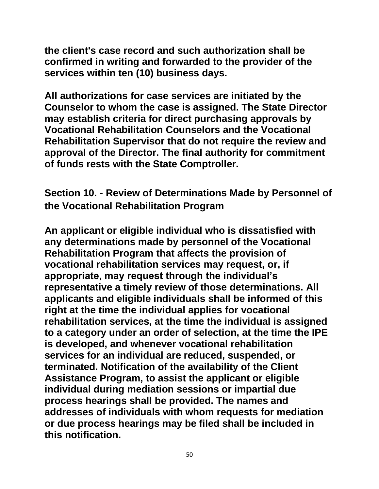**the client's case record and such authorization shall be confirmed in writing and forwarded to the provider of the services within ten (10) business days.**

**All authorizations for case services are initiated by the Counselor to whom the case is assigned. The State Director may establish criteria for direct purchasing approvals by Vocational Rehabilitation Counselors and the Vocational Rehabilitation Supervisor that do not require the review and approval of the Director. The final authority for commitment of funds rests with the State Comptroller.** 

**Section 10. - Review of Determinations Made by Personnel of the Vocational Rehabilitation Program**

**An applicant or eligible individual who is dissatisfied with any determinations made by personnel of the Vocational Rehabilitation Program that affects the provision of vocational rehabilitation services may request, or, if appropriate, may request through the individual's representative a timely review of those determinations. All applicants and eligible individuals shall be informed of this right at the time the individual applies for vocational rehabilitation services, at the time the individual is assigned to a category under an order of selection, at the time the IPE is developed, and whenever vocational rehabilitation services for an individual are reduced, suspended, or terminated. Notification of the availability of the Client Assistance Program, to assist the applicant or eligible individual during mediation sessions or impartial due process hearings shall be provided. The names and addresses of individuals with whom requests for mediation or due process hearings may be filed shall be included in this notification.**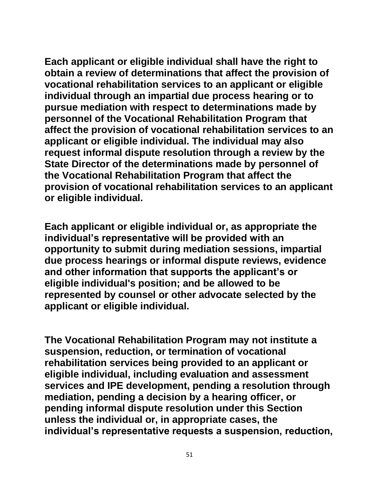**Each applicant or eligible individual shall have the right to obtain a review of determinations that affect the provision of vocational rehabilitation services to an applicant or eligible individual through an impartial due process hearing or to pursue mediation with respect to determinations made by personnel of the Vocational Rehabilitation Program that affect the provision of vocational rehabilitation services to an applicant or eligible individual. The individual may also request informal dispute resolution through a review by the State Director of the determinations made by personnel of the Vocational Rehabilitation Program that affect the provision of vocational rehabilitation services to an applicant or eligible individual.**

**Each applicant or eligible individual or, as appropriate the individual's representative will be provided with an opportunity to submit during mediation sessions, impartial due process hearings or informal dispute reviews, evidence and other information that supports the applicant's or eligible individual's position; and be allowed to be represented by counsel or other advocate selected by the applicant or eligible individual.**

**The Vocational Rehabilitation Program may not institute a suspension, reduction, or termination of vocational rehabilitation services being provided to an applicant or eligible individual, including evaluation and assessment services and IPE development, pending a resolution through mediation, pending a decision by a hearing officer, or pending informal dispute resolution under this Section unless the individual or, in appropriate cases, the individual's representative requests a suspension, reduction,**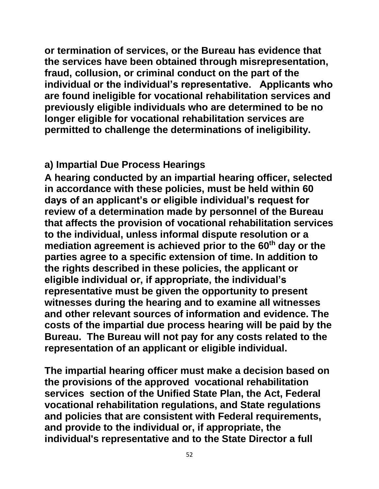**or termination of services, or the Bureau has evidence that the services have been obtained through misrepresentation, fraud, collusion, or criminal conduct on the part of the individual or the individual's representative. Applicants who are found ineligible for vocational rehabilitation services and previously eligible individuals who are determined to be no longer eligible for vocational rehabilitation services are permitted to challenge the determinations of ineligibility.**

## **a) Impartial Due Process Hearings**

**A hearing conducted by an impartial hearing officer, selected in accordance with these policies, must be held within 60 days of an applicant's or eligible individual's request for review of a determination made by personnel of the Bureau that affects the provision of vocational rehabilitation services to the individual, unless informal dispute resolution or a mediation agreement is achieved prior to the 60th day or the parties agree to a specific extension of time. In addition to the rights described in these policies, the applicant or eligible individual or, if appropriate, the individual's representative must be given the opportunity to present witnesses during the hearing and to examine all witnesses and other relevant sources of information and evidence. The costs of the impartial due process hearing will be paid by the Bureau. The Bureau will not pay for any costs related to the representation of an applicant or eligible individual.**

**The impartial hearing officer must make a decision based on the provisions of the approved vocational rehabilitation services section of the Unified State Plan, the Act, Federal vocational rehabilitation regulations, and State regulations and policies that are consistent with Federal requirements, and provide to the individual or, if appropriate, the individual's representative and to the State Director a full**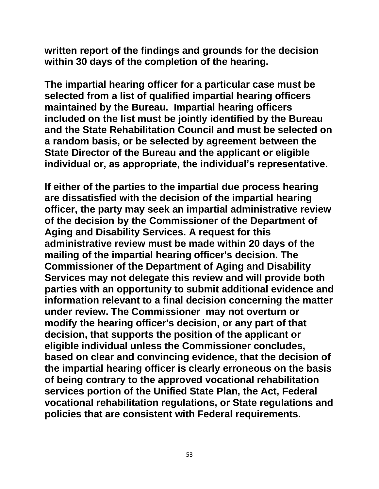**written report of the findings and grounds for the decision within 30 days of the completion of the hearing.** 

**The impartial hearing officer for a particular case must be selected from a list of qualified impartial hearing officers maintained by the Bureau. Impartial hearing officers included on the list must be jointly identified by the Bureau and the State Rehabilitation Council and must be selected on a random basis, or be selected by agreement between the State Director of the Bureau and the applicant or eligible individual or, as appropriate, the individual's representative.** 

**If either of the parties to the impartial due process hearing are dissatisfied with the decision of the impartial hearing officer, the party may seek an impartial administrative review of the decision by the Commissioner of the Department of Aging and Disability Services. A request for this administrative review must be made within 20 days of the mailing of the impartial hearing officer's decision. The Commissioner of the Department of Aging and Disability Services may not delegate this review and will provide both parties with an opportunity to submit additional evidence and information relevant to a final decision concerning the matter under review. The Commissioner may not overturn or modify the hearing officer's decision, or any part of that decision, that supports the position of the applicant or eligible individual unless the Commissioner concludes, based on clear and convincing evidence, that the decision of the impartial hearing officer is clearly erroneous on the basis of being contrary to the approved vocational rehabilitation services portion of the Unified State Plan, the Act, Federal vocational rehabilitation regulations, or State regulations and policies that are consistent with Federal requirements.**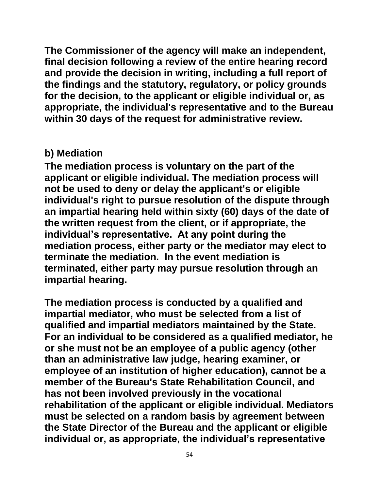**The Commissioner of the agency will make an independent, final decision following a review of the entire hearing record and provide the decision in writing, including a full report of the findings and the statutory, regulatory, or policy grounds for the decision, to the applicant or eligible individual or, as appropriate, the individual's representative and to the Bureau within 30 days of the request for administrative review.**

## **b) Mediation**

**The mediation process is voluntary on the part of the applicant or eligible individual. The mediation process will not be used to deny or delay the applicant's or eligible individual's right to pursue resolution of the dispute through an impartial hearing held within sixty (60) days of the date of the written request from the client, or if appropriate, the individual's representative. At any point during the mediation process, either party or the mediator may elect to terminate the mediation. In the event mediation is terminated, either party may pursue resolution through an impartial hearing.**

**The mediation process is conducted by a qualified and impartial mediator, who must be selected from a list of qualified and impartial mediators maintained by the State. For an individual to be considered as a qualified mediator, he or she must not be an employee of a public agency (other than an administrative law judge, hearing examiner, or employee of an institution of higher education), cannot be a member of the Bureau's State Rehabilitation Council, and has not been involved previously in the vocational rehabilitation of the applicant or eligible individual. Mediators must be selected on a random basis by agreement between the State Director of the Bureau and the applicant or eligible individual or, as appropriate, the individual's representative**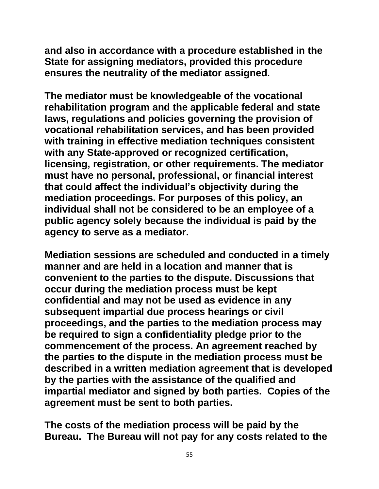**and also in accordance with a procedure established in the State for assigning mediators, provided this procedure ensures the neutrality of the mediator assigned.**

**The mediator must be knowledgeable of the vocational rehabilitation program and the applicable federal and state laws, regulations and policies governing the provision of vocational rehabilitation services, and has been provided with training in effective mediation techniques consistent with any State-approved or recognized certification, licensing, registration, or other requirements. The mediator must have no personal, professional, or financial interest that could affect the individual's objectivity during the mediation proceedings. For purposes of this policy, an individual shall not be considered to be an employee of a public agency solely because the individual is paid by the agency to serve as a mediator.** 

**Mediation sessions are scheduled and conducted in a timely manner and are held in a location and manner that is convenient to the parties to the dispute. Discussions that occur during the mediation process must be kept confidential and may not be used as evidence in any subsequent impartial due process hearings or civil proceedings, and the parties to the mediation process may be required to sign a confidentiality pledge prior to the commencement of the process. An agreement reached by the parties to the dispute in the mediation process must be described in a written mediation agreement that is developed by the parties with the assistance of the qualified and impartial mediator and signed by both parties. Copies of the agreement must be sent to both parties.**

**The costs of the mediation process will be paid by the Bureau. The Bureau will not pay for any costs related to the**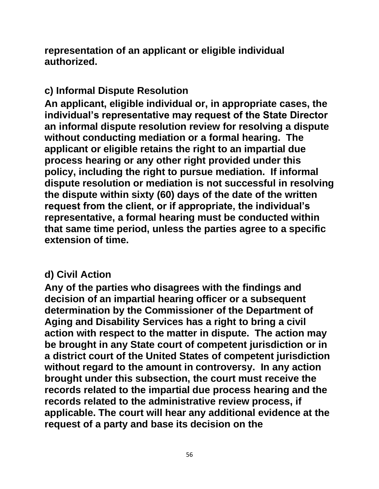**representation of an applicant or eligible individual authorized.**

# **c) Informal Dispute Resolution**

**An applicant, eligible individual or, in appropriate cases, the individual's representative may request of the State Director an informal dispute resolution review for resolving a dispute without conducting mediation or a formal hearing. The applicant or eligible retains the right to an impartial due process hearing or any other right provided under this policy, including the right to pursue mediation. If informal dispute resolution or mediation is not successful in resolving the dispute within sixty (60) days of the date of the written request from the client, or if appropriate, the individual's representative, a formal hearing must be conducted within that same time period, unless the parties agree to a specific extension of time.**

#### **d) Civil Action**

**Any of the parties who disagrees with the findings and decision of an impartial hearing officer or a subsequent determination by the Commissioner of the Department of Aging and Disability Services has a right to bring a civil action with respect to the matter in dispute. The action may be brought in any State court of competent jurisdiction or in a district court of the United States of competent jurisdiction without regard to the amount in controversy. In any action brought under this subsection, the court must receive the records related to the impartial due process hearing and the records related to the administrative review process, if applicable. The court will hear any additional evidence at the request of a party and base its decision on the**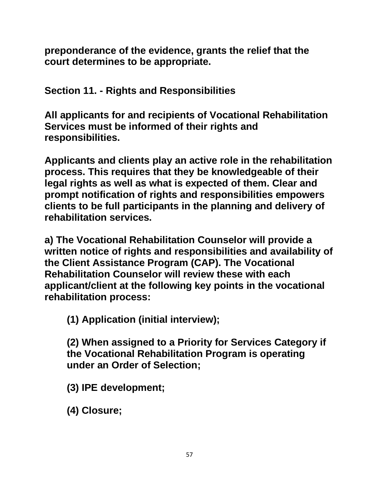**preponderance of the evidence, grants the relief that the court determines to be appropriate.**

**Section 11. - Rights and Responsibilities**

**All applicants for and recipients of Vocational Rehabilitation Services must be informed of their rights and responsibilities.**

**Applicants and clients play an active role in the rehabilitation process. This requires that they be knowledgeable of their legal rights as well as what is expected of them. Clear and prompt notification of rights and responsibilities empowers clients to be full participants in the planning and delivery of rehabilitation services.**

**a) The Vocational Rehabilitation Counselor will provide a written notice of rights and responsibilities and availability of the Client Assistance Program (CAP). The Vocational Rehabilitation Counselor will review these with each applicant/client at the following key points in the vocational rehabilitation process:**

**(1) Application (initial interview);**

**(2) When assigned to a Priority for Services Category if the Vocational Rehabilitation Program is operating under an Order of Selection;**

- **(3) IPE development;**
- **(4) Closure;**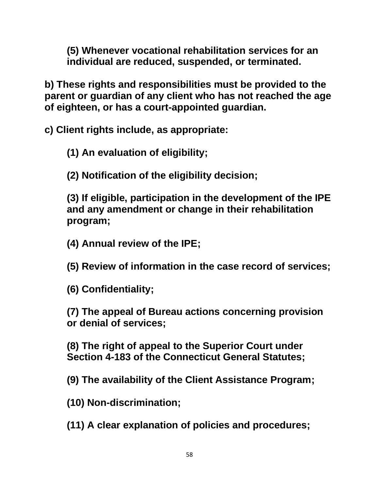**(5) Whenever vocational rehabilitation services for an individual are reduced, suspended, or terminated.**

**b) These rights and responsibilities must be provided to the parent or guardian of any client who has not reached the age of eighteen, or has a court-appointed guardian.**

**c) Client rights include, as appropriate:**

**(1) An evaluation of eligibility;**

**(2) Notification of the eligibility decision;**

**(3) If eligible, participation in the development of the IPE and any amendment or change in their rehabilitation program;**

**(4) Annual review of the IPE;**

**(5) Review of information in the case record of services;**

**(6) Confidentiality;**

**(7) The appeal of Bureau actions concerning provision or denial of services;**

**(8) The right of appeal to the Superior Court under Section 4-183 of the Connecticut General Statutes;**

**(9) The availability of the Client Assistance Program;**

**(10) Non-discrimination;**

**(11) A clear explanation of policies and procedures;**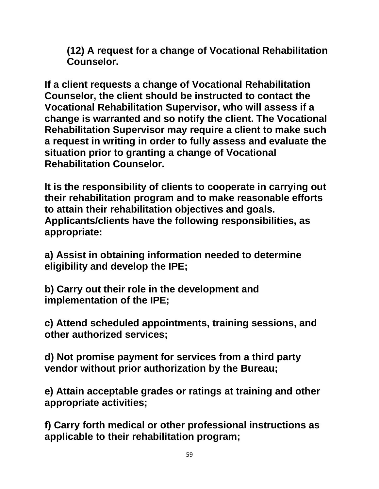**(12) A request for a change of Vocational Rehabilitation Counselor.**

**If a client requests a change of Vocational Rehabilitation Counselor, the client should be instructed to contact the Vocational Rehabilitation Supervisor, who will assess if a change is warranted and so notify the client. The Vocational Rehabilitation Supervisor may require a client to make such a request in writing in order to fully assess and evaluate the situation prior to granting a change of Vocational Rehabilitation Counselor.**

**It is the responsibility of clients to cooperate in carrying out their rehabilitation program and to make reasonable efforts to attain their rehabilitation objectives and goals. Applicants/clients have the following responsibilities, as appropriate:**

**a) Assist in obtaining information needed to determine eligibility and develop the IPE;**

**b) Carry out their role in the development and implementation of the IPE;**

**c) Attend scheduled appointments, training sessions, and other authorized services;**

**d) Not promise payment for services from a third party vendor without prior authorization by the Bureau;**

**e) Attain acceptable grades or ratings at training and other appropriate activities;**

**f) Carry forth medical or other professional instructions as applicable to their rehabilitation program;**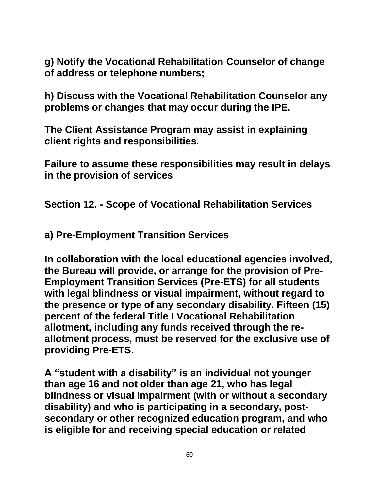**g) Notify the Vocational Rehabilitation Counselor of change of address or telephone numbers;**

**h) Discuss with the Vocational Rehabilitation Counselor any problems or changes that may occur during the IPE.**

**The Client Assistance Program may assist in explaining client rights and responsibilities.**

**Failure to assume these responsibilities may result in delays in the provision of services** 

**Section 12. - Scope of Vocational Rehabilitation Services**

**a) Pre-Employment Transition Services** 

**In collaboration with the local educational agencies involved, the Bureau will provide, or arrange for the provision of Pre-Employment Transition Services (Pre-ETS) for all students with legal blindness or visual impairment, without regard to the presence or type of any secondary disability. Fifteen (15) percent of the federal Title I Vocational Rehabilitation allotment, including any funds received through the reallotment process, must be reserved for the exclusive use of providing Pre-ETS.** 

**A "student with a disability" is an individual not younger than age 16 and not older than age 21, who has legal blindness or visual impairment (with or without a secondary disability) and who is participating in a secondary, postsecondary or other recognized education program, and who is eligible for and receiving special education or related**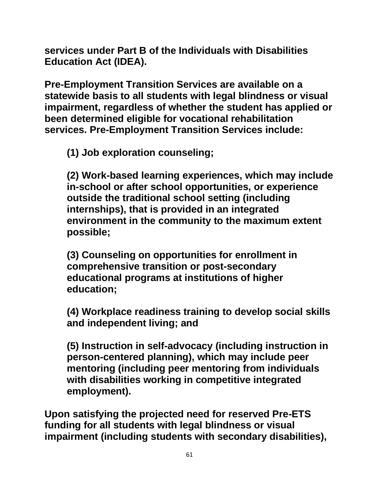**services under Part B of the Individuals with Disabilities Education Act (IDEA).**

**Pre-Employment Transition Services are available on a statewide basis to all students with legal blindness or visual impairment, regardless of whether the student has applied or been determined eligible for vocational rehabilitation services. Pre-Employment Transition Services include:** 

**(1) Job exploration counseling;** 

**(2) Work-based learning experiences, which may include in-school or after school opportunities, or experience outside the traditional school setting (including internships), that is provided in an integrated environment in the community to the maximum extent possible;** 

**(3) Counseling on opportunities for enrollment in comprehensive transition or post-secondary educational programs at institutions of higher education;** 

**(4) Workplace readiness training to develop social skills and independent living; and** 

**(5) Instruction in self-advocacy (including instruction in person-centered planning), which may include peer mentoring (including peer mentoring from individuals with disabilities working in competitive integrated employment).** 

**Upon satisfying the projected need for reserved Pre-ETS funding for all students with legal blindness or visual impairment (including students with secondary disabilities),**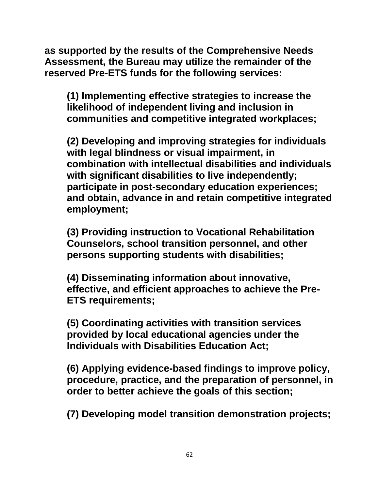**as supported by the results of the Comprehensive Needs Assessment, the Bureau may utilize the remainder of the reserved Pre-ETS funds for the following services:**

**(1) Implementing effective strategies to increase the likelihood of independent living and inclusion in communities and competitive integrated workplaces;** 

**(2) Developing and improving strategies for individuals with legal blindness or visual impairment, in combination with intellectual disabilities and individuals with significant disabilities to live independently; participate in post-secondary education experiences; and obtain, advance in and retain competitive integrated employment;** 

**(3) Providing instruction to Vocational Rehabilitation Counselors, school transition personnel, and other persons supporting students with disabilities;** 

**(4) Disseminating information about innovative, effective, and efficient approaches to achieve the Pre-ETS requirements;** 

**(5) Coordinating activities with transition services provided by local educational agencies under the Individuals with Disabilities Education Act;** 

**(6) Applying evidence-based findings to improve policy, procedure, practice, and the preparation of personnel, in order to better achieve the goals of this section;** 

**(7) Developing model transition demonstration projects;**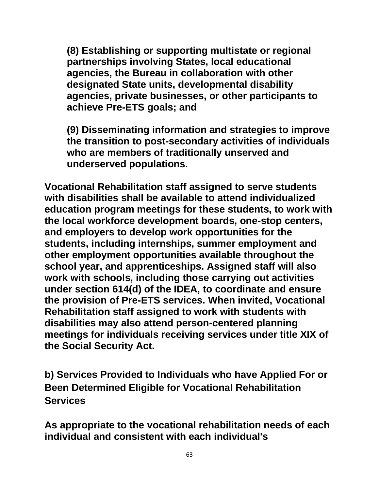**(8) Establishing or supporting multistate or regional partnerships involving States, local educational agencies, the Bureau in collaboration with other designated State units, developmental disability agencies, private businesses, or other participants to achieve Pre-ETS goals; and** 

**(9) Disseminating information and strategies to improve the transition to post-secondary activities of individuals who are members of traditionally unserved and underserved populations.**

**Vocational Rehabilitation staff assigned to serve students with disabilities shall be available to attend individualized education program meetings for these students, to work with the local workforce development boards, one-stop centers, and employers to develop work opportunities for the students, including internships, summer employment and other employment opportunities available throughout the school year, and apprenticeships. Assigned staff will also work with schools, including those carrying out activities under section 614(d) of the IDEA, to coordinate and ensure the provision of Pre-ETS services. When invited, Vocational Rehabilitation staff assigned to work with students with disabilities may also attend person-centered planning meetings for individuals receiving services under title XIX of the Social Security Act.**

**b) Services Provided to Individuals who have Applied For or Been Determined Eligible for Vocational Rehabilitation Services**

**As appropriate to the vocational rehabilitation needs of each individual and consistent with each individual's**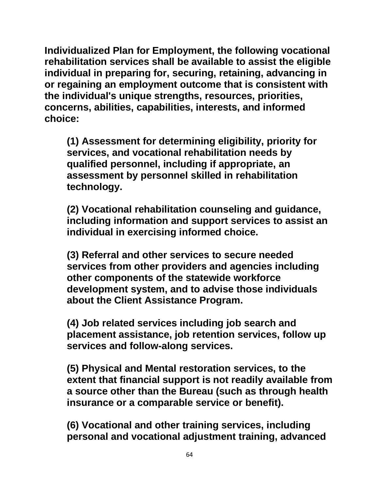**Individualized Plan for Employment, the following vocational rehabilitation services shall be available to assist the eligible individual in preparing for, securing, retaining, advancing in or regaining an employment outcome that is consistent with the individual's unique strengths, resources, priorities, concerns, abilities, capabilities, interests, and informed choice:**

**(1) Assessment for determining eligibility, priority for services, and vocational rehabilitation needs by qualified personnel, including if appropriate, an assessment by personnel skilled in rehabilitation technology.**

**(2) Vocational rehabilitation counseling and guidance, including information and support services to assist an individual in exercising informed choice.**

**(3) Referral and other services to secure needed services from other providers and agencies including other components of the statewide workforce development system, and to advise those individuals about the Client Assistance Program.**

**(4) Job related services including job search and placement assistance, job retention services, follow up services and follow-along services.**

**(5) Physical and Mental restoration services, to the extent that financial support is not readily available from a source other than the Bureau (such as through health insurance or a comparable service or benefit).**

**(6) Vocational and other training services, including personal and vocational adjustment training, advanced**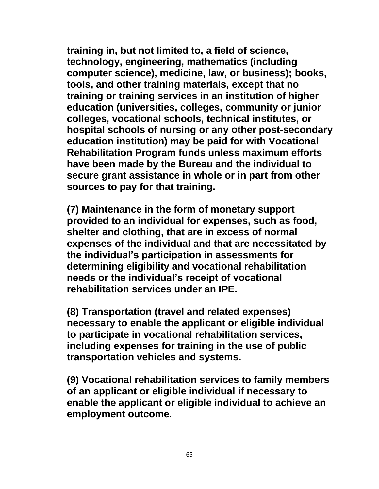**training in, but not limited to, a field of science, technology, engineering, mathematics (including computer science), medicine, law, or business); books, tools, and other training materials, except that no training or training services in an institution of higher education (universities, colleges, community or junior colleges, vocational schools, technical institutes, or hospital schools of nursing or any other post-secondary education institution) may be paid for with Vocational Rehabilitation Program funds unless maximum efforts have been made by the Bureau and the individual to secure grant assistance in whole or in part from other sources to pay for that training.** 

**(7) Maintenance in the form of monetary support provided to an individual for expenses, such as food, shelter and clothing, that are in excess of normal expenses of the individual and that are necessitated by the individual's participation in assessments for determining eligibility and vocational rehabilitation needs or the individual's receipt of vocational rehabilitation services under an IPE.**

**(8) Transportation (travel and related expenses) necessary to enable the applicant or eligible individual to participate in vocational rehabilitation services, including expenses for training in the use of public transportation vehicles and systems.**

**(9) Vocational rehabilitation services to family members of an applicant or eligible individual if necessary to enable the applicant or eligible individual to achieve an employment outcome.**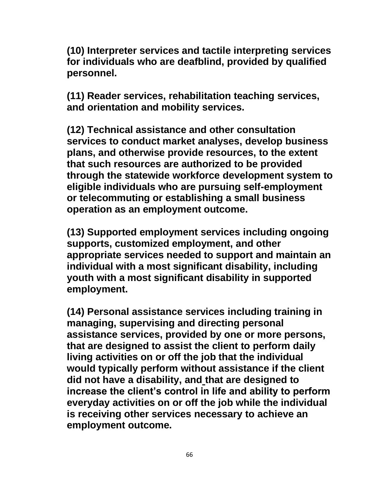**(10) Interpreter services and tactile interpreting services for individuals who are deafblind, provided by qualified personnel.**

**(11) Reader services, rehabilitation teaching services, and orientation and mobility services.**

**(12) Technical assistance and other consultation services to conduct market analyses, develop business plans, and otherwise provide resources, to the extent that such resources are authorized to be provided through the statewide workforce development system to eligible individuals who are pursuing self-employment or telecommuting or establishing a small business operation as an employment outcome.**

**(13) Supported employment services including ongoing supports, customized employment, and other appropriate services needed to support and maintain an individual with a most significant disability, including youth with a most significant disability in supported employment.**

**(14) Personal assistance services including training in managing, supervising and directing personal assistance services, provided by one or more persons, that are designed to assist the client to perform daily living activities on or off the job that the individual would typically perform without assistance if the client did not have a disability, and that are designed to increase the client's control in life and ability to perform everyday activities on or off the job while the individual is receiving other services necessary to achieve an employment outcome.**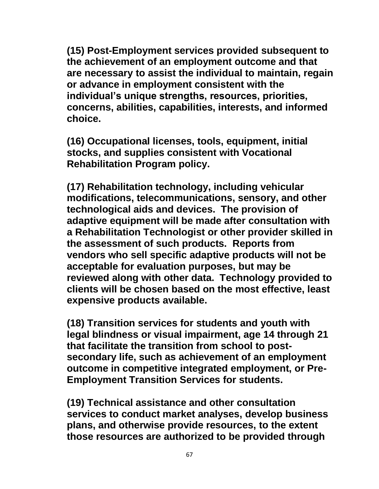**(15) Post-Employment services provided subsequent to the achievement of an employment outcome and that are necessary to assist the individual to maintain, regain or advance in employment consistent with the individual's unique strengths, resources, priorities, concerns, abilities, capabilities, interests, and informed choice.** 

**(16) Occupational licenses, tools, equipment, initial stocks, and supplies consistent with Vocational Rehabilitation Program policy.** 

**(17) Rehabilitation technology, including vehicular modifications, telecommunications, sensory, and other technological aids and devices. The provision of adaptive equipment will be made after consultation with a Rehabilitation Technologist or other provider skilled in the assessment of such products. Reports from vendors who sell specific adaptive products will not be acceptable for evaluation purposes, but may be reviewed along with other data. Technology provided to clients will be chosen based on the most effective, least expensive products available.** 

**(18) Transition services for students and youth with legal blindness or visual impairment, age 14 through 21 that facilitate the transition from school to postsecondary life, such as achievement of an employment outcome in competitive integrated employment, or Pre-Employment Transition Services for students.** 

**(19) Technical assistance and other consultation services to conduct market analyses, develop business plans, and otherwise provide resources, to the extent those resources are authorized to be provided through**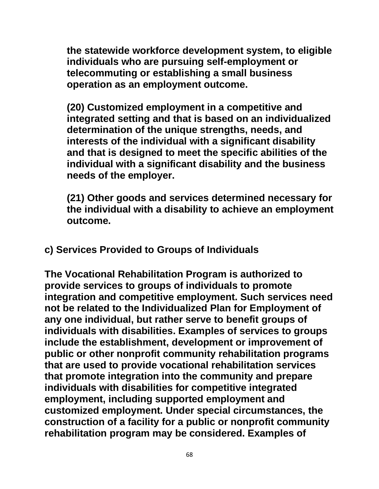**the statewide workforce development system, to eligible individuals who are pursuing self-employment or telecommuting or establishing a small business operation as an employment outcome.** 

**(20) Customized employment in a competitive and integrated setting and that is based on an individualized determination of the unique strengths, needs, and interests of the individual with a significant disability and that is designed to meet the specific abilities of the individual with a significant disability and the business needs of the employer.**

**(21) Other goods and services determined necessary for the individual with a disability to achieve an employment outcome.**

**c) Services Provided to Groups of Individuals**

**The Vocational Rehabilitation Program is authorized to provide services to groups of individuals to promote integration and competitive employment. Such services need not be related to the Individualized Plan for Employment of any one individual, but rather serve to benefit groups of individuals with disabilities. Examples of services to groups include the establishment, development or improvement of public or other nonprofit community rehabilitation programs that are used to provide vocational rehabilitation services that promote integration into the community and prepare individuals with disabilities for competitive integrated employment, including supported employment and customized employment. Under special circumstances, the construction of a facility for a public or nonprofit community rehabilitation program may be considered. Examples of**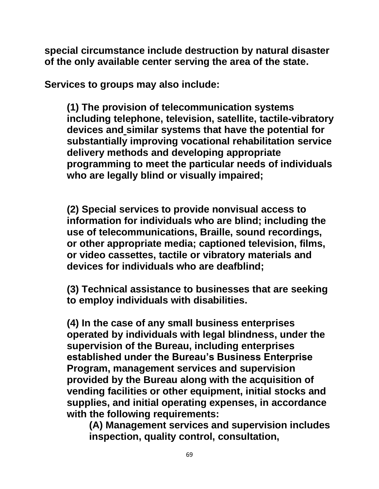**special circumstance include destruction by natural disaster of the only available center serving the area of the state.**

**Services to groups may also include:**

**(1) The provision of telecommunication systems including telephone, television, satellite, tactile-vibratory devices and similar systems that have the potential for substantially improving vocational rehabilitation service delivery methods and developing appropriate programming to meet the particular needs of individuals who are legally blind or visually impaired;**

**(2) Special services to provide nonvisual access to information for individuals who are blind; including the use of telecommunications, Braille, sound recordings, or other appropriate media; captioned television, films, or video cassettes, tactile or vibratory materials and devices for individuals who are deafblind;**

**(3) Technical assistance to businesses that are seeking to employ individuals with disabilities.**

**(4) In the case of any small business enterprises operated by individuals with legal blindness, under the supervision of the Bureau, including enterprises established under the Bureau's Business Enterprise Program, management services and supervision provided by the Bureau along with the acquisition of vending facilities or other equipment, initial stocks and supplies, and initial operating expenses, in accordance with the following requirements:**

**(A) Management services and supervision includes inspection, quality control, consultation,**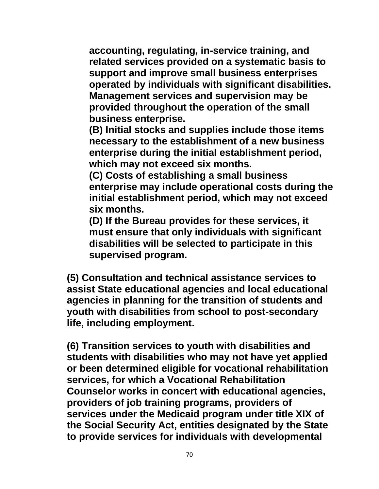**accounting, regulating, in-service training, and related services provided on a systematic basis to support and improve small business enterprises operated by individuals with significant disabilities. Management services and supervision may be provided throughout the operation of the small business enterprise.** 

**(B) Initial stocks and supplies include those items necessary to the establishment of a new business enterprise during the initial establishment period, which may not exceed six months.** 

**(C) Costs of establishing a small business enterprise may include operational costs during the initial establishment period, which may not exceed six months.** 

**(D) If the Bureau provides for these services, it must ensure that only individuals with significant disabilities will be selected to participate in this supervised program.** 

**(5) Consultation and technical assistance services to assist State educational agencies and local educational agencies in planning for the transition of students and youth with disabilities from school to post-secondary life, including employment.** 

**(6) Transition services to youth with disabilities and students with disabilities who may not have yet applied or been determined eligible for vocational rehabilitation services, for which a Vocational Rehabilitation Counselor works in concert with educational agencies, providers of job training programs, providers of services under the Medicaid program under title XIX of the Social Security Act, entities designated by the State to provide services for individuals with developmental**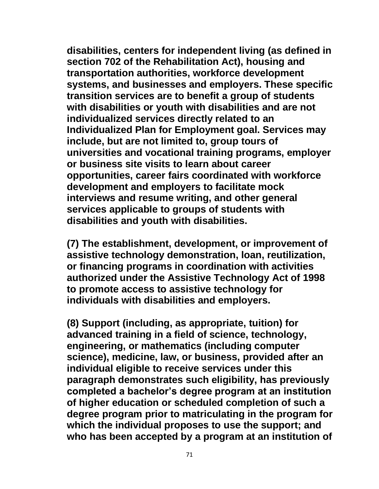**disabilities, centers for independent living (as defined in section 702 of the Rehabilitation Act), housing and transportation authorities, workforce development systems, and businesses and employers. These specific transition services are to benefit a group of students with disabilities or youth with disabilities and are not individualized services directly related to an Individualized Plan for Employment goal. Services may include, but are not limited to, group tours of universities and vocational training programs, employer or business site visits to learn about career opportunities, career fairs coordinated with workforce development and employers to facilitate mock interviews and resume writing, and other general services applicable to groups of students with disabilities and youth with disabilities.** 

**(7) The establishment, development, or improvement of assistive technology demonstration, loan, reutilization, or financing programs in coordination with activities authorized under the Assistive Technology Act of 1998 to promote access to assistive technology for individuals with disabilities and employers.** 

**(8) Support (including, as appropriate, tuition) for advanced training in a field of science, technology, engineering, or mathematics (including computer science), medicine, law, or business, provided after an individual eligible to receive services under this paragraph demonstrates such eligibility, has previously completed a bachelor's degree program at an institution of higher education or scheduled completion of such a degree program prior to matriculating in the program for which the individual proposes to use the support; and who has been accepted by a program at an institution of**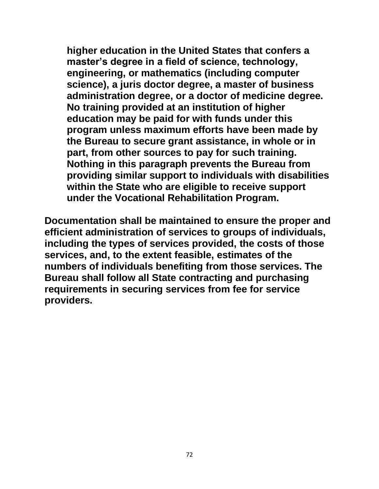**higher education in the United States that confers a master's degree in a field of science, technology, engineering, or mathematics (including computer science), a juris doctor degree, a master of business administration degree, or a doctor of medicine degree. No training provided at an institution of higher education may be paid for with funds under this program unless maximum efforts have been made by the Bureau to secure grant assistance, in whole or in part, from other sources to pay for such training. Nothing in this paragraph prevents the Bureau from providing similar support to individuals with disabilities within the State who are eligible to receive support under the Vocational Rehabilitation Program.** 

**Documentation shall be maintained to ensure the proper and efficient administration of services to groups of individuals, including the types of services provided, the costs of those services, and, to the extent feasible, estimates of the numbers of individuals benefiting from those services. The Bureau shall follow all State contracting and purchasing requirements in securing services from fee for service providers.**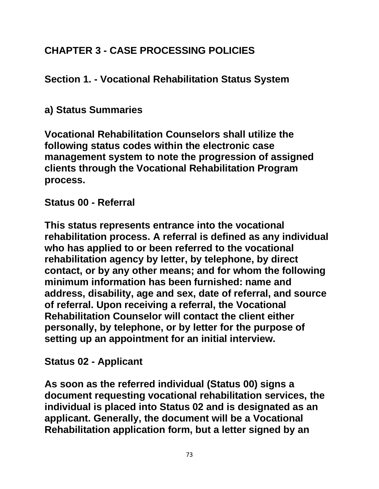# **CHAPTER 3 - CASE PROCESSING POLICIES**

# **Section 1. - Vocational Rehabilitation Status System**

# **a) Status Summaries**

**Vocational Rehabilitation Counselors shall utilize the following status codes within the electronic case management system to note the progression of assigned clients through the Vocational Rehabilitation Program process.**

# **Status 00 - Referral**

**This status represents entrance into the vocational rehabilitation process. A referral is defined as any individual who has applied to or been referred to the vocational rehabilitation agency by letter, by telephone, by direct contact, or by any other means; and for whom the following minimum information has been furnished: name and address, disability, age and sex, date of referral, and source of referral. Upon receiving a referral, the Vocational Rehabilitation Counselor will contact the client either personally, by telephone, or by letter for the purpose of setting up an appointment for an initial interview.**

# **Status 02 - Applicant**

**As soon as the referred individual (Status 00) signs a document requesting vocational rehabilitation services, the individual is placed into Status 02 and is designated as an applicant. Generally, the document will be a Vocational Rehabilitation application form, but a letter signed by an**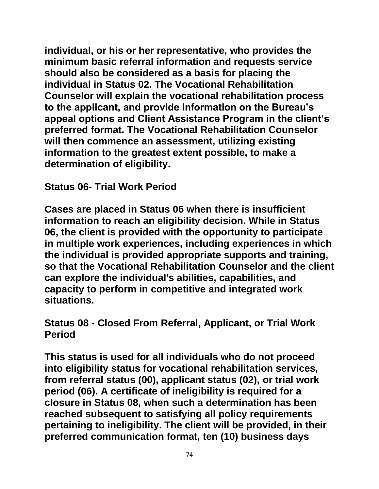**individual, or his or her representative, who provides the minimum basic referral information and requests service should also be considered as a basis for placing the individual in Status 02. The Vocational Rehabilitation Counselor will explain the vocational rehabilitation process to the applicant, and provide information on the Bureau's appeal options and Client Assistance Program in the client's preferred format. The Vocational Rehabilitation Counselor will then commence an assessment, utilizing existing information to the greatest extent possible, to make a determination of eligibility.**

### **Status 06- Trial Work Period**

**Cases are placed in Status 06 when there is insufficient information to reach an eligibility decision. While in Status 06, the client is provided with the opportunity to participate in multiple work experiences, including experiences in which the individual is provided appropriate supports and training, so that the Vocational Rehabilitation Counselor and the client can explore the individual's abilities, capabilities, and capacity to perform in competitive and integrated work situations.**

### **Status 08 - Closed From Referral, Applicant, or Trial Work Period**

**This status is used for all individuals who do not proceed into eligibility status for vocational rehabilitation services, from referral status (00), applicant status (02), or trial work period (06). A certificate of ineligibility is required for a closure in Status 08, when such a determination has been reached subsequent to satisfying all policy requirements pertaining to ineligibility. The client will be provided, in their preferred communication format, ten (10) business days**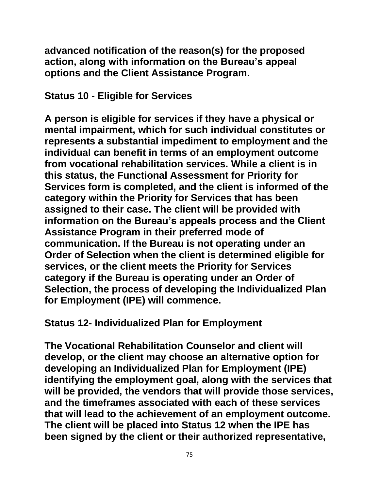**advanced notification of the reason(s) for the proposed action, along with information on the Bureau's appeal options and the Client Assistance Program.**

#### **Status 10 - Eligible for Services**

**A person is eligible for services if they have a physical or mental impairment, which for such individual constitutes or represents a substantial impediment to employment and the individual can benefit in terms of an employment outcome from vocational rehabilitation services. While a client is in this status, the Functional Assessment for Priority for Services form is completed, and the client is informed of the category within the Priority for Services that has been assigned to their case. The client will be provided with information on the Bureau's appeals process and the Client Assistance Program in their preferred mode of communication. If the Bureau is not operating under an Order of Selection when the client is determined eligible for services, or the client meets the Priority for Services category if the Bureau is operating under an Order of Selection, the process of developing the Individualized Plan for Employment (IPE) will commence.**

# **Status 12- Individualized Plan for Employment**

**The Vocational Rehabilitation Counselor and client will develop, or the client may choose an alternative option for developing an Individualized Plan for Employment (IPE) identifying the employment goal, along with the services that will be provided, the vendors that will provide those services, and the timeframes associated with each of these services that will lead to the achievement of an employment outcome. The client will be placed into Status 12 when the IPE has been signed by the client or their authorized representative,**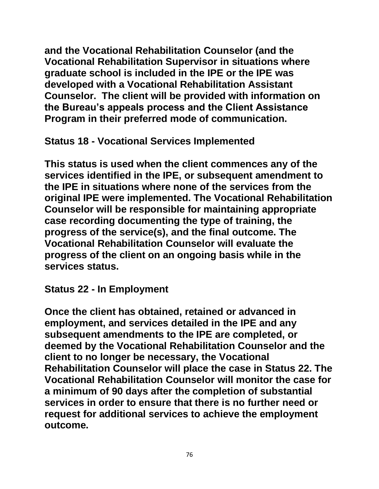**and the Vocational Rehabilitation Counselor (and the Vocational Rehabilitation Supervisor in situations where graduate school is included in the IPE or the IPE was developed with a Vocational Rehabilitation Assistant Counselor. The client will be provided with information on the Bureau's appeals process and the Client Assistance Program in their preferred mode of communication.**

**Status 18 - Vocational Services Implemented**

**This status is used when the client commences any of the services identified in the IPE, or subsequent amendment to the IPE in situations where none of the services from the original IPE were implemented. The Vocational Rehabilitation Counselor will be responsible for maintaining appropriate case recording documenting the type of training, the progress of the service(s), and the final outcome. The Vocational Rehabilitation Counselor will evaluate the progress of the client on an ongoing basis while in the services status.**

**Status 22 - In Employment**

**Once the client has obtained, retained or advanced in employment, and services detailed in the IPE and any subsequent amendments to the IPE are completed, or deemed by the Vocational Rehabilitation Counselor and the client to no longer be necessary, the Vocational Rehabilitation Counselor will place the case in Status 22. The Vocational Rehabilitation Counselor will monitor the case for a minimum of 90 days after the completion of substantial services in order to ensure that there is no further need or request for additional services to achieve the employment outcome.**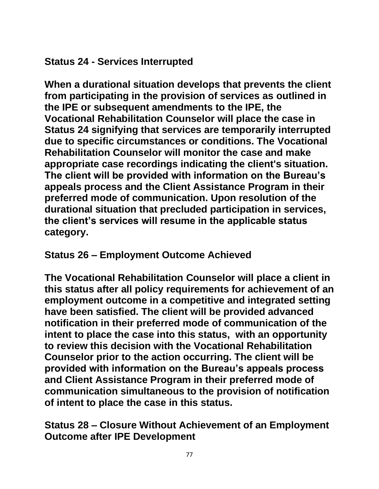# **Status 24 - Services Interrupted**

**When a durational situation develops that prevents the client from participating in the provision of services as outlined in the IPE or subsequent amendments to the IPE, the Vocational Rehabilitation Counselor will place the case in Status 24 signifying that services are temporarily interrupted due to specific circumstances or conditions. The Vocational Rehabilitation Counselor will monitor the case and make appropriate case recordings indicating the client's situation. The client will be provided with information on the Bureau's appeals process and the Client Assistance Program in their preferred mode of communication. Upon resolution of the durational situation that precluded participation in services, the client's services will resume in the applicable status category.** 

# **Status 26 – Employment Outcome Achieved**

**The Vocational Rehabilitation Counselor will place a client in this status after all policy requirements for achievement of an employment outcome in a competitive and integrated setting have been satisfied. The client will be provided advanced notification in their preferred mode of communication of the intent to place the case into this status, with an opportunity to review this decision with the Vocational Rehabilitation Counselor prior to the action occurring. The client will be provided with information on the Bureau's appeals process and Client Assistance Program in their preferred mode of communication simultaneous to the provision of notification of intent to place the case in this status.**

**Status 28 – Closure Without Achievement of an Employment Outcome after IPE Development**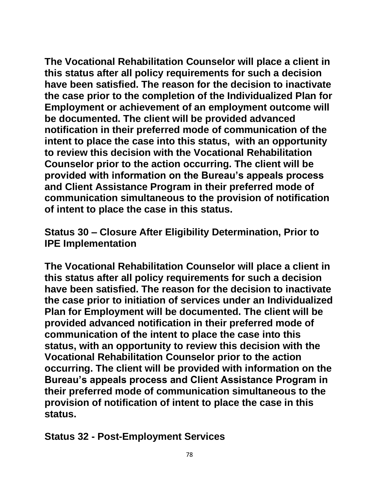**The Vocational Rehabilitation Counselor will place a client in this status after all policy requirements for such a decision have been satisfied. The reason for the decision to inactivate the case prior to the completion of the Individualized Plan for Employment or achievement of an employment outcome will be documented. The client will be provided advanced notification in their preferred mode of communication of the intent to place the case into this status, with an opportunity to review this decision with the Vocational Rehabilitation Counselor prior to the action occurring. The client will be provided with information on the Bureau's appeals process and Client Assistance Program in their preferred mode of communication simultaneous to the provision of notification of intent to place the case in this status.**

**Status 30 – Closure After Eligibility Determination, Prior to IPE Implementation**

**The Vocational Rehabilitation Counselor will place a client in this status after all policy requirements for such a decision have been satisfied. The reason for the decision to inactivate the case prior to initiation of services under an Individualized Plan for Employment will be documented. The client will be provided advanced notification in their preferred mode of communication of the intent to place the case into this status, with an opportunity to review this decision with the Vocational Rehabilitation Counselor prior to the action occurring. The client will be provided with information on the Bureau's appeals process and Client Assistance Program in their preferred mode of communication simultaneous to the provision of notification of intent to place the case in this status.**

**Status 32 - Post-Employment Services**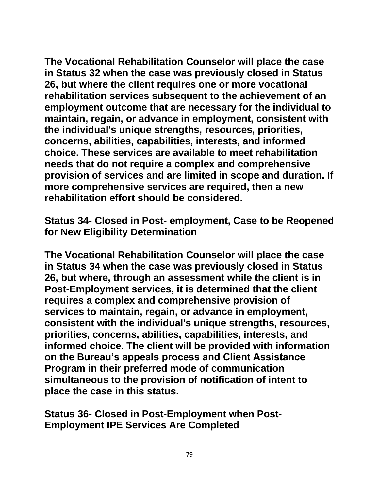**The Vocational Rehabilitation Counselor will place the case in Status 32 when the case was previously closed in Status 26, but where the client requires one or more vocational rehabilitation services subsequent to the achievement of an employment outcome that are necessary for the individual to maintain, regain, or advance in employment, consistent with the individual's unique strengths, resources, priorities, concerns, abilities, capabilities, interests, and informed choice. These services are available to meet rehabilitation needs that do not require a complex and comprehensive provision of services and are limited in scope and duration. If more comprehensive services are required, then a new rehabilitation effort should be considered.**

**Status 34- Closed in Post- employment, Case to be Reopened for New Eligibility Determination**

**The Vocational Rehabilitation Counselor will place the case in Status 34 when the case was previously closed in Status 26, but where, through an assessment while the client is in Post-Employment services, it is determined that the client requires a complex and comprehensive provision of services to maintain, regain, or advance in employment, consistent with the individual's unique strengths, resources, priorities, concerns, abilities, capabilities, interests, and informed choice. The client will be provided with information on the Bureau's appeals process and Client Assistance Program in their preferred mode of communication simultaneous to the provision of notification of intent to place the case in this status.**

**Status 36- Closed in Post-Employment when Post-Employment IPE Services Are Completed**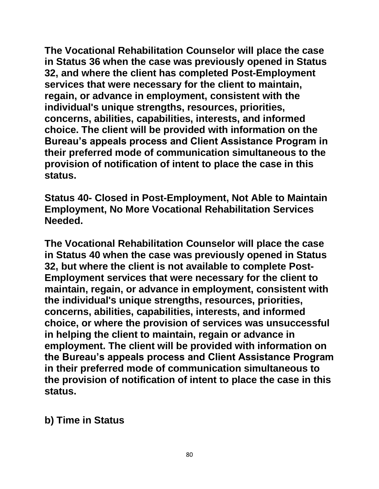**The Vocational Rehabilitation Counselor will place the case in Status 36 when the case was previously opened in Status 32, and where the client has completed Post-Employment services that were necessary for the client to maintain, regain, or advance in employment, consistent with the individual's unique strengths, resources, priorities, concerns, abilities, capabilities, interests, and informed choice. The client will be provided with information on the Bureau's appeals process and Client Assistance Program in their preferred mode of communication simultaneous to the provision of notification of intent to place the case in this status.**

**Status 40- Closed in Post-Employment, Not Able to Maintain Employment, No More Vocational Rehabilitation Services Needed.**

**The Vocational Rehabilitation Counselor will place the case in Status 40 when the case was previously opened in Status 32, but where the client is not available to complete Post-Employment services that were necessary for the client to maintain, regain, or advance in employment, consistent with the individual's unique strengths, resources, priorities, concerns, abilities, capabilities, interests, and informed choice, or where the provision of services was unsuccessful in helping the client to maintain, regain or advance in employment. The client will be provided with information on the Bureau's appeals process and Client Assistance Program in their preferred mode of communication simultaneous to the provision of notification of intent to place the case in this status.**

**b) Time in Status**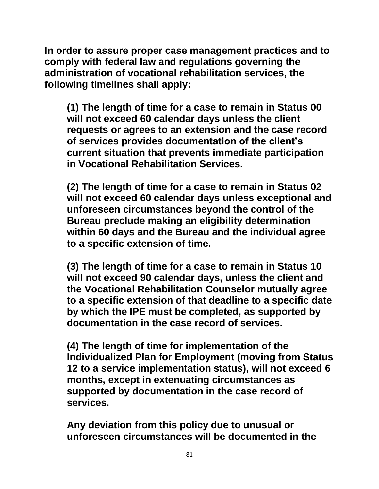**In order to assure proper case management practices and to comply with federal law and regulations governing the administration of vocational rehabilitation services, the following timelines shall apply:**

**(1) The length of time for a case to remain in Status 00 will not exceed 60 calendar days unless the client requests or agrees to an extension and the case record of services provides documentation of the client's current situation that prevents immediate participation in Vocational Rehabilitation Services.**

**(2) The length of time for a case to remain in Status 02 will not exceed 60 calendar days unless exceptional and unforeseen circumstances beyond the control of the Bureau preclude making an eligibility determination within 60 days and the Bureau and the individual agree to a specific extension of time.**

**(3) The length of time for a case to remain in Status 10 will not exceed 90 calendar days, unless the client and the Vocational Rehabilitation Counselor mutually agree to a specific extension of that deadline to a specific date by which the IPE must be completed, as supported by documentation in the case record of services.**

**(4) The length of time for implementation of the Individualized Plan for Employment (moving from Status 12 to a service implementation status), will not exceed 6 months, except in extenuating circumstances as supported by documentation in the case record of services.**

**Any deviation from this policy due to unusual or unforeseen circumstances will be documented in the**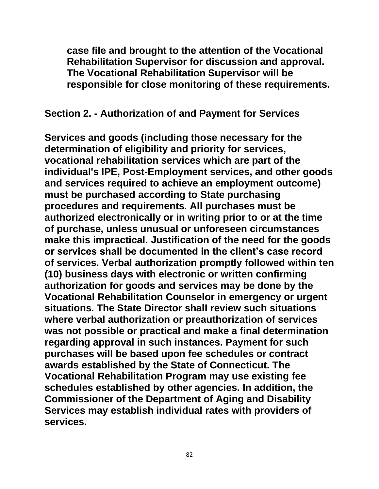**case file and brought to the attention of the Vocational Rehabilitation Supervisor for discussion and approval. The Vocational Rehabilitation Supervisor will be responsible for close monitoring of these requirements.**

#### **Section 2. - Authorization of and Payment for Services**

**Services and goods (including those necessary for the determination of eligibility and priority for services, vocational rehabilitation services which are part of the individual's IPE, Post-Employment services, and other goods and services required to achieve an employment outcome) must be purchased according to State purchasing procedures and requirements. All purchases must be authorized electronically or in writing prior to or at the time of purchase, unless unusual or unforeseen circumstances make this impractical. Justification of the need for the goods or services shall be documented in the client's case record of services. Verbal authorization promptly followed within ten (10) business days with electronic or written confirming authorization for goods and services may be done by the Vocational Rehabilitation Counselor in emergency or urgent situations. The State Director shalI review such situations where verbal authorization or preauthorization of services was not possible or practical and make a final determination regarding approval in such instances. Payment for such purchases will be based upon fee schedules or contract awards established by the State of Connecticut. The Vocational Rehabilitation Program may use existing fee schedules established by other agencies. In addition, the Commissioner of the Department of Aging and Disability Services may establish individual rates with providers of services.**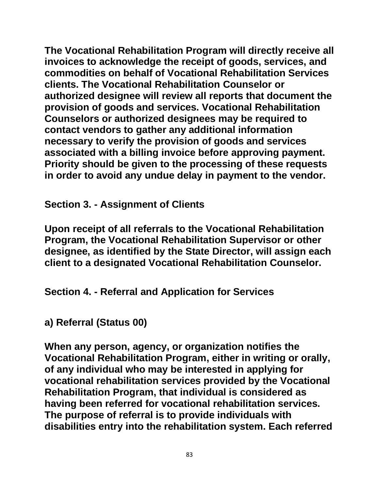**The Vocational Rehabilitation Program will directly receive all invoices to acknowledge the receipt of goods, services, and commodities on behalf of Vocational Rehabilitation Services clients. The Vocational Rehabilitation Counselor or authorized designee will review all reports that document the provision of goods and services. Vocational Rehabilitation Counselors or authorized designees may be required to contact vendors to gather any additional information necessary to verify the provision of goods and services associated with a billing invoice before approving payment. Priority should be given to the processing of these requests in order to avoid any undue delay in payment to the vendor.**

**Section 3. - Assignment of Clients**

**Upon receipt of all referrals to the Vocational Rehabilitation Program, the Vocational Rehabilitation Supervisor or other designee, as identified by the State Director, will assign each client to a designated Vocational Rehabilitation Counselor.**

**Section 4. - Referral and Application for Services**

**a) Referral (Status 00)**

**When any person, agency, or organization notifies the Vocational Rehabilitation Program, either in writing or orally, of any individual who may be interested in applying for vocational rehabilitation services provided by the Vocational Rehabilitation Program, that individual is considered as having been referred for vocational rehabilitation services. The purpose of referral is to provide individuals with disabilities entry into the rehabilitation system. Each referred**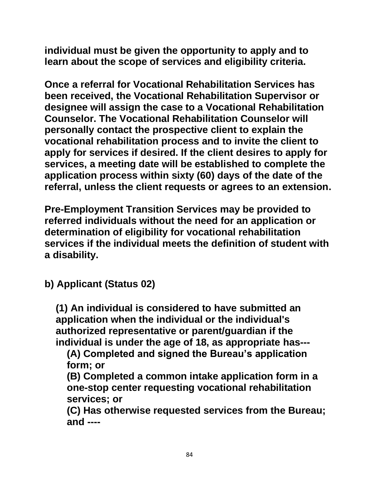**individual must be given the opportunity to apply and to learn about the scope of services and eligibility criteria.**

**Once a referral for Vocational Rehabilitation Services has been received, the Vocational Rehabilitation Supervisor or designee will assign the case to a Vocational Rehabilitation Counselor. The Vocational Rehabilitation Counselor will personally contact the prospective client to explain the vocational rehabilitation process and to invite the client to apply for services if desired. If the client desires to apply for services, a meeting date will be established to complete the application process within sixty (60) days of the date of the referral, unless the client requests or agrees to an extension.**

**Pre-Employment Transition Services may be provided to referred individuals without the need for an application or determination of eligibility for vocational rehabilitation services if the individual meets the definition of student with a disability.**

**b) Applicant (Status 02)**

**(1) An individual is considered to have submitted an application when the individual or the individual's authorized representative or parent/guardian if the individual is under the age of 18, as appropriate has---**

**(A) Completed and signed the Bureau's application form; or**

**(B) Completed a common intake application form in a one-stop center requesting vocational rehabilitation services; or** 

**(C) Has otherwise requested services from the Bureau; and ----**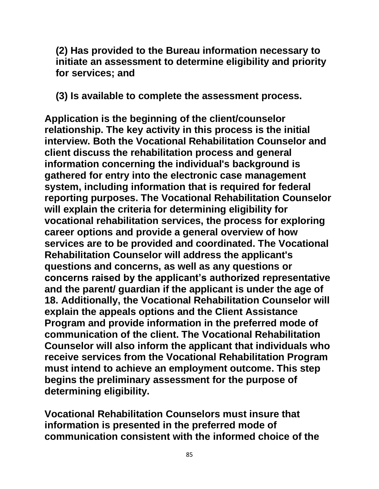**(2) Has provided to the Bureau information necessary to initiate an assessment to determine eligibility and priority for services; and** 

**(3) Is available to complete the assessment process.**

**Application is the beginning of the client/counselor relationship. The key activity in this process is the initial interview. Both the Vocational Rehabilitation Counselor and client discuss the rehabilitation process and general information concerning the individual's background is gathered for entry into the electronic case management system, including information that is required for federal reporting purposes. The Vocational Rehabilitation Counselor will explain the criteria for determining eligibility for vocational rehabilitation services, the process for exploring career options and provide a general overview of how services are to be provided and coordinated. The Vocational Rehabilitation Counselor will address the applicant's questions and concerns, as well as any questions or concerns raised by the applicant's authorized representative and the parent/ guardian if the applicant is under the age of 18. Additionally, the Vocational Rehabilitation Counselor will explain the appeals options and the Client Assistance Program and provide information in the preferred mode of communication of the client. The Vocational Rehabilitation Counselor will also inform the applicant that individuals who receive services from the Vocational Rehabilitation Program must intend to achieve an employment outcome. This step begins the preliminary assessment for the purpose of determining eligibility.** 

**Vocational Rehabilitation Counselors must insure that information is presented in the preferred mode of communication consistent with the informed choice of the**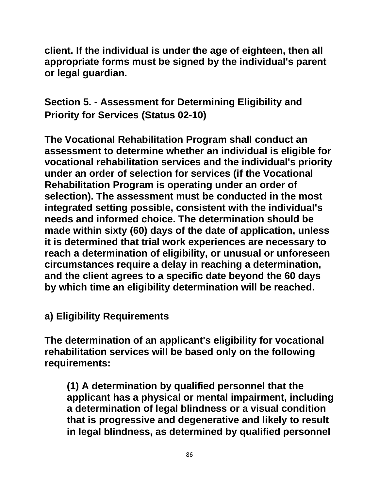**client. If the individual is under the age of eighteen, then all appropriate forms must be signed by the individual's parent or legal guardian.**

**Section 5. - Assessment for Determining Eligibility and Priority for Services (Status 02-10)**

**The Vocational Rehabilitation Program shall conduct an assessment to determine whether an individual is eligible for vocational rehabilitation services and the individual's priority under an order of selection for services (if the Vocational Rehabilitation Program is operating under an order of selection). The assessment must be conducted in the most integrated setting possible, consistent with the individual's needs and informed choice. The determination should be made within sixty (60) days of the date of application, unless it is determined that trial work experiences are necessary to reach a determination of eligibility, or unusual or unforeseen circumstances require a delay in reaching a determination, and the client agrees to a specific date beyond the 60 days by which time an eligibility determination will be reached.**

**a) Eligibility Requirements**

**The determination of an applicant's eligibility for vocational rehabilitation services will be based only on the following requirements:**

**(1) A determination by qualified personnel that the applicant has a physical or mental impairment, including a determination of legal blindness or a visual condition that is progressive and degenerative and likely to result in legal blindness, as determined by qualified personnel**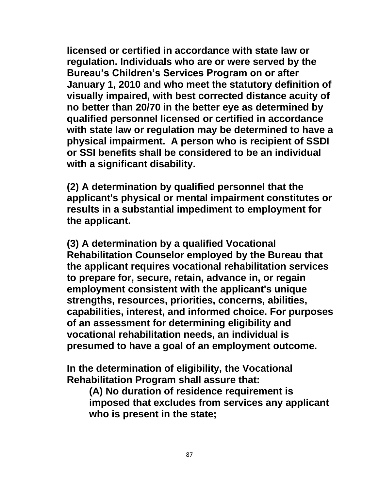**licensed or certified in accordance with state law or regulation. Individuals who are or were served by the Bureau's Children's Services Program on or after January 1, 2010 and who meet the statutory definition of visually impaired, with best corrected distance acuity of no better than 20/70 in the better eye as determined by qualified personnel licensed or certified in accordance with state law or regulation may be determined to have a physical impairment. A person who is recipient of SSDI or SSI benefits shall be considered to be an individual with a significant disability.**

**(2) A determination by qualified personnel that the applicant's physical or mental impairment constitutes or results in a substantial impediment to employment for the applicant.**

**(3) A determination by a qualified Vocational Rehabilitation Counselor employed by the Bureau that the applicant requires vocational rehabilitation services to prepare for, secure, retain, advance in, or regain employment consistent with the applicant's unique strengths, resources, priorities, concerns, abilities, capabilities, interest, and informed choice. For purposes of an assessment for determining eligibility and vocational rehabilitation needs, an individual is presumed to have a goal of an employment outcome.**

**In the determination of eligibility, the Vocational Rehabilitation Program shall assure that:**

**(A) No duration of residence requirement is imposed that excludes from services any applicant who is present in the state;**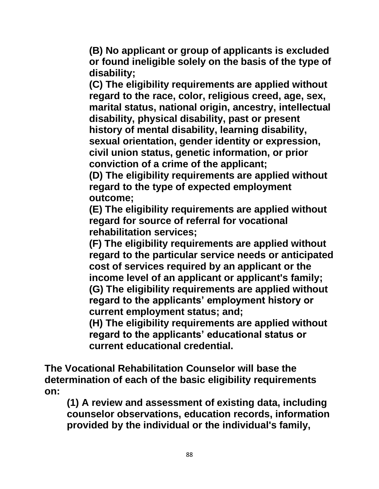**(B) No applicant or group of applicants is excluded or found ineligible solely on the basis of the type of disability;**

**(C) The eligibility requirements are applied without regard to the race, color, religious creed, age, sex, marital status, national origin, ancestry, intellectual disability, physical disability, past or present history of mental disability, learning disability, sexual orientation, gender identity or expression, civil union status, genetic information, or prior conviction of a crime of the applicant;**

**(D) The eligibility requirements are applied without regard to the type of expected employment outcome;**

**(E) The eligibility requirements are applied without regard for source of referral for vocational rehabilitation services;**

**(F) The eligibility requirements are applied without regard to the particular service needs or anticipated cost of services required by an applicant or the income level of an applicant or applicant's family; (G) The eligibility requirements are applied without regard to the applicants' employment history or current employment status; and;** 

**(H) The eligibility requirements are applied without regard to the applicants' educational status or current educational credential.**

**The Vocational Rehabilitation Counselor will base the determination of each of the basic eligibility requirements on:**

**(1) A review and assessment of existing data, including counselor observations, education records, information provided by the individual or the individual's family,**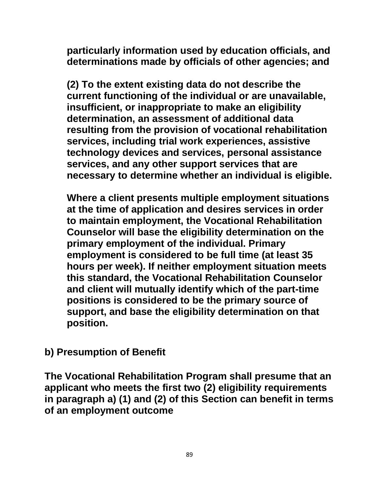**particularly information used by education officials, and determinations made by officials of other agencies; and**

**(2) To the extent existing data do not describe the current functioning of the individual or are unavailable, insufficient, or inappropriate to make an eligibility determination, an assessment of additional data resulting from the provision of vocational rehabilitation services, including trial work experiences, assistive technology devices and services, personal assistance services, and any other support services that are necessary to determine whether an individual is eligible.**

**Where a client presents multiple employment situations at the time of application and desires services in order to maintain employment, the Vocational Rehabilitation Counselor will base the eligibility determination on the primary employment of the individual. Primary employment is considered to be full time (at least 35 hours per week). If neither employment situation meets this standard, the Vocational Rehabilitation Counselor and client will mutually identify which of the part-time positions is considered to be the primary source of support, and base the eligibility determination on that position.** 

**b) Presumption of Benefit**

**The Vocational Rehabilitation Program shall presume that an applicant who meets the first two (2) eligibility requirements in paragraph a) (1) and (2) of this Section can benefit in terms of an employment outcome**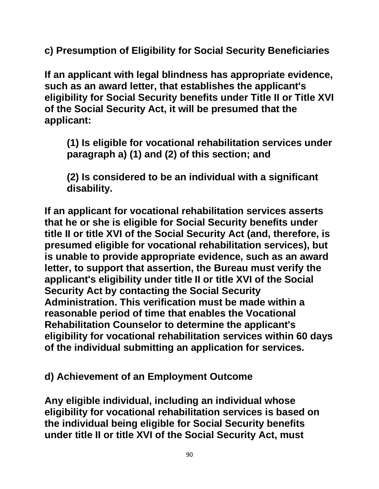**c) Presumption of Eligibility for Social Security Beneficiaries**

**If an applicant with legal blindness has appropriate evidence, such as an award letter, that establishes the applicant's eligibility for Social Security benefits under Title II or Title XVI of the Social Security Act, it will be presumed that the applicant:**

**(1) Is eligible for vocational rehabilitation services under paragraph a) (1) and (2) of this section; and**

**(2) Is considered to be an individual with a significant disability.**

**If an applicant for vocational rehabilitation services asserts that he or she is eligible for Social Security benefits under title II or title XVI of the Social Security Act (and, therefore, is presumed eligible for vocational rehabilitation services), but is unable to provide appropriate evidence, such as an award letter, to support that assertion, the Bureau must verify the applicant's eligibility under title II or title XVI of the Social Security Act by contacting the Social Security Administration. This verification must be made within a reasonable period of time that enables the Vocational Rehabilitation Counselor to determine the applicant's eligibility for vocational rehabilitation services within 60 days of the individual submitting an application for services.** 

**d) Achievement of an Employment Outcome** 

**Any eligible individual, including an individual whose eligibility for vocational rehabilitation services is based on the individual being eligible for Social Security benefits under title II or title XVI of the Social Security Act, must**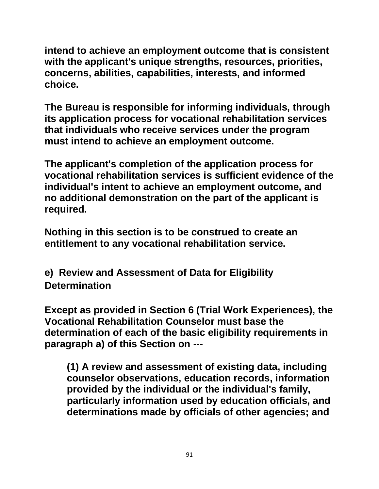**intend to achieve an employment outcome that is consistent with the applicant's unique strengths, resources, priorities, concerns, abilities, capabilities, interests, and informed choice.** 

**The Bureau is responsible for informing individuals, through its application process for vocational rehabilitation services that individuals who receive services under the program must intend to achieve an employment outcome.**

**The applicant's completion of the application process for vocational rehabilitation services is sufficient evidence of the individual's intent to achieve an employment outcome, and no additional demonstration on the part of the applicant is required.**

**Nothing in this section is to be construed to create an entitlement to any vocational rehabilitation service.** 

**e) Review and Assessment of Data for Eligibility Determination**

**Except as provided in Section 6 (Trial Work Experiences), the Vocational Rehabilitation Counselor must base the determination of each of the basic eligibility requirements in paragraph a) of this Section on ---**

**(1) A review and assessment of existing data, including counselor observations, education records, information provided by the individual or the individual's family, particularly information used by education officials, and determinations made by officials of other agencies; and**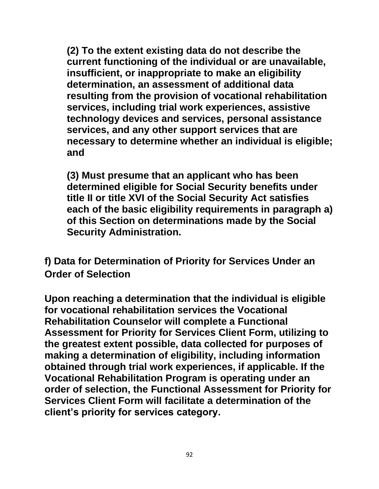**(2) To the extent existing data do not describe the current functioning of the individual or are unavailable, insufficient, or inappropriate to make an eligibility determination, an assessment of additional data resulting from the provision of vocational rehabilitation services, including trial work experiences, assistive technology devices and services, personal assistance services, and any other support services that are necessary to determine whether an individual is eligible; and**

**(3) Must presume that an applicant who has been determined eligible for Social Security benefits under title II or title XVI of the Social Security Act satisfies each of the basic eligibility requirements in paragraph a) of this Section on determinations made by the Social Security Administration.**

**f) Data for Determination of Priority for Services Under an Order of Selection**

**Upon reaching a determination that the individual is eligible for vocational rehabilitation services the Vocational Rehabilitation Counselor will complete a Functional Assessment for Priority for Services Client Form, utilizing to the greatest extent possible, data collected for purposes of making a determination of eligibility, including information obtained through trial work experiences, if applicable. If the Vocational Rehabilitation Program is operating under an order of selection, the Functional Assessment for Priority for Services Client Form will facilitate a determination of the client's priority for services category.**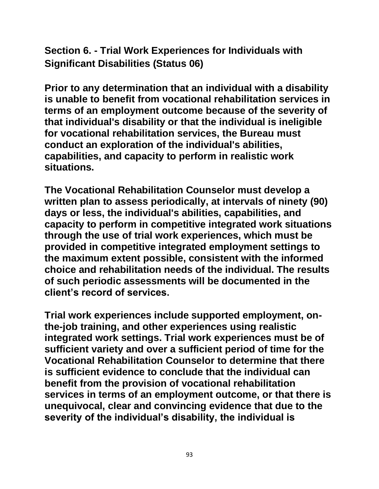**Section 6. - Trial Work Experiences for Individuals with Significant Disabilities (Status 06)**

**Prior to any determination that an individual with a disability is unable to benefit from vocational rehabilitation services in terms of an employment outcome because of the severity of that individual's disability or that the individual is ineligible for vocational rehabilitation services, the Bureau must conduct an exploration of the individual's abilities, capabilities, and capacity to perform in realistic work situations.**

**The Vocational Rehabilitation Counselor must develop a written plan to assess periodically, at intervals of ninety (90) days or less, the individual's abilities, capabilities, and capacity to perform in competitive integrated work situations through the use of trial work experiences, which must be provided in competitive integrated employment settings to the maximum extent possible, consistent with the informed choice and rehabilitation needs of the individual. The results of such periodic assessments will be documented in the client's record of services.**

**Trial work experiences include supported employment, onthe-job training, and other experiences using realistic integrated work settings. Trial work experiences must be of sufficient variety and over a sufficient period of time for the Vocational Rehabilitation Counselor to determine that there is sufficient evidence to conclude that the individual can benefit from the provision of vocational rehabilitation services in terms of an employment outcome, or that there is unequivocal, clear and convincing evidence that due to the severity of the individual's disability, the individual is**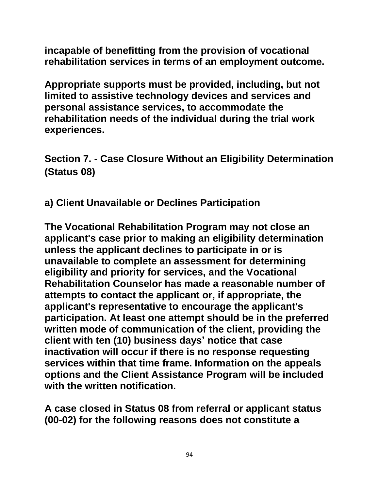**incapable of benefitting from the provision of vocational rehabilitation services in terms of an employment outcome.** 

**Appropriate supports must be provided, including, but not limited to assistive technology devices and services and personal assistance services, to accommodate the rehabilitation needs of the individual during the trial work experiences.**

**Section 7. - Case Closure Without an Eligibility Determination (Status 08)**

**a) Client Unavailable or Declines Participation**

**The Vocational Rehabilitation Program may not close an applicant's case prior to making an eligibility determination unless the applicant declines to participate in or is unavailable to complete an assessment for determining eligibility and priority for services, and the Vocational Rehabilitation Counselor has made a reasonable number of attempts to contact the applicant or, if appropriate, the applicant's representative to encourage the applicant's participation. At least one attempt should be in the preferred written mode of communication of the client, providing the client with ten (10) business days' notice that case inactivation will occur if there is no response requesting services within that time frame. Information on the appeals options and the Client Assistance Program will be included with the written notification.** 

**A case closed in Status 08 from referral or applicant status (00-02) for the following reasons does not constitute a**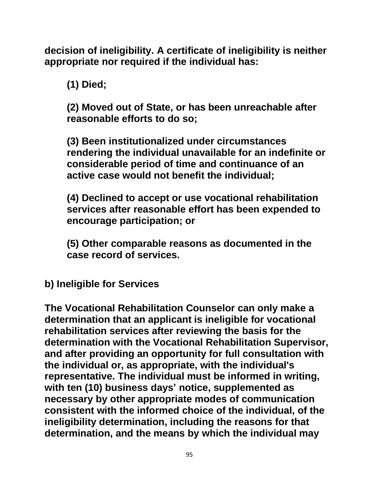**decision of ineligibility. A certificate of ineligibility is neither appropriate nor required if the individual has:**

**(1) Died;**

**(2) Moved out of State, or has been unreachable after reasonable efforts to do so;**

**(3) Been institutionalized under circumstances rendering the individual unavailable for an indefinite or considerable period of time and continuance of an active case would not benefit the individual;**

**(4) Declined to accept or use vocational rehabilitation services after reasonable effort has been expended to encourage participation; or**

**(5) Other comparable reasons as documented in the case record of services.**

**b) Ineligible for Services**

**The Vocational Rehabilitation Counselor can only make a determination that an applicant is ineligible for vocational rehabilitation services after reviewing the basis for the determination with the Vocational Rehabilitation Supervisor, and after providing an opportunity for full consultation with the individual or, as appropriate, with the individual's representative. The individual must be informed in writing, with ten (10) business days' notice, supplemented as necessary by other appropriate modes of communication consistent with the informed choice of the individual, of the ineligibility determination, including the reasons for that determination, and the means by which the individual may**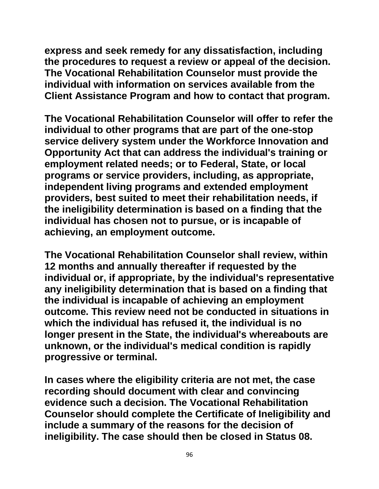**express and seek remedy for any dissatisfaction, including the procedures to request a review or appeal of the decision. The Vocational Rehabilitation Counselor must provide the individual with information on services available from the Client Assistance Program and how to contact that program.** 

**The Vocational Rehabilitation Counselor will offer to refer the individual to other programs that are part of the one-stop service delivery system under the Workforce Innovation and Opportunity Act that can address the individual's training or employment related needs; or to Federal, State, or local programs or service providers, including, as appropriate, independent living programs and extended employment providers, best suited to meet their rehabilitation needs, if the ineligibility determination is based on a finding that the individual has chosen not to pursue, or is incapable of achieving, an employment outcome.**

**The Vocational Rehabilitation Counselor shall review, within 12 months and annually thereafter if requested by the individual or, if appropriate, by the individual's representative any ineligibility determination that is based on a finding that the individual is incapable of achieving an employment outcome. This review need not be conducted in situations in which the individual has refused it, the individual is no longer present in the State, the individual's whereabouts are unknown, or the individual's medical condition is rapidly progressive or terminal.**

**In cases where the eligibility criteria are not met, the case recording should document with clear and convincing evidence such a decision. The Vocational Rehabilitation Counselor should complete the Certificate of Ineligibility and include a summary of the reasons for the decision of ineligibility. The case should then be closed in Status 08.**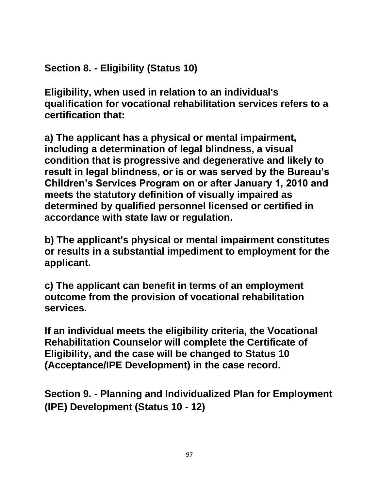**Section 8. - Eligibility (Status 10)**

**Eligibility, when used in relation to an individual's qualification for vocational rehabilitation services refers to a certification that:**

**a) The applicant has a physical or mental impairment, including a determination of legal blindness, a visual condition that is progressive and degenerative and likely to result in legal blindness, or is or was served by the Bureau's Children's Services Program on or after January 1, 2010 and meets the statutory definition of visually impaired as determined by qualified personnel licensed or certified in accordance with state law or regulation.**

**b) The applicant's physical or mental impairment constitutes or results in a substantial impediment to employment for the applicant.**

**c) The applicant can benefit in terms of an employment outcome from the provision of vocational rehabilitation services.**

**If an individual meets the eligibility criteria, the Vocational Rehabilitation Counselor will complete the Certificate of Eligibility, and the case will be changed to Status 10 (Acceptance/IPE Development) in the case record.**

**Section 9. - Planning and Individualized Plan for Employment (IPE) Development (Status 10 - 12)**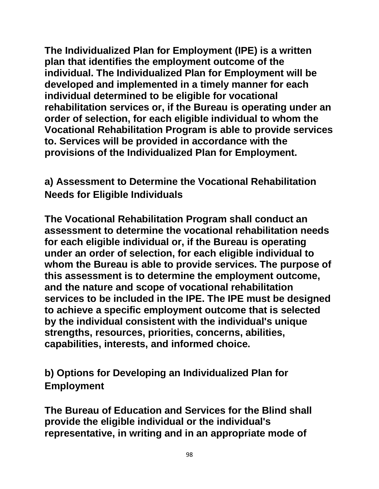**The Individualized Plan for Employment (IPE) is a written plan that identifies the employment outcome of the individual. The Individualized Plan for Employment will be developed and implemented in a timely manner for each individual determined to be eligible for vocational rehabilitation services or, if the Bureau is operating under an order of selection, for each eligible individual to whom the Vocational Rehabilitation Program is able to provide services to. Services will be provided in accordance with the provisions of the Individualized Plan for Employment.**

# **a) Assessment to Determine the Vocational Rehabilitation Needs for Eligible Individuals**

**The Vocational Rehabilitation Program shall conduct an assessment to determine the vocational rehabilitation needs for each eligible individual or, if the Bureau is operating under an order of selection, for each eligible individual to whom the Bureau is able to provide services. The purpose of this assessment is to determine the employment outcome, and the nature and scope of vocational rehabilitation services to be included in the IPE. The IPE must be designed to achieve a specific employment outcome that is selected by the individual consistent with the individual's unique strengths, resources, priorities, concerns, abilities, capabilities, interests, and informed choice.**

**b) Options for Developing an Individualized Plan for Employment**

**The Bureau of Education and Services for the Blind shall provide the eligible individual or the individual's representative, in writing and in an appropriate mode of**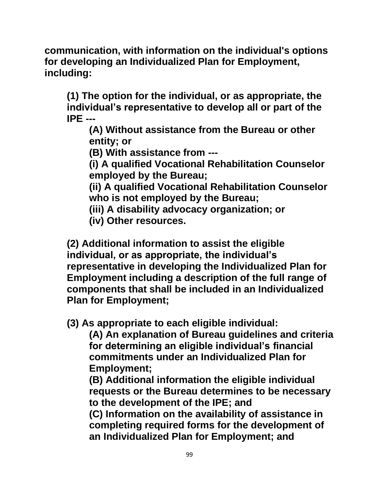**communication, with information on the individual's options for developing an Individualized Plan for Employment, including:**

**(1) The option for the individual, or as appropriate, the individual's representative to develop all or part of the IPE ---**

**(A) Without assistance from the Bureau or other entity; or** 

**(B) With assistance from ---**

**(i) A qualified Vocational Rehabilitation Counselor employed by the Bureau;**

**(ii) A qualified Vocational Rehabilitation Counselor who is not employed by the Bureau;**

- **(iii) A disability advocacy organization; or**
- **(iv) Other resources.**

**(2) Additional information to assist the eligible individual, or as appropriate, the individual's representative in developing the Individualized Plan for Employment including a description of the full range of components that shall be included in an Individualized Plan for Employment;**

**(3) As appropriate to each eligible individual:**

**(A) An explanation of Bureau guidelines and criteria for determining an eligible individual's financial commitments under an Individualized Plan for Employment;**

**(B) Additional information the eligible individual requests or the Bureau determines to be necessary to the development of the IPE; and**

**(C) Information on the availability of assistance in completing required forms for the development of an Individualized Plan for Employment; and**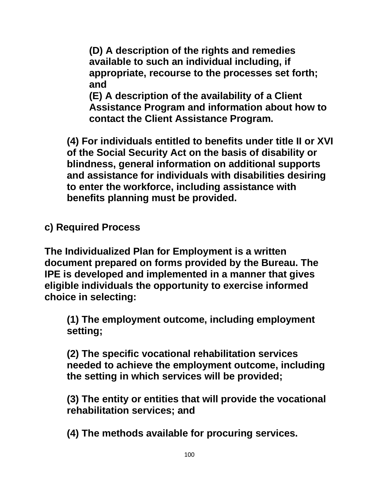**(D) A description of the rights and remedies available to such an individual including, if appropriate, recourse to the processes set forth; and**

**(E) A description of the availability of a Client Assistance Program and information about how to contact the Client Assistance Program.**

**(4) For individuals entitled to benefits under title II or XVI of the Social Security Act on the basis of disability or blindness, general information on additional supports and assistance for individuals with disabilities desiring to enter the workforce, including assistance with benefits planning must be provided.**

**c) Required Process** 

**The Individualized Plan for Employment is a written document prepared on forms provided by the Bureau. The IPE is developed and implemented in a manner that gives eligible individuals the opportunity to exercise informed choice in selecting:**

**(1) The employment outcome, including employment setting;**

**(2) The specific vocational rehabilitation services needed to achieve the employment outcome, including the setting in which services will be provided;**

**(3) The entity or entities that will provide the vocational rehabilitation services; and**

**(4) The methods available for procuring services.**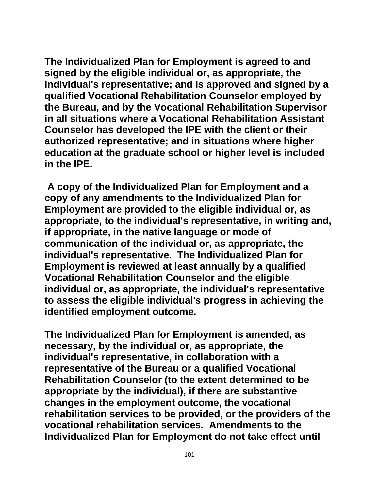**The Individualized Plan for Employment is agreed to and signed by the eligible individual or, as appropriate, the individual's representative; and is approved and signed by a qualified Vocational Rehabilitation Counselor employed by the Bureau, and by the Vocational Rehabilitation Supervisor in all situations where a Vocational Rehabilitation Assistant Counselor has developed the IPE with the client or their authorized representative; and in situations where higher education at the graduate school or higher level is included in the IPE.**

**A copy of the Individualized Plan for Employment and a copy of any amendments to the Individualized Plan for Employment are provided to the eligible individual or, as appropriate, to the individual's representative, in writing and, if appropriate, in the native language or mode of communication of the individual or, as appropriate, the individual's representative. The Individualized Plan for Employment is reviewed at least annually by a qualified Vocational Rehabilitation Counselor and the eligible individual or, as appropriate, the individual's representative to assess the eligible individual's progress in achieving the identified employment outcome.**

**The Individualized Plan for Employment is amended, as necessary, by the individual or, as appropriate, the individual's representative, in collaboration with a representative of the Bureau or a qualified Vocational Rehabilitation Counselor (to the extent determined to be appropriate by the individual), if there are substantive changes in the employment outcome, the vocational rehabilitation services to be provided, or the providers of the vocational rehabilitation services. Amendments to the Individualized Plan for Employment do not take effect until**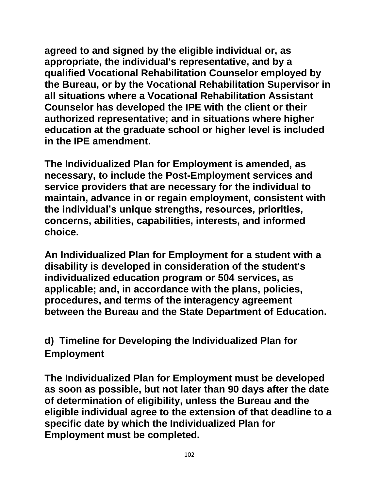**agreed to and signed by the eligible individual or, as appropriate, the individual's representative, and by a qualified Vocational Rehabilitation Counselor employed by the Bureau, or by the Vocational Rehabilitation Supervisor in all situations where a Vocational Rehabilitation Assistant Counselor has developed the IPE with the client or their authorized representative; and in situations where higher education at the graduate school or higher level is included in the IPE amendment.**

**The Individualized Plan for Employment is amended, as necessary, to include the Post-Employment services and service providers that are necessary for the individual to maintain, advance in or regain employment, consistent with the individual's unique strengths, resources, priorities, concerns, abilities, capabilities, interests, and informed choice.** 

**An Individualized Plan for Employment for a student with a disability is developed in consideration of the student's individualized education program or 504 services, as applicable; and, in accordance with the plans, policies, procedures, and terms of the interagency agreement between the Bureau and the State Department of Education.**

**d) Timeline for Developing the Individualized Plan for Employment**

**The Individualized Plan for Employment must be developed as soon as possible, but not later than 90 days after the date of determination of eligibility, unless the Bureau and the eligible individual agree to the extension of that deadline to a specific date by which the Individualized Plan for Employment must be completed.**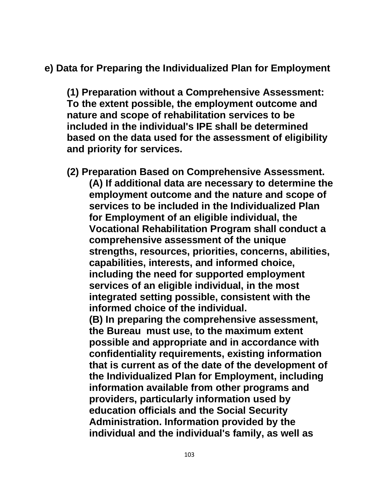# **e) Data for Preparing the Individualized Plan for Employment**

**(1) Preparation without a Comprehensive Assessment: To the extent possible, the employment outcome and nature and scope of rehabilitation services to be included in the individual's IPE shall be determined based on the data used for the assessment of eligibility and priority for services.**

**(2) Preparation Based on Comprehensive Assessment. (A) If additional data are necessary to determine the employment outcome and the nature and scope of services to be included in the Individualized Plan for Employment of an eligible individual, the Vocational Rehabilitation Program shall conduct a comprehensive assessment of the unique strengths, resources, priorities, concerns, abilities, capabilities, interests, and informed choice, including the need for supported employment services of an eligible individual, in the most integrated setting possible, consistent with the informed choice of the individual. (B) In preparing the comprehensive assessment, the Bureau must use, to the maximum extent possible and appropriate and in accordance with confidentiality requirements, existing information that is current as of the date of the development of the Individualized Plan for Employment, including information available from other programs and providers, particularly information used by education officials and the Social Security Administration. Information provided by the individual and the individual's family, as well as**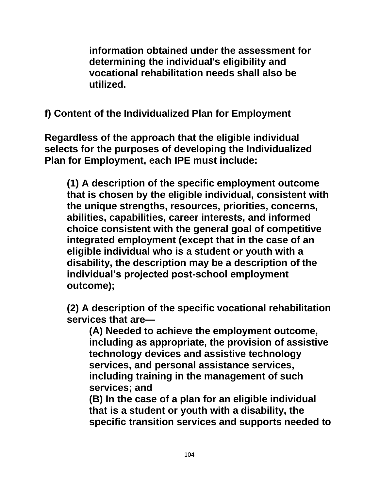**information obtained under the assessment for determining the individual's eligibility and vocational rehabilitation needs shall also be utilized.**

**f) Content of the Individualized Plan for Employment**

**Regardless of the approach that the eligible individual selects for the purposes of developing the Individualized Plan for Employment, each IPE must include:**

**(1) A description of the specific employment outcome that is chosen by the eligible individual, consistent with the unique strengths, resources, priorities, concerns, abilities, capabilities, career interests, and informed choice consistent with the general goal of competitive integrated employment (except that in the case of an eligible individual who is a student or youth with a disability, the description may be a description of the individual's projected post-school employment outcome);**

**(2) A description of the specific vocational rehabilitation services that are—**

**(A) Needed to achieve the employment outcome, including as appropriate, the provision of assistive technology devices and assistive technology services, and personal assistance services, including training in the management of such services; and**

**(B) In the case of a plan for an eligible individual that is a student or youth with a disability, the specific transition services and supports needed to**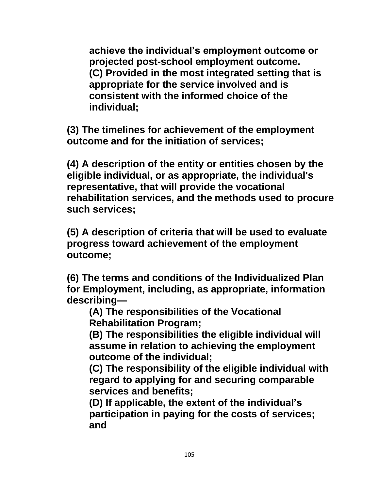**achieve the individual's employment outcome or projected post-school employment outcome. (C) Provided in the most integrated setting that is appropriate for the service involved and is consistent with the informed choice of the individual;**

**(3) The timelines for achievement of the employment outcome and for the initiation of services;**

**(4) A description of the entity or entities chosen by the eligible individual, or as appropriate, the individual's representative, that will provide the vocational rehabilitation services, and the methods used to procure such services;**

**(5) A description of criteria that will be used to evaluate progress toward achievement of the employment outcome;**

**(6) The terms and conditions of the Individualized Plan for Employment, including, as appropriate, information describing—**

**(A) The responsibilities of the Vocational Rehabilitation Program;**

**(B) The responsibilities the eligible individual will assume in relation to achieving the employment outcome of the individual;**

**(C) The responsibility of the eligible individual with regard to applying for and securing comparable services and benefits;** 

**(D) If applicable, the extent of the individual's participation in paying for the costs of services; and**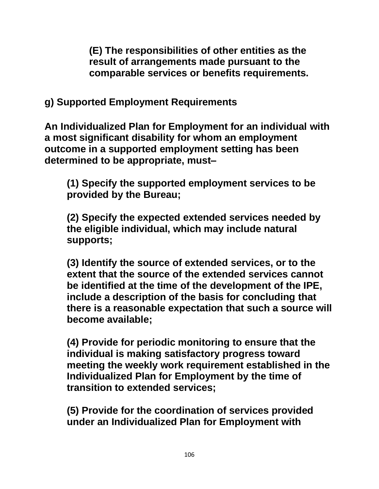**(E) The responsibilities of other entities as the result of arrangements made pursuant to the comparable services or benefits requirements.**

**g) Supported Employment Requirements**

**An Individualized Plan for Employment for an individual with a most significant disability for whom an employment outcome in a supported employment setting has been determined to be appropriate, must–**

**(1) Specify the supported employment services to be provided by the Bureau;**

**(2) Specify the expected extended services needed by the eligible individual, which may include natural supports;** 

**(3) Identify the source of extended services, or to the extent that the source of the extended services cannot be identified at the time of the development of the IPE, include a description of the basis for concluding that there is a reasonable expectation that such a source will become available;**

**(4) Provide for periodic monitoring to ensure that the individual is making satisfactory progress toward meeting the weekly work requirement established in the Individualized Plan for Employment by the time of transition to extended services;** 

**(5) Provide for the coordination of services provided under an Individualized Plan for Employment with**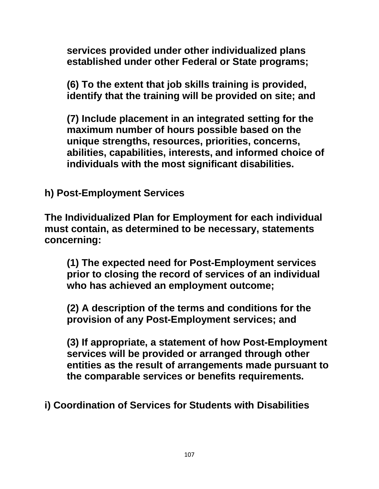**services provided under other individualized plans established under other Federal or State programs;**

**(6) To the extent that job skills training is provided, identify that the training will be provided on site; and** 

**(7) Include placement in an integrated setting for the maximum number of hours possible based on the unique strengths, resources, priorities, concerns, abilities, capabilities, interests, and informed choice of individuals with the most significant disabilities.**

**h) Post-Employment Services**

**The Individualized Plan for Employment for each individual must contain, as determined to be necessary, statements concerning:**

**(1) The expected need for Post-Employment services prior to closing the record of services of an individual who has achieved an employment outcome;** 

**(2) A description of the terms and conditions for the provision of any Post-Employment services; and** 

**(3) If appropriate, a statement of how Post-Employment services will be provided or arranged through other entities as the result of arrangements made pursuant to the comparable services or benefits requirements.**

**i) Coordination of Services for Students with Disabilities**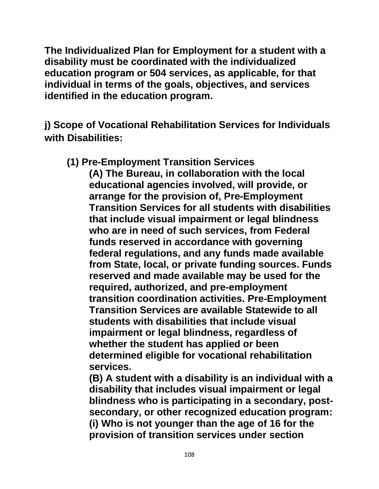**The Individualized Plan for Employment for a student with a disability must be coordinated with the individualized education program or 504 services, as applicable, for that individual in terms of the goals, objectives, and services identified in the education program.**

**j) Scope of Vocational Rehabilitation Services for Individuals with Disabilities:**

**(1) Pre-Employment Transition Services** 

**(A) The Bureau, in collaboration with the local educational agencies involved, will provide, or arrange for the provision of, Pre-Employment Transition Services for all students with disabilities that include visual impairment or legal blindness who are in need of such services, from Federal funds reserved in accordance with governing federal regulations, and any funds made available from State, local, or private funding sources. Funds reserved and made available may be used for the required, authorized, and pre-employment transition coordination activities. Pre-Employment Transition Services are available Statewide to all students with disabilities that include visual impairment or legal blindness, regardless of whether the student has applied or been determined eligible for vocational rehabilitation services.**

**(B) A student with a disability is an individual with a disability that includes visual impairment or legal blindness who is participating in a secondary, postsecondary, or other recognized education program: (i) Who is not younger than the age of 16 for the provision of transition services under section**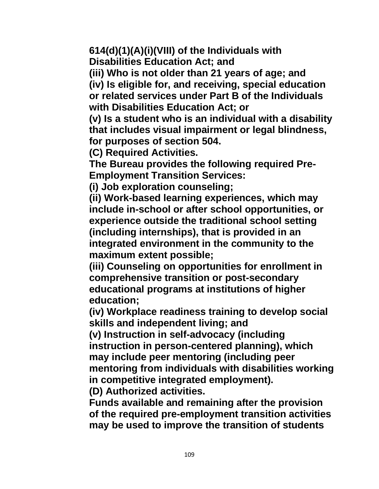**614(d)(1)(A)(i)(VIII) of the Individuals with Disabilities Education Act; and** 

**(iii) Who is not older than 21 years of age; and (iv) Is eligible for, and receiving, special education or related services under Part B of the Individuals with Disabilities Education Act; or**

**(v) Is a student who is an individual with a disability that includes visual impairment or legal blindness, for purposes of section 504.**

**(C) Required Activities.**

**The Bureau provides the following required Pre-Employment Transition Services:**

**(i) Job exploration counseling;**

**(ii) Work-based learning experiences, which may include in-school or after school opportunities, or experience outside the traditional school setting (including internships), that is provided in an integrated environment in the community to the maximum extent possible;**

**(iii) Counseling on opportunities for enrollment in comprehensive transition or post-secondary educational programs at institutions of higher education;**

**(iv) Workplace readiness training to develop social skills and independent living; and**

**(v) Instruction in self-advocacy (including instruction in person-centered planning), which may include peer mentoring (including peer mentoring from individuals with disabilities working in competitive integrated employment).**

**(D) Authorized activities.**

**Funds available and remaining after the provision of the required pre-employment transition activities may be used to improve the transition of students**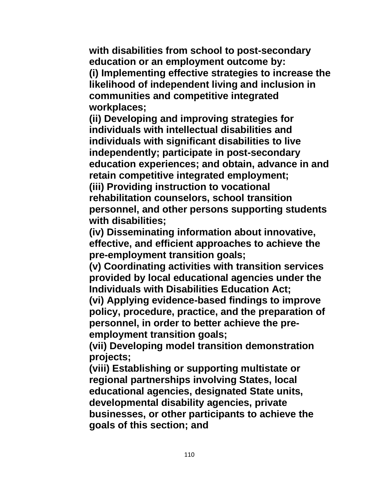**with disabilities from school to post-secondary education or an employment outcome by: (i) Implementing effective strategies to increase the likelihood of independent living and inclusion in communities and competitive integrated workplaces;**

**(ii) Developing and improving strategies for individuals with intellectual disabilities and individuals with significant disabilities to live independently; participate in post-secondary education experiences; and obtain, advance in and retain competitive integrated employment;**

**(iii) Providing instruction to vocational rehabilitation counselors, school transition personnel, and other persons supporting students with disabilities;**

**(iv) Disseminating information about innovative, effective, and efficient approaches to achieve the pre-employment transition goals;**

**(v) Coordinating activities with transition services provided by local educational agencies under the Individuals with Disabilities Education Act;**

**(vi) Applying evidence-based findings to improve policy, procedure, practice, and the preparation of personnel, in order to better achieve the preemployment transition goals;**

**(vii) Developing model transition demonstration projects;**

**(viii) Establishing or supporting multistate or regional partnerships involving States, local educational agencies, designated State units, developmental disability agencies, private businesses, or other participants to achieve the goals of this section; and**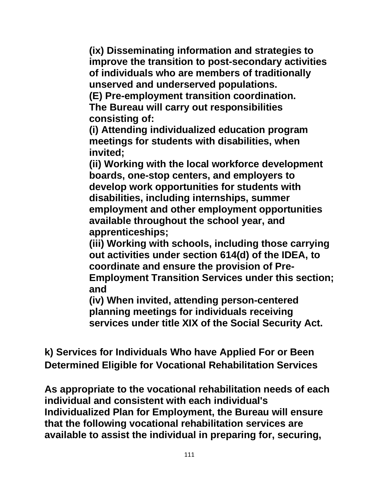**(ix) Disseminating information and strategies to improve the transition to post-secondary activities of individuals who are members of traditionally unserved and underserved populations.**

**(E) Pre-employment transition coordination. The Bureau will carry out responsibilities** 

**consisting of:**

**(i) Attending individualized education program meetings for students with disabilities, when invited;**

**(ii) Working with the local workforce development boards, one-stop centers, and employers to develop work opportunities for students with disabilities, including internships, summer employment and other employment opportunities available throughout the school year, and apprenticeships;**

**(iii) Working with schools, including those carrying out activities under section 614(d) of the IDEA, to coordinate and ensure the provision of Pre-Employment Transition Services under this section; and**

**(iv) When invited, attending person-centered planning meetings for individuals receiving services under title XIX of the Social Security Act.**

**k) Services for Individuals Who have Applied For or Been Determined Eligible for Vocational Rehabilitation Services**

**As appropriate to the vocational rehabilitation needs of each individual and consistent with each individual's Individualized Plan for Employment, the Bureau will ensure that the following vocational rehabilitation services are available to assist the individual in preparing for, securing,**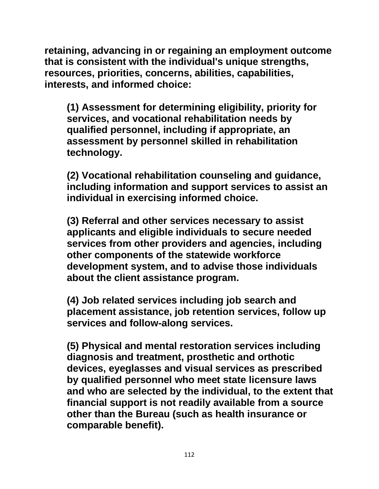**retaining, advancing in or regaining an employment outcome that is consistent with the individual's unique strengths, resources, priorities, concerns, abilities, capabilities, interests, and informed choice:**

**(1) Assessment for determining eligibility, priority for services, and vocational rehabilitation needs by qualified personnel, including if appropriate, an assessment by personnel skilled in rehabilitation technology.**

**(2) Vocational rehabilitation counseling and guidance, including information and support services to assist an individual in exercising informed choice.**

**(3) Referral and other services necessary to assist applicants and eligible individuals to secure needed services from other providers and agencies, including other components of the statewide workforce development system, and to advise those individuals about the client assistance program.**

**(4) Job related services including job search and placement assistance, job retention services, follow up services and follow-along services.**

**(5) Physical and mental restoration services including diagnosis and treatment, prosthetic and orthotic devices, eyeglasses and visual services as prescribed by qualified personnel who meet state licensure laws and who are selected by the individual, to the extent that financial support is not readily available from a source other than the Bureau (such as health insurance or comparable benefit).**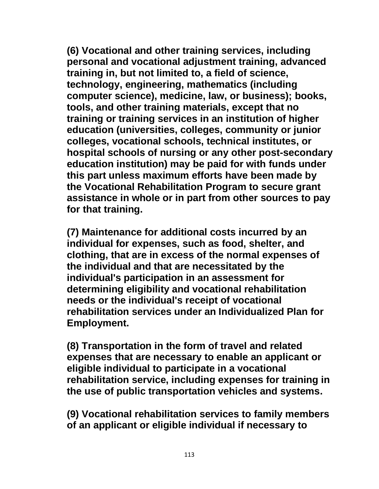**(6) Vocational and other training services, including personal and vocational adjustment training, advanced training in, but not limited to, a field of science, technology, engineering, mathematics (including computer science), medicine, law, or business); books, tools, and other training materials, except that no training or training services in an institution of higher education (universities, colleges, community or junior colleges, vocational schools, technical institutes, or hospital schools of nursing or any other post-secondary education institution) may be paid for with funds under this part unless maximum efforts have been made by the Vocational Rehabilitation Program to secure grant assistance in whole or in part from other sources to pay for that training.** 

**(7) Maintenance for additional costs incurred by an individual for expenses, such as food, shelter, and clothing, that are in excess of the normal expenses of the individual and that are necessitated by the individual's participation in an assessment for determining eligibility and vocational rehabilitation needs or the individual's receipt of vocational rehabilitation services under an Individualized Plan for Employment.**

**(8) Transportation in the form of travel and related expenses that are necessary to enable an applicant or eligible individual to participate in a vocational rehabilitation service, including expenses for training in the use of public transportation vehicles and systems.**

**(9) Vocational rehabilitation services to family members of an applicant or eligible individual if necessary to**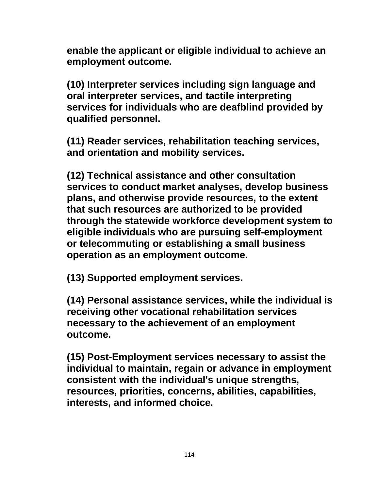**enable the applicant or eligible individual to achieve an employment outcome.**

**(10) Interpreter services including sign language and oral interpreter services, and tactile interpreting services for individuals who are deafblind provided by qualified personnel.**

**(11) Reader services, rehabilitation teaching services, and orientation and mobility services.**

**(12) Technical assistance and other consultation services to conduct market analyses, develop business plans, and otherwise provide resources, to the extent that such resources are authorized to be provided through the statewide workforce development system to eligible individuals who are pursuing self-employment or telecommuting or establishing a small business operation as an employment outcome.**

**(13) Supported employment services.**

**(14) Personal assistance services, while the individual is receiving other vocational rehabilitation services necessary to the achievement of an employment outcome.**

**(15) Post-Employment services necessary to assist the individual to maintain, regain or advance in employment consistent with the individual's unique strengths, resources, priorities, concerns, abilities, capabilities, interests, and informed choice.**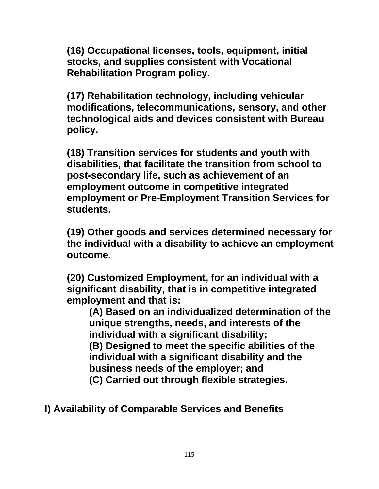**(16) Occupational licenses, tools, equipment, initial stocks, and supplies consistent with Vocational Rehabilitation Program policy.** 

**(17) Rehabilitation technology, including vehicular modifications, telecommunications, sensory, and other technological aids and devices consistent with Bureau policy.** 

**(18) Transition services for students and youth with disabilities, that facilitate the transition from school to post-secondary life, such as achievement of an employment outcome in competitive integrated employment or Pre-Employment Transition Services for students.**

**(19) Other goods and services determined necessary for the individual with a disability to achieve an employment outcome.**

**(20) Customized Employment, for an individual with a significant disability, that is in competitive integrated employment and that is:**

**(A) Based on an individualized determination of the unique strengths, needs, and interests of the individual with a significant disability; (B) Designed to meet the specific abilities of the individual with a significant disability and the business needs of the employer; and (C) Carried out through flexible strategies.**

**l) Availability of Comparable Services and Benefits**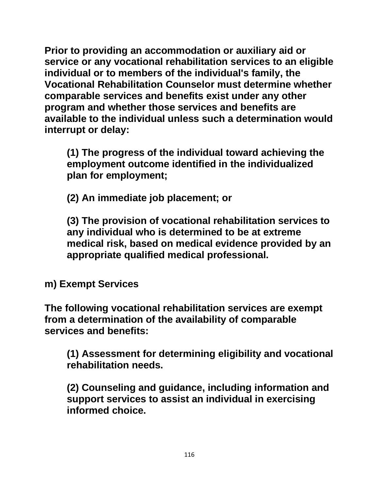**Prior to providing an accommodation or auxiliary aid or service or any vocational rehabilitation services to an eligible individual or to members of the individual's family, the Vocational Rehabilitation Counselor must determine whether comparable services and benefits exist under any other program and whether those services and benefits are available to the individual unless such a determination would interrupt or delay:**

**(1) The progress of the individual toward achieving the employment outcome identified in the individualized plan for employment;**

**(2) An immediate job placement; or**

**(3) The provision of vocational rehabilitation services to any individual who is determined to be at extreme medical risk, based on medical evidence provided by an appropriate qualified medical professional.**

**m) Exempt Services**

**The following vocational rehabilitation services are exempt from a determination of the availability of comparable services and benefits:**

**(1) Assessment for determining eligibility and vocational rehabilitation needs.**

**(2) Counseling and guidance, including information and support services to assist an individual in exercising informed choice.**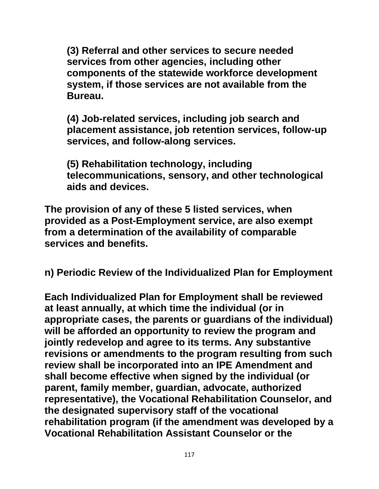**(3) Referral and other services to secure needed services from other agencies, including other components of the statewide workforce development system, if those services are not available from the Bureau.**

**(4) Job-related services, including job search and placement assistance, job retention services, follow-up services, and follow-along services.**

**(5) Rehabilitation technology, including telecommunications, sensory, and other technological aids and devices.**

**The provision of any of these 5 listed services, when provided as a Post-Employment service, are also exempt from a determination of the availability of comparable services and benefits.**

**n) Periodic Review of the Individualized Plan for Employment**

**Each Individualized Plan for Employment shall be reviewed at least annually, at which time the individual (or in appropriate cases, the parents or guardians of the individual) will be afforded an opportunity to review the program and jointly redevelop and agree to its terms. Any substantive revisions or amendments to the program resulting from such review shall be incorporated into an IPE Amendment and shall become effective when signed by the individual (or parent, family member, guardian, advocate, authorized representative), the Vocational Rehabilitation Counselor, and the designated supervisory staff of the vocational rehabilitation program (if the amendment was developed by a Vocational Rehabilitation Assistant Counselor or the**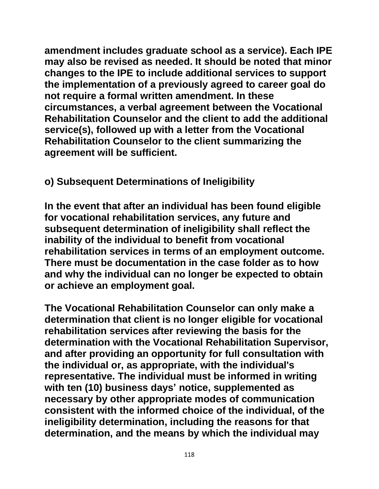**amendment includes graduate school as a service). Each IPE may also be revised as needed. It should be noted that minor changes to the IPE to include additional services to support the implementation of a previously agreed to career goal do not require a formal written amendment. In these circumstances, a verbal agreement between the Vocational Rehabilitation Counselor and the client to add the additional service(s), followed up with a letter from the Vocational Rehabilitation Counselor to the client summarizing the agreement will be sufficient.**

# **o) Subsequent Determinations of Ineligibility**

**In the event that after an individual has been found eligible for vocational rehabilitation services, any future and subsequent determination of ineligibility shall reflect the inability of the individual to benefit from vocational rehabilitation services in terms of an employment outcome. There must be documentation in the case folder as to how and why the individual can no longer be expected to obtain or achieve an employment goal.**

**The Vocational Rehabilitation Counselor can only make a determination that client is no longer eligible for vocational rehabilitation services after reviewing the basis for the determination with the Vocational Rehabilitation Supervisor, and after providing an opportunity for full consultation with the individual or, as appropriate, with the individual's representative. The individual must be informed in writing with ten (10) business days' notice, supplemented as necessary by other appropriate modes of communication consistent with the informed choice of the individual, of the ineligibility determination, including the reasons for that determination, and the means by which the individual may**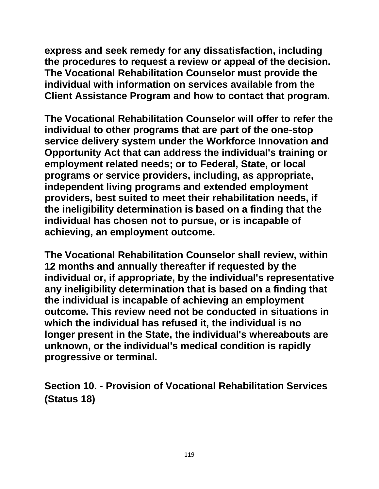**express and seek remedy for any dissatisfaction, including the procedures to request a review or appeal of the decision. The Vocational Rehabilitation Counselor must provide the individual with information on services available from the Client Assistance Program and how to contact that program.** 

**The Vocational Rehabilitation Counselor will offer to refer the individual to other programs that are part of the one-stop service delivery system under the Workforce Innovation and Opportunity Act that can address the individual's training or employment related needs; or to Federal, State, or local programs or service providers, including, as appropriate, independent living programs and extended employment providers, best suited to meet their rehabilitation needs, if the ineligibility determination is based on a finding that the individual has chosen not to pursue, or is incapable of achieving, an employment outcome.**

**The Vocational Rehabilitation Counselor shall review, within 12 months and annually thereafter if requested by the individual or, if appropriate, by the individual's representative any ineligibility determination that is based on a finding that the individual is incapable of achieving an employment outcome. This review need not be conducted in situations in which the individual has refused it, the individual is no longer present in the State, the individual's whereabouts are unknown, or the individual's medical condition is rapidly progressive or terminal.**

**Section 10. - Provision of Vocational Rehabilitation Services (Status 18)**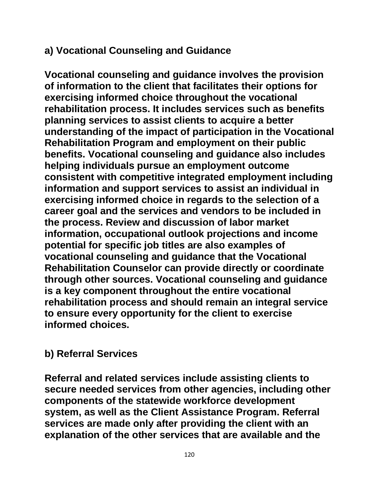## **a) Vocational Counseling and Guidance**

**Vocational counseling and guidance involves the provision of information to the client that facilitates their options for exercising informed choice throughout the vocational rehabilitation process. It includes services such as benefits planning services to assist clients to acquire a better understanding of the impact of participation in the Vocational Rehabilitation Program and employment on their public benefits. Vocational counseling and guidance also includes helping individuals pursue an employment outcome consistent with competitive integrated employment including information and support services to assist an individual in exercising informed choice in regards to the selection of a career goal and the services and vendors to be included in the process. Review and discussion of labor market information, occupational outlook projections and income potential for specific job titles are also examples of vocational counseling and guidance that the Vocational Rehabilitation Counselor can provide directly or coordinate through other sources. Vocational counseling and guidance is a key component throughout the entire vocational rehabilitation process and should remain an integral service to ensure every opportunity for the client to exercise informed choices.**

# **b) Referral Services**

**Referral and related services include assisting clients to secure needed services from other agencies, including other components of the statewide workforce development system, as well as the Client Assistance Program. Referral services are made only after providing the client with an explanation of the other services that are available and the**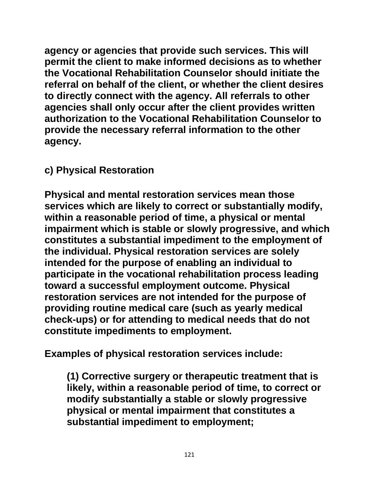**agency or agencies that provide such services. This will permit the client to make informed decisions as to whether the Vocational Rehabilitation Counselor should initiate the referral on behalf of the client, or whether the client desires to directly connect with the agency. All referrals to other agencies shall only occur after the client provides written authorization to the Vocational Rehabilitation Counselor to provide the necessary referral information to the other agency.**

## **c) Physical Restoration**

**Physical and mental restoration services mean those services which are likely to correct or substantially modify, within a reasonable period of time, a physical or mental impairment which is stable or slowly progressive, and which constitutes a substantial impediment to the employment of the individual. Physical restoration services are solely intended for the purpose of enabling an individual to participate in the vocational rehabilitation process leading toward a successful employment outcome. Physical restoration services are not intended for the purpose of providing routine medical care (such as yearly medical check-ups) or for attending to medical needs that do not constitute impediments to employment.**

**Examples of physical restoration services include:**

**(1) Corrective surgery or therapeutic treatment that is likely, within a reasonable period of time, to correct or modify substantially a stable or slowly progressive physical or mental impairment that constitutes a substantial impediment to employment;**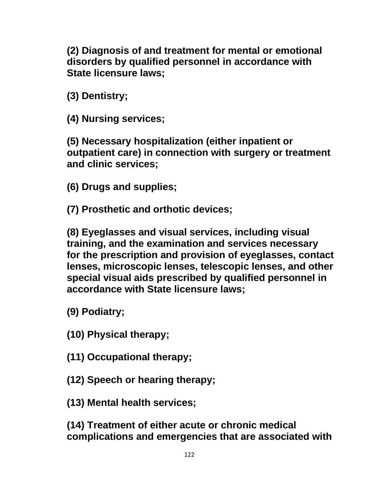**(2) Diagnosis of and treatment for mental or emotional disorders by qualified personnel in accordance with State licensure laws;**

**(3) Dentistry;**

**(4) Nursing services;**

**(5) Necessary hospitalization (either inpatient or outpatient care) in connection with surgery or treatment and clinic services;**

**(6) Drugs and supplies;**

**(7) Prosthetic and orthotic devices;**

**(8) Eyeglasses and visual services, including visual training, and the examination and services necessary for the prescription and provision of eyeglasses, contact lenses, microscopic lenses, telescopic lenses, and other special visual aids prescribed by qualified personnel in accordance with State licensure laws;**

**(9) Podiatry;**

**(10) Physical therapy;**

**(11) Occupational therapy;**

**(12) Speech or hearing therapy;**

**(13) Mental health services;**

**(14) Treatment of either acute or chronic medical complications and emergencies that are associated with**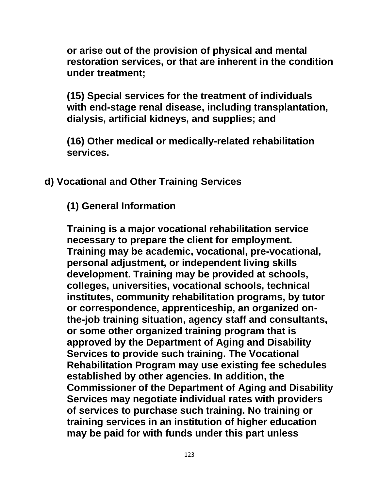**or arise out of the provision of physical and mental restoration services, or that are inherent in the condition under treatment;**

**(15) Special services for the treatment of individuals with end-stage renal disease, including transplantation, dialysis, artificial kidneys, and supplies; and**

**(16) Other medical or medically-related rehabilitation services.**

**d) Vocational and Other Training Services** 

**(1) General Information**

**Training is a major vocational rehabilitation service necessary to prepare the client for employment. Training may be academic, vocational, pre-vocational, personal adjustment, or independent living skills development. Training may be provided at schools, colleges, universities, vocational schools, technical institutes, community rehabilitation programs, by tutor or correspondence, apprenticeship, an organized onthe-job training situation, agency staff and consultants, or some other organized training program that is approved by the Department of Aging and Disability Services to provide such training. The Vocational Rehabilitation Program may use existing fee schedules established by other agencies. In addition, the Commissioner of the Department of Aging and Disability Services may negotiate individual rates with providers of services to purchase such training. No training or training services in an institution of higher education may be paid for with funds under this part unless**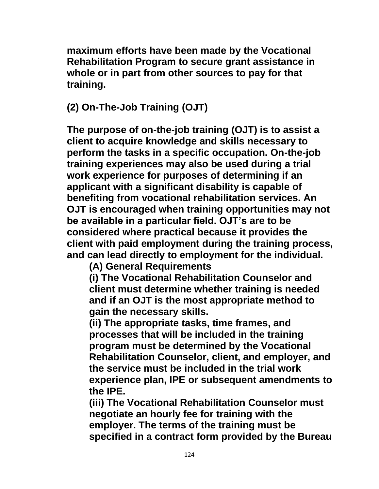**maximum efforts have been made by the Vocational Rehabilitation Program to secure grant assistance in whole or in part from other sources to pay for that training.**

# **(2) On-The-Job Training (OJT)**

**The purpose of on-the-job training (OJT) is to assist a client to acquire knowledge and skills necessary to perform the tasks in a specific occupation. On-the-job training experiences may also be used during a trial work experience for purposes of determining if an applicant with a significant disability is capable of benefiting from vocational rehabilitation services. An OJT is encouraged when training opportunities may not be available in a particular field. OJT's are to be considered where practical because it provides the client with paid employment during the training process, and can lead directly to employment for the individual.**

**(A) General Requirements**

**(i) The Vocational Rehabilitation Counselor and client must determine whether training is needed and if an OJT is the most appropriate method to gain the necessary skills.**

**(ii) The appropriate tasks, time frames, and processes that will be included in the training program must be determined by the Vocational Rehabilitation Counselor, client, and employer, and the service must be included in the trial work experience plan, IPE or subsequent amendments to the IPE.**

**(iii) The Vocational Rehabilitation Counselor must negotiate an hourly fee for training with the employer. The terms of the training must be specified in a contract form provided by the Bureau**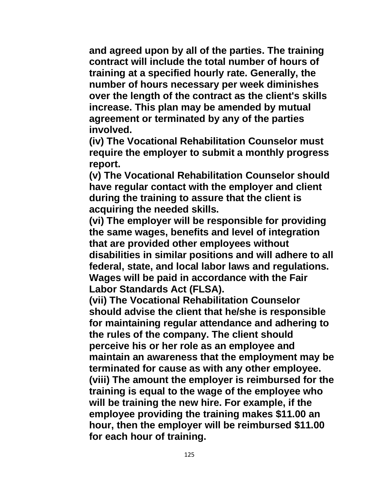**and agreed upon by all of the parties. The training contract will include the total number of hours of training at a specified hourly rate. Generally, the number of hours necessary per week diminishes over the length of the contract as the client's skills increase. This plan may be amended by mutual agreement or terminated by any of the parties involved.**

**(iv) The Vocational Rehabilitation Counselor must require the employer to submit a monthly progress report.**

**(v) The Vocational Rehabilitation Counselor should have regular contact with the employer and client during the training to assure that the client is acquiring the needed skills.**

**(vi) The employer will be responsible for providing the same wages, benefits and level of integration that are provided other employees without disabilities in similar positions and will adhere to all federal, state, and local labor laws and regulations. Wages will be paid in accordance with the Fair Labor Standards Act (FLSA).**

**(vii) The Vocational Rehabilitation Counselor should advise the client that he/she is responsible for maintaining regular attendance and adhering to the rules of the company. The client should perceive his or her role as an employee and maintain an awareness that the employment may be terminated for cause as with any other employee. (viii) The amount the employer is reimbursed for the training is equal to the wage of the employee who will be training the new hire. For example, if the employee providing the training makes \$11.00 an hour, then the employer will be reimbursed \$11.00 for each hour of training.**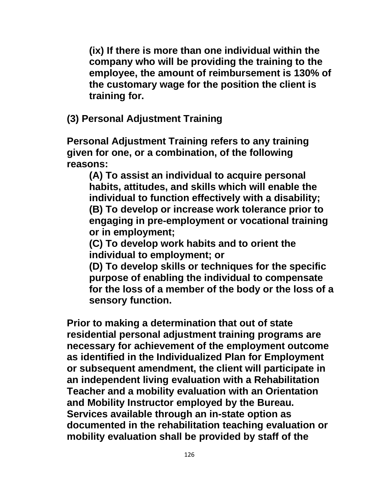**(ix) If there is more than one individual within the company who will be providing the training to the employee, the amount of reimbursement is 130% of the customary wage for the position the client is training for.**

**(3) Personal Adjustment Training**

**Personal Adjustment Training refers to any training given for one, or a combination, of the following reasons:**

**(A) To assist an individual to acquire personal habits, attitudes, and skills which will enable the individual to function effectively with a disability; (B) To develop or increase work tolerance prior to engaging in pre-employment or vocational training or in employment;**

**(C) To develop work habits and to orient the individual to employment; or**

**(D) To develop skills or techniques for the specific purpose of enabling the individual to compensate for the loss of a member of the body or the loss of a sensory function.**

**Prior to making a determination that out of state residential personal adjustment training programs are necessary for achievement of the employment outcome as identified in the Individualized Plan for Employment or subsequent amendment, the client will participate in an independent living evaluation with a Rehabilitation Teacher and a mobility evaluation with an Orientation and Mobility Instructor employed by the Bureau. Services available through an in-state option as documented in the rehabilitation teaching evaluation or mobility evaluation shall be provided by staff of the**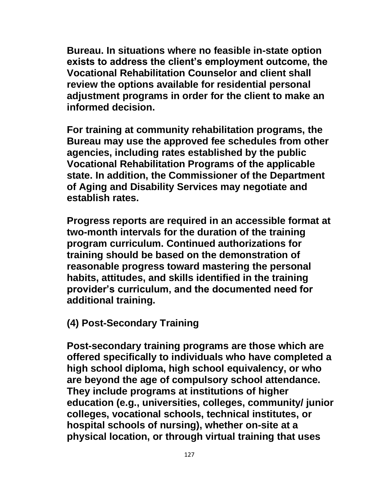**Bureau. In situations where no feasible in-state option exists to address the client's employment outcome, the Vocational Rehabilitation Counselor and client shall review the options available for residential personal adjustment programs in order for the client to make an informed decision.**

**For training at community rehabilitation programs, the Bureau may use the approved fee schedules from other agencies, including rates established by the public Vocational Rehabilitation Programs of the applicable state. In addition, the Commissioner of the Department of Aging and Disability Services may negotiate and establish rates.** 

**Progress reports are required in an accessible format at two-month intervals for the duration of the training program curriculum. Continued authorizations for training should be based on the demonstration of reasonable progress toward mastering the personal habits, attitudes, and skills identified in the training provider's curriculum, and the documented need for additional training.** 

#### **(4) Post-Secondary Training**

**Post-secondary training programs are those which are offered specifically to individuals who have completed a high school diploma, high school equivalency, or who are beyond the age of compulsory school attendance. They include programs at institutions of higher education (e.g., universities, colleges, community/ junior colleges, vocational schools, technical institutes, or hospital schools of nursing), whether on-site at a physical location, or through virtual training that uses**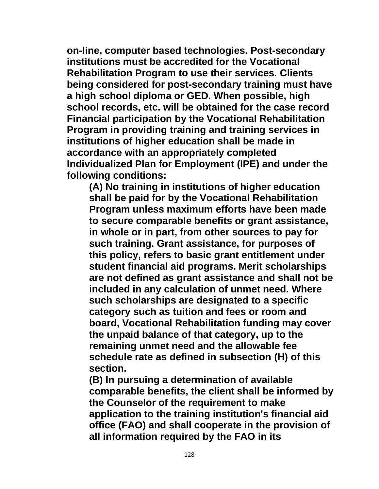**on-line, computer based technologies. Post-secondary institutions must be accredited for the Vocational Rehabilitation Program to use their services. Clients being considered for post-secondary training must have a high school diploma or GED. When possible, high school records, etc. will be obtained for the case record Financial participation by the Vocational Rehabilitation Program in providing training and training services in institutions of higher education shall be made in accordance with an appropriately completed Individualized Plan for Employment (IPE) and under the following conditions:**

**(A) No training in institutions of higher education shall be paid for by the Vocational Rehabilitation Program unless maximum efforts have been made to secure comparable benefits or grant assistance, in whole or in part, from other sources to pay for such training. Grant assistance, for purposes of this policy, refers to basic grant entitlement under student financial aid programs. Merit scholarships are not defined as grant assistance and shall not be included in any calculation of unmet need. Where such scholarships are designated to a specific category such as tuition and fees or room and board, Vocational Rehabilitation funding may cover the unpaid balance of that category, up to the remaining unmet need and the allowable fee schedule rate as defined in subsection (H) of this section.**

**(B) In pursuing a determination of available comparable benefits, the client shall be informed by the Counselor of the requirement to make application to the training institution's financial aid office (FAO) and shall cooperate in the provision of all information required by the FAO in its**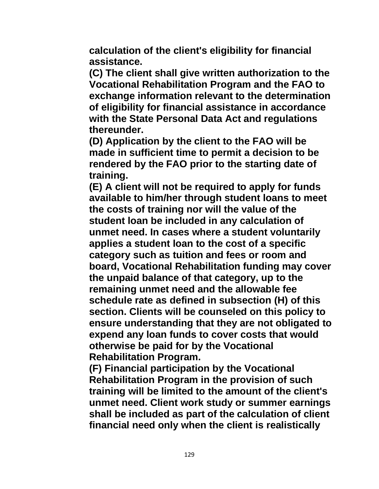**calculation of the client's eligibility for financial assistance.**

**(C) The client shall give written authorization to the Vocational Rehabilitation Program and the FAO to exchange information relevant to the determination of eligibility for financial assistance in accordance with the State Personal Data Act and regulations thereunder.**

**(D) Application by the client to the FAO will be made in sufficient time to permit a decision to be rendered by the FAO prior to the starting date of training.**

**(E) A client will not be required to apply for funds available to him/her through student loans to meet the costs of training nor will the value of the student loan be included in any calculation of unmet need. In cases where a student voluntarily applies a student loan to the cost of a specific category such as tuition and fees or room and board, Vocational Rehabilitation funding may cover the unpaid balance of that category, up to the remaining unmet need and the allowable fee schedule rate as defined in subsection (H) of this section. Clients will be counseled on this policy to ensure understanding that they are not obligated to expend any loan funds to cover costs that would otherwise be paid for by the Vocational Rehabilitation Program.**

**(F) Financial participation by the Vocational Rehabilitation Program in the provision of such training will be limited to the amount of the client's unmet need. Client work study or summer earnings shall be included as part of the calculation of client financial need only when the client is realistically**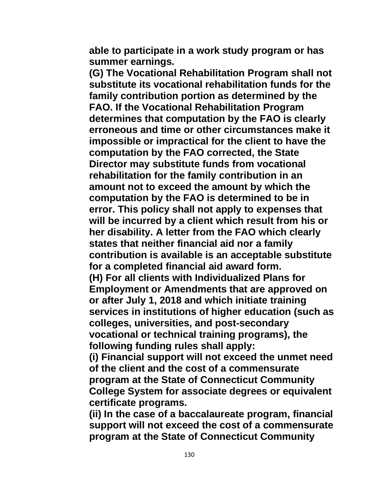**able to participate in a work study program or has summer earnings.**

**(G) The Vocational Rehabilitation Program shall not substitute its vocational rehabilitation funds for the family contribution portion as determined by the FAO. If the Vocational Rehabilitation Program determines that computation by the FAO is clearly erroneous and time or other circumstances make it impossible or impractical for the client to have the computation by the FAO corrected, the State Director may substitute funds from vocational rehabilitation for the family contribution in an amount not to exceed the amount by which the computation by the FAO is determined to be in error. This policy shall not apply to expenses that will be incurred by a client which result from his or her disability. A letter from the FAO which clearly states that neither financial aid nor a family contribution is available is an acceptable substitute for a completed financial aid award form. (H) For all clients with Individualized Plans for Employment or Amendments that are approved on or after July 1, 2018 and which initiate training** 

**services in institutions of higher education (such as colleges, universities, and post-secondary vocational or technical training programs), the following funding rules shall apply:** 

**(i) Financial support will not exceed the unmet need of the client and the cost of a commensurate program at the State of Connecticut Community College System for associate degrees or equivalent certificate programs.** 

**(ii) In the case of a baccalaureate program, financial support will not exceed the cost of a commensurate program at the State of Connecticut Community**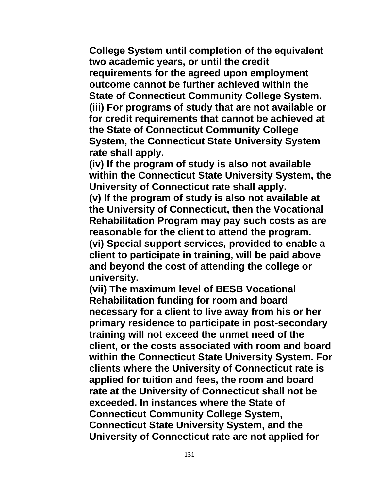**College System until completion of the equivalent two academic years, or until the credit requirements for the agreed upon employment outcome cannot be further achieved within the State of Connecticut Community College System. (iii) For programs of study that are not available or for credit requirements that cannot be achieved at the State of Connecticut Community College System, the Connecticut State University System rate shall apply.** 

**(iv) If the program of study is also not available within the Connecticut State University System, the University of Connecticut rate shall apply.** 

**(v) If the program of study is also not available at the University of Connecticut, then the Vocational Rehabilitation Program may pay such costs as are reasonable for the client to attend the program. (vi) Special support services, provided to enable a client to participate in training, will be paid above and beyond the cost of attending the college or university.**

**(vii) The maximum level of BESB Vocational Rehabilitation funding for room and board necessary for a client to live away from his or her primary residence to participate in post-secondary training will not exceed the unmet need of the client, or the costs associated with room and board within the Connecticut State University System. For clients where the University of Connecticut rate is applied for tuition and fees, the room and board rate at the University of Connecticut shall not be exceeded. In instances where the State of Connecticut Community College System, Connecticut State University System, and the University of Connecticut rate are not applied for**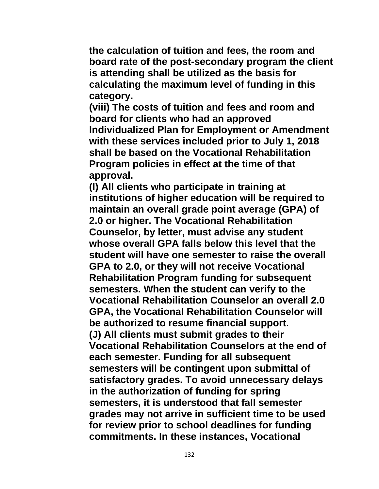**the calculation of tuition and fees, the room and board rate of the post-secondary program the client is attending shall be utilized as the basis for calculating the maximum level of funding in this category.**

**(viii) The costs of tuition and fees and room and board for clients who had an approved Individualized Plan for Employment or Amendment with these services included prior to July 1, 2018 shall be based on the Vocational Rehabilitation Program policies in effect at the time of that approval.**

**(I) All clients who participate in training at institutions of higher education will be required to maintain an overall grade point average (GPA) of 2.0 or higher. The Vocational Rehabilitation Counselor, by letter, must advise any student whose overall GPA falls below this level that the student will have one semester to raise the overall GPA to 2.0, or they will not receive Vocational Rehabilitation Program funding for subsequent semesters. When the student can verify to the Vocational Rehabilitation Counselor an overall 2.0 GPA, the Vocational Rehabilitation Counselor will be authorized to resume financial support. (J) All clients must submit grades to their Vocational Rehabilitation Counselors at the end of each semester. Funding for all subsequent semesters will be contingent upon submittal of satisfactory grades. To avoid unnecessary delays in the authorization of funding for spring semesters, it is understood that fall semester grades may not arrive in sufficient time to be used for review prior to school deadlines for funding commitments. In these instances, Vocational**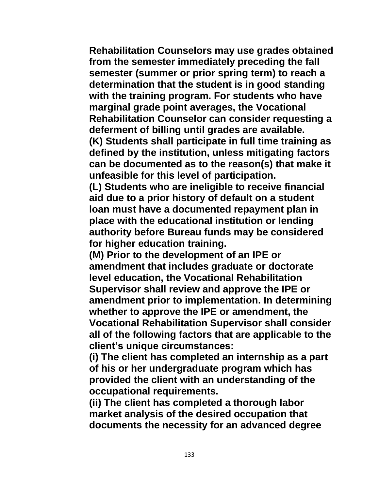**Rehabilitation Counselors may use grades obtained from the semester immediately preceding the fall semester (summer or prior spring term) to reach a determination that the student is in good standing with the training program. For students who have marginal grade point averages, the Vocational Rehabilitation Counselor can consider requesting a deferment of billing until grades are available.**

**(K) Students shall participate in full time training as defined by the institution, unless mitigating factors can be documented as to the reason(s) that make it unfeasible for this level of participation.**

**(L) Students who are ineligible to receive financial aid due to a prior history of default on a student loan must have a documented repayment plan in place with the educational institution or lending authority before Bureau funds may be considered for higher education training.**

**(M) Prior to the development of an IPE or amendment that includes graduate or doctorate level education, the Vocational Rehabilitation Supervisor shall review and approve the IPE or amendment prior to implementation. In determining whether to approve the IPE or amendment, the Vocational Rehabilitation Supervisor shall consider all of the following factors that are applicable to the client's unique circumstances:**

**(i) The client has completed an internship as a part of his or her undergraduate program which has provided the client with an understanding of the occupational requirements.** 

**(ii) The client has completed a thorough labor market analysis of the desired occupation that documents the necessity for an advanced degree**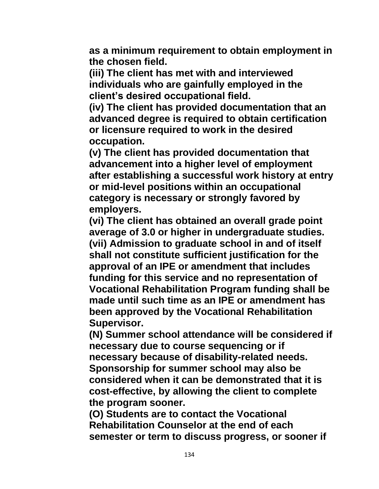**as a minimum requirement to obtain employment in the chosen field.** 

**(iii) The client has met with and interviewed individuals who are gainfully employed in the client's desired occupational field.** 

**(iv) The client has provided documentation that an advanced degree is required to obtain certification or licensure required to work in the desired occupation.**

**(v) The client has provided documentation that advancement into a higher level of employment after establishing a successful work history at entry or mid-level positions within an occupational category is necessary or strongly favored by employers.** 

**(vi) The client has obtained an overall grade point average of 3.0 or higher in undergraduate studies. (vii) Admission to graduate school in and of itself shall not constitute sufficient justification for the approval of an IPE or amendment that includes funding for this service and no representation of Vocational Rehabilitation Program funding shall be made until such time as an IPE or amendment has been approved by the Vocational Rehabilitation Supervisor.**

**(N) Summer school attendance will be considered if necessary due to course sequencing or if necessary because of disability-related needs. Sponsorship for summer school may also be considered when it can be demonstrated that it is cost-effective, by allowing the client to complete the program sooner.**

**(O) Students are to contact the Vocational Rehabilitation Counselor at the end of each semester or term to discuss progress, or sooner if**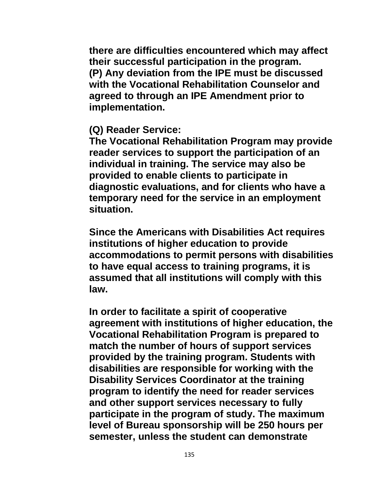**there are difficulties encountered which may affect their successful participation in the program. (P) Any deviation from the IPE must be discussed with the Vocational Rehabilitation Counselor and agreed to through an IPE Amendment prior to implementation.**

#### **(Q) Reader Service:**

**The Vocational Rehabilitation Program may provide reader services to support the participation of an individual in training. The service may also be provided to enable clients to participate in diagnostic evaluations, and for clients who have a temporary need for the service in an employment situation.**

**Since the Americans with Disabilities Act requires institutions of higher education to provide accommodations to permit persons with disabilities to have equal access to training programs, it is assumed that all institutions will comply with this law.**

**In order to facilitate a spirit of cooperative agreement with institutions of higher education, the Vocational Rehabilitation Program is prepared to match the number of hours of support services provided by the training program. Students with disabilities are responsible for working with the Disability Services Coordinator at the training program to identify the need for reader services and other support services necessary to fully participate in the program of study. The maximum level of Bureau sponsorship will be 250 hours per semester, unless the student can demonstrate**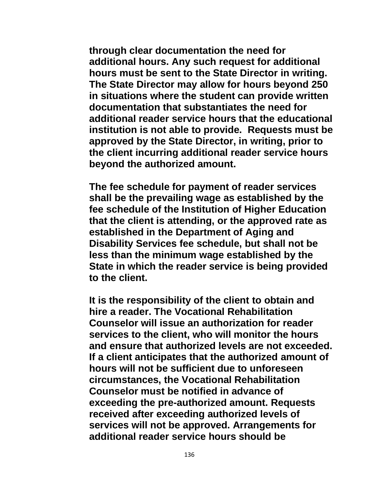**through clear documentation the need for additional hours. Any such request for additional hours must be sent to the State Director in writing. The State Director may allow for hours beyond 250 in situations where the student can provide written documentation that substantiates the need for additional reader service hours that the educational institution is not able to provide. Requests must be approved by the State Director, in writing, prior to the client incurring additional reader service hours beyond the authorized amount.**

**The fee schedule for payment of reader services shall be the prevailing wage as established by the fee schedule of the Institution of Higher Education that the client is attending, or the approved rate as established in the Department of Aging and Disability Services fee schedule, but shall not be less than the minimum wage established by the State in which the reader service is being provided to the client.**

**It is the responsibility of the client to obtain and hire a reader. The Vocational Rehabilitation Counselor will issue an authorization for reader services to the client, who will monitor the hours and ensure that authorized levels are not exceeded. If a client anticipates that the authorized amount of hours will not be sufficient due to unforeseen circumstances, the Vocational Rehabilitation Counselor must be notified in advance of exceeding the pre-authorized amount. Requests received after exceeding authorized levels of services will not be approved. Arrangements for additional reader service hours should be**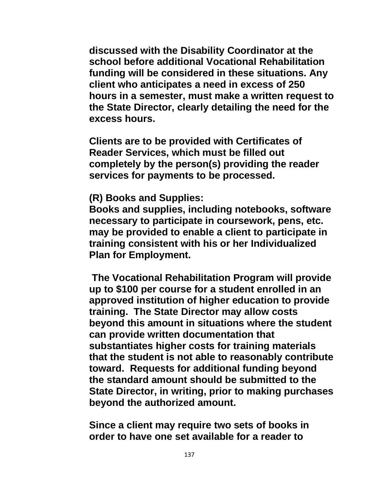**discussed with the Disability Coordinator at the school before additional Vocational Rehabilitation funding will be considered in these situations. Any client who anticipates a need in excess of 250 hours in a semester, must make a written request to the State Director, clearly detailing the need for the excess hours.**

**Clients are to be provided with Certificates of Reader Services, which must be filled out completely by the person(s) providing the reader services for payments to be processed.**

#### **(R) Books and Supplies:**

**Books and supplies, including notebooks, software necessary to participate in coursework, pens, etc. may be provided to enable a client to participate in training consistent with his or her Individualized Plan for Employment.** 

**The Vocational Rehabilitation Program will provide up to \$100 per course for a student enrolled in an approved institution of higher education to provide training. The State Director may allow costs beyond this amount in situations where the student can provide written documentation that substantiates higher costs for training materials that the student is not able to reasonably contribute toward. Requests for additional funding beyond the standard amount should be submitted to the State Director, in writing, prior to making purchases beyond the authorized amount.**

**Since a client may require two sets of books in order to have one set available for a reader to**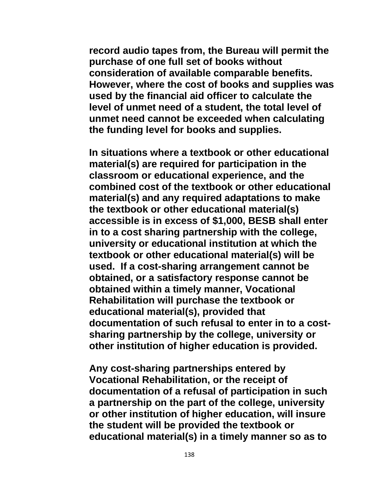**record audio tapes from, the Bureau will permit the purchase of one full set of books without consideration of available comparable benefits. However, where the cost of books and supplies was used by the financial aid officer to calculate the level of unmet need of a student, the total level of unmet need cannot be exceeded when calculating the funding level for books and supplies.**

**In situations where a textbook or other educational material(s) are required for participation in the classroom or educational experience, and the combined cost of the textbook or other educational material(s) and any required adaptations to make the textbook or other educational material(s) accessible is in excess of \$1,000, BESB shall enter in to a cost sharing partnership with the college, university or educational institution at which the textbook or other educational material(s) will be used. If a cost-sharing arrangement cannot be obtained, or a satisfactory response cannot be obtained within a timely manner, Vocational Rehabilitation will purchase the textbook or educational material(s), provided that documentation of such refusal to enter in to a costsharing partnership by the college, university or other institution of higher education is provided.**

**Any cost-sharing partnerships entered by Vocational Rehabilitation, or the receipt of documentation of a refusal of participation in such a partnership on the part of the college, university or other institution of higher education, will insure the student will be provided the textbook or educational material(s) in a timely manner so as to**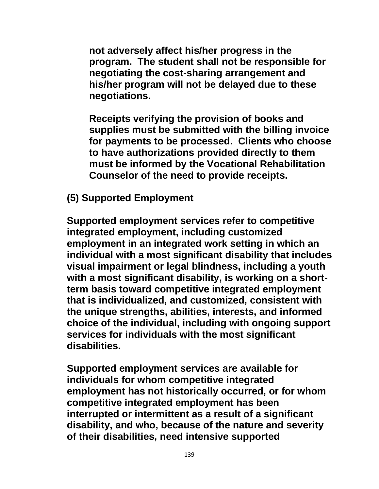**not adversely affect his/her progress in the program. The student shall not be responsible for negotiating the cost-sharing arrangement and his/her program will not be delayed due to these negotiations.**

**Receipts verifying the provision of books and supplies must be submitted with the billing invoice for payments to be processed. Clients who choose to have authorizations provided directly to them must be informed by the Vocational Rehabilitation Counselor of the need to provide receipts.**

**(5) Supported Employment**

**Supported employment services refer to competitive integrated employment, including customized employment in an integrated work setting in which an individual with a most significant disability that includes visual impairment or legal blindness, including a youth with a most significant disability, is working on a shortterm basis toward competitive integrated employment that is individualized, and customized, consistent with the unique strengths, abilities, interests, and informed choice of the individual, including with ongoing support services for individuals with the most significant disabilities.** 

**Supported employment services are available for individuals for whom competitive integrated employment has not historically occurred, or for whom competitive integrated employment has been interrupted or intermittent as a result of a significant disability, and who, because of the nature and severity of their disabilities, need intensive supported**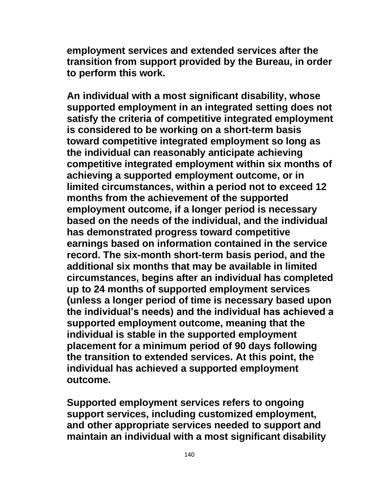**employment services and extended services after the transition from support provided by the Bureau, in order to perform this work.**

**An individual with a most significant disability, whose supported employment in an integrated setting does not satisfy the criteria of competitive integrated employment is considered to be working on a short-term basis toward competitive integrated employment so long as the individual can reasonably anticipate achieving competitive integrated employment within six months of achieving a supported employment outcome, or in limited circumstances, within a period not to exceed 12 months from the achievement of the supported employment outcome, if a longer period is necessary based on the needs of the individual, and the individual has demonstrated progress toward competitive earnings based on information contained in the service record. The six-month short-term basis period, and the additional six months that may be available in limited circumstances, begins after an individual has completed up to 24 months of supported employment services (unless a longer period of time is necessary based upon the individual's needs) and the individual has achieved a supported employment outcome, meaning that the individual is stable in the supported employment placement for a minimum period of 90 days following the transition to extended services. At this point, the individual has achieved a supported employment outcome.**

**Supported employment services refers to ongoing support services, including customized employment, and other appropriate services needed to support and maintain an individual with a most significant disability**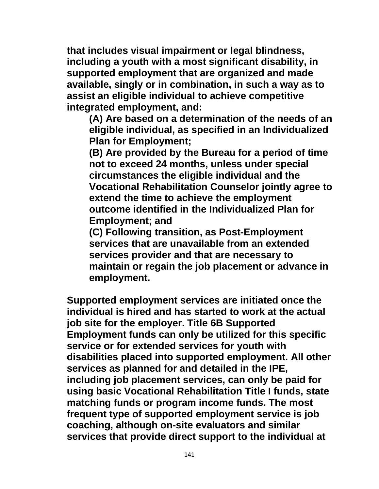**that includes visual impairment or legal blindness, including a youth with a most significant disability, in supported employment that are organized and made available, singly or in combination, in such a way as to assist an eligible individual to achieve competitive integrated employment, and:**

**(A) Are based on a determination of the needs of an eligible individual, as specified in an Individualized Plan for Employment;**

**(B) Are provided by the Bureau for a period of time not to exceed 24 months, unless under special circumstances the eligible individual and the Vocational Rehabilitation Counselor jointly agree to extend the time to achieve the employment outcome identified in the Individualized Plan for Employment; and**

**(C) Following transition, as Post-Employment services that are unavailable from an extended services provider and that are necessary to maintain or regain the job placement or advance in employment.**

**Supported employment services are initiated once the individual is hired and has started to work at the actual job site for the employer. Title 6B Supported Employment funds can only be utilized for this specific service or for extended services for youth with disabilities placed into supported employment. All other services as planned for and detailed in the IPE, including job placement services, can only be paid for using basic Vocational Rehabilitation Title I funds, state matching funds or program income funds. The most frequent type of supported employment service is job coaching, although on-site evaluators and similar services that provide direct support to the individual at**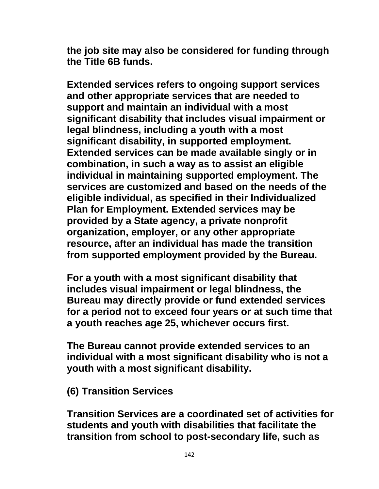**the job site may also be considered for funding through the Title 6B funds.**

**Extended services refers to ongoing support services and other appropriate services that are needed to support and maintain an individual with a most significant disability that includes visual impairment or legal blindness, including a youth with a most significant disability, in supported employment. Extended services can be made available singly or in combination, in such a way as to assist an eligible individual in maintaining supported employment. The services are customized and based on the needs of the eligible individual, as specified in their Individualized Plan for Employment. Extended services may be provided by a State agency, a private nonprofit organization, employer, or any other appropriate resource, after an individual has made the transition from supported employment provided by the Bureau.**

**For a youth with a most significant disability that includes visual impairment or legal blindness, the Bureau may directly provide or fund extended services for a period not to exceed four years or at such time that a youth reaches age 25, whichever occurs first.** 

**The Bureau cannot provide extended services to an individual with a most significant disability who is not a youth with a most significant disability.**

**(6) Transition Services** 

**Transition Services are a coordinated set of activities for students and youth with disabilities that facilitate the transition from school to post-secondary life, such as**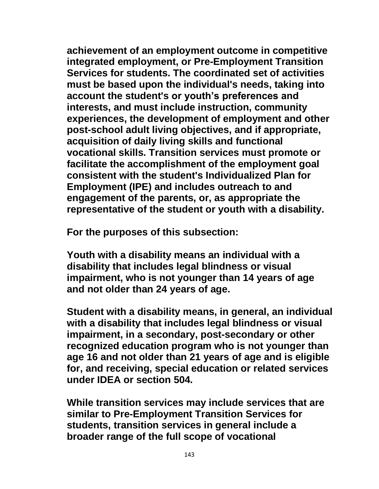**achievement of an employment outcome in competitive integrated employment, or Pre-Employment Transition Services for students. The coordinated set of activities must be based upon the individual's needs, taking into account the student's or youth's preferences and interests, and must include instruction, community experiences, the development of employment and other post-school adult living objectives, and if appropriate, acquisition of daily living skills and functional vocational skills. Transition services must promote or facilitate the accomplishment of the employment goal consistent with the student's Individualized Plan for Employment (IPE) and includes outreach to and engagement of the parents, or, as appropriate the representative of the student or youth with a disability.**

**For the purposes of this subsection:** 

**Youth with a disability means an individual with a disability that includes legal blindness or visual impairment, who is not younger than 14 years of age and not older than 24 years of age.**

**Student with a disability means, in general, an individual with a disability that includes legal blindness or visual impairment, in a secondary, post-secondary or other recognized education program who is not younger than age 16 and not older than 21 years of age and is eligible for, and receiving, special education or related services under IDEA or section 504.** 

**While transition services may include services that are similar to Pre-Employment Transition Services for students, transition services in general include a broader range of the full scope of vocational**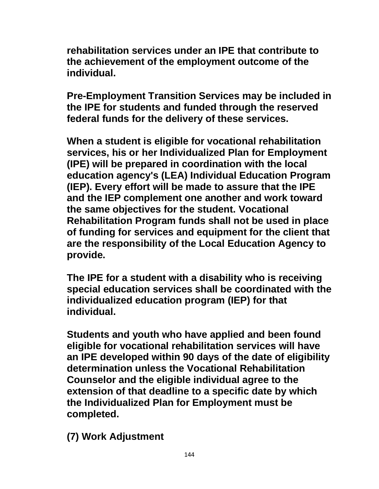**rehabilitation services under an IPE that contribute to the achievement of the employment outcome of the individual.** 

**Pre-Employment Transition Services may be included in the IPE for students and funded through the reserved federal funds for the delivery of these services.**

**When a student is eligible for vocational rehabilitation services, his or her Individualized Plan for Employment (IPE) will be prepared in coordination with the local education agency's (LEA) Individual Education Program (IEP). Every effort will be made to assure that the IPE and the IEP complement one another and work toward the same objectives for the student. Vocational Rehabilitation Program funds shall not be used in place of funding for services and equipment for the client that are the responsibility of the Local Education Agency to provide.** 

**The IPE for a student with a disability who is receiving special education services shall be coordinated with the individualized education program (IEP) for that individual.**

**Students and youth who have applied and been found eligible for vocational rehabilitation services will have an IPE developed within 90 days of the date of eligibility determination unless the Vocational Rehabilitation Counselor and the eligible individual agree to the extension of that deadline to a specific date by which the Individualized Plan for Employment must be completed.**

**(7) Work Adjustment**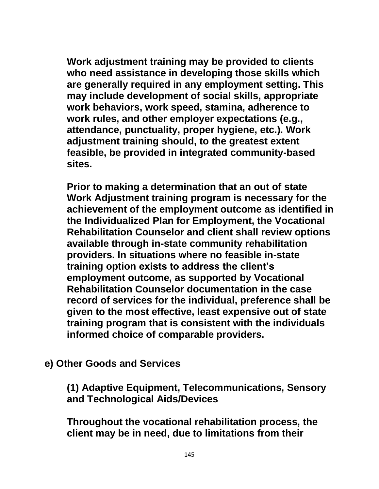**Work adjustment training may be provided to clients who need assistance in developing those skills which are generally required in any employment setting. This may include development of social skills, appropriate work behaviors, work speed, stamina, adherence to work rules, and other employer expectations (e.g., attendance, punctuality, proper hygiene, etc.). Work adjustment training should, to the greatest extent feasible, be provided in integrated community-based sites.**

**Prior to making a determination that an out of state Work Adjustment training program is necessary for the achievement of the employment outcome as identified in the Individualized Plan for Employment, the Vocational Rehabilitation Counselor and client shall review options available through in-state community rehabilitation providers. In situations where no feasible in-state training option exists to address the client's employment outcome, as supported by Vocational Rehabilitation Counselor documentation in the case record of services for the individual, preference shall be given to the most effective, least expensive out of state training program that is consistent with the individuals informed choice of comparable providers.**

**e) Other Goods and Services**

**(1) Adaptive Equipment, Telecommunications, Sensory and Technological Aids/Devices**

**Throughout the vocational rehabilitation process, the client may be in need, due to limitations from their**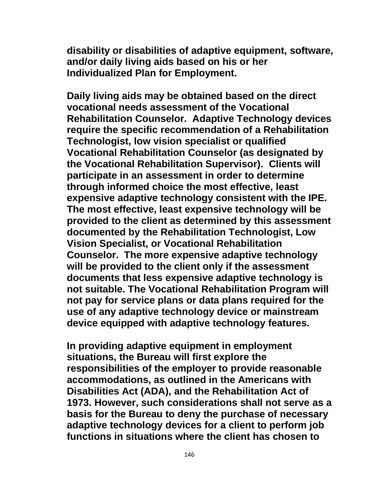**disability or disabilities of adaptive equipment, software, and/or daily living aids based on his or her Individualized Plan for Employment.**

**Daily living aids may be obtained based on the direct vocational needs assessment of the Vocational Rehabilitation Counselor. Adaptive Technology devices require the specific recommendation of a Rehabilitation Technologist, low vision specialist or qualified Vocational Rehabilitation Counselor (as designated by the Vocational Rehabilitation Supervisor). Clients will participate in an assessment in order to determine through informed choice the most effective, least expensive adaptive technology consistent with the IPE. The most effective, least expensive technology will be provided to the client as determined by this assessment documented by the Rehabilitation Technologist, Low Vision Specialist, or Vocational Rehabilitation Counselor. The more expensive adaptive technology will be provided to the client only if the assessment documents that less expensive adaptive technology is not suitable. The Vocational Rehabilitation Program will not pay for service plans or data plans required for the use of any adaptive technology device or mainstream device equipped with adaptive technology features.**

**In providing adaptive equipment in employment situations, the Bureau will first explore the responsibilities of the employer to provide reasonable accommodations, as outlined in the Americans with Disabilities Act (ADA), and the Rehabilitation Act of 1973. However, such considerations shall not serve as a basis for the Bureau to deny the purchase of necessary adaptive technology devices for a client to perform job functions in situations where the client has chosen to**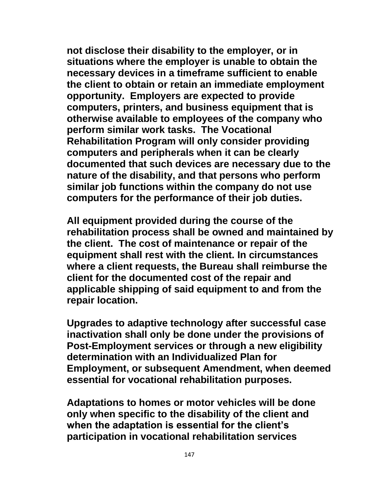**not disclose their disability to the employer, or in situations where the employer is unable to obtain the necessary devices in a timeframe sufficient to enable the client to obtain or retain an immediate employment opportunity. Employers are expected to provide computers, printers, and business equipment that is otherwise available to employees of the company who perform similar work tasks. The Vocational Rehabilitation Program will only consider providing computers and peripherals when it can be clearly documented that such devices are necessary due to the nature of the disability, and that persons who perform similar job functions within the company do not use computers for the performance of their job duties.**

**All equipment provided during the course of the rehabilitation process shall be owned and maintained by the client. The cost of maintenance or repair of the equipment shall rest with the client. In circumstances where a client requests, the Bureau shall reimburse the client for the documented cost of the repair and applicable shipping of said equipment to and from the repair location.** 

**Upgrades to adaptive technology after successful case inactivation shall only be done under the provisions of Post-Employment services or through a new eligibility determination with an Individualized Plan for Employment, or subsequent Amendment, when deemed essential for vocational rehabilitation purposes.**

**Adaptations to homes or motor vehicles will be done only when specific to the disability of the client and when the adaptation is essential for the client's participation in vocational rehabilitation services**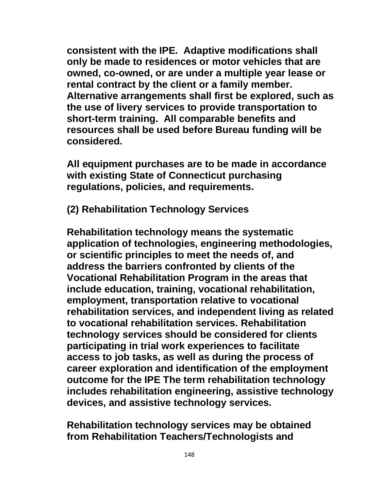**consistent with the IPE. Adaptive modifications shall only be made to residences or motor vehicles that are owned, co-owned, or are under a multiple year lease or rental contract by the client or a family member. Alternative arrangements shall first be explored, such as the use of livery services to provide transportation to short-term training. All comparable benefits and resources shall be used before Bureau funding will be considered.**

**All equipment purchases are to be made in accordance with existing State of Connecticut purchasing regulations, policies, and requirements.**

**(2) Rehabilitation Technology Services**

**Rehabilitation technology means the systematic application of technologies, engineering methodologies, or scientific principles to meet the needs of, and address the barriers confronted by clients of the Vocational Rehabilitation Program in the areas that include education, training, vocational rehabilitation, employment, transportation relative to vocational rehabilitation services, and independent living as related to vocational rehabilitation services. Rehabilitation technology services should be considered for clients participating in trial work experiences to facilitate access to job tasks, as well as during the process of career exploration and identification of the employment outcome for the IPE The term rehabilitation technology includes rehabilitation engineering, assistive technology devices, and assistive technology services.**

**Rehabilitation technology services may be obtained from Rehabilitation Teachers/Technologists and**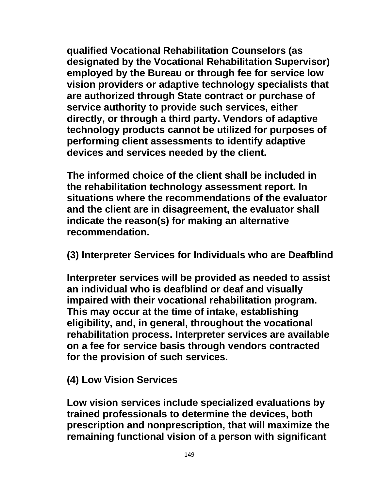**qualified Vocational Rehabilitation Counselors (as designated by the Vocational Rehabilitation Supervisor) employed by the Bureau or through fee for service low vision providers or adaptive technology specialists that are authorized through State contract or purchase of service authority to provide such services, either directly, or through a third party. Vendors of adaptive technology products cannot be utilized for purposes of performing client assessments to identify adaptive devices and services needed by the client.** 

**The informed choice of the client shall be included in the rehabilitation technology assessment report. In situations where the recommendations of the evaluator and the client are in disagreement, the evaluator shall indicate the reason(s) for making an alternative recommendation.**

**(3) Interpreter Services for Individuals who are Deafblind** 

**Interpreter services will be provided as needed to assist an individual who is deafblind or deaf and visually impaired with their vocational rehabilitation program. This may occur at the time of intake, establishing eligibility, and, in general, throughout the vocational rehabilitation process. Interpreter services are available on a fee for service basis through vendors contracted for the provision of such services.** 

**(4) Low Vision Services**

**Low vision services include specialized evaluations by trained professionals to determine the devices, both prescription and nonprescription, that will maximize the remaining functional vision of a person with significant**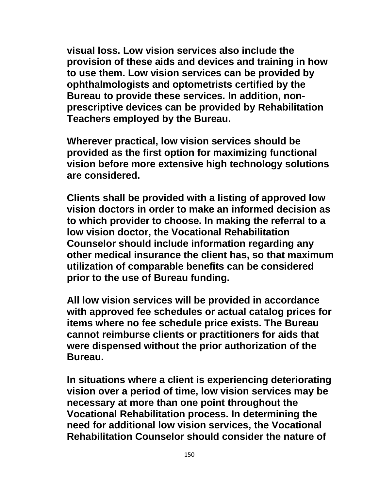**visual loss. Low vision services also include the provision of these aids and devices and training in how to use them. Low vision services can be provided by ophthalmologists and optometrists certified by the Bureau to provide these services. In addition, nonprescriptive devices can be provided by Rehabilitation Teachers employed by the Bureau.**

**Wherever practical, low vision services should be provided as the first option for maximizing functional vision before more extensive high technology solutions are considered.** 

**Clients shall be provided with a listing of approved low vision doctors in order to make an informed decision as to which provider to choose. In making the referral to a low vision doctor, the Vocational Rehabilitation Counselor should include information regarding any other medical insurance the client has, so that maximum utilization of comparable benefits can be considered prior to the use of Bureau funding.**

**All low vision services will be provided in accordance with approved fee schedules or actual catalog prices for items where no fee schedule price exists. The Bureau cannot reimburse clients or practitioners for aids that were dispensed without the prior authorization of the Bureau.**

**In situations where a client is experiencing deteriorating vision over a period of time, low vision services may be necessary at more than one point throughout the Vocational Rehabilitation process. In determining the need for additional low vision services, the Vocational Rehabilitation Counselor should consider the nature of**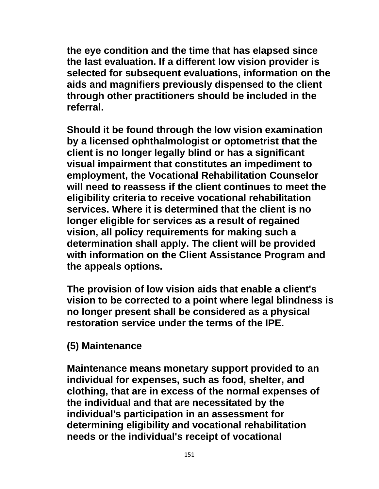**the eye condition and the time that has elapsed since the last evaluation. If a different low vision provider is selected for subsequent evaluations, information on the aids and magnifiers previously dispensed to the client through other practitioners should be included in the referral.**

**Should it be found through the low vision examination by a licensed ophthalmologist or optometrist that the client is no longer legally blind or has a significant visual impairment that constitutes an impediment to employment, the Vocational Rehabilitation Counselor will need to reassess if the client continues to meet the eligibility criteria to receive vocational rehabilitation services. Where it is determined that the client is no longer eligible for services as a result of regained vision, all policy requirements for making such a determination shall apply. The client will be provided with information on the Client Assistance Program and the appeals options.**

**The provision of low vision aids that enable a client's vision to be corrected to a point where legal blindness is no longer present shall be considered as a physical restoration service under the terms of the IPE.**

#### **(5) Maintenance**

**Maintenance means monetary support provided to an individual for expenses, such as food, shelter, and clothing, that are in excess of the normal expenses of the individual and that are necessitated by the individual's participation in an assessment for determining eligibility and vocational rehabilitation needs or the individual's receipt of vocational**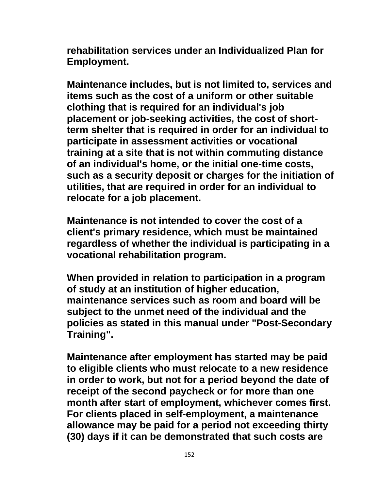**rehabilitation services under an Individualized Plan for Employment.**

**Maintenance includes, but is not limited to, services and items such as the cost of a uniform or other suitable clothing that is required for an individual's job placement or job-seeking activities, the cost of shortterm shelter that is required in order for an individual to participate in assessment activities or vocational training at a site that is not within commuting distance of an individual's home, or the initial one-time costs, such as a security deposit or charges for the initiation of utilities, that are required in order for an individual to relocate for a job placement.**

**Maintenance is not intended to cover the cost of a client's primary residence, which must be maintained regardless of whether the individual is participating in a vocational rehabilitation program.**

**When provided in relation to participation in a program of study at an institution of higher education, maintenance services such as room and board will be subject to the unmet need of the individual and the policies as stated in this manual under "Post-Secondary Training".** 

**Maintenance after employment has started may be paid to eligible clients who must relocate to a new residence in order to work, but not for a period beyond the date of receipt of the second paycheck or for more than one month after start of employment, whichever comes first. For clients placed in self-employment, a maintenance allowance may be paid for a period not exceeding thirty (30) days if it can be demonstrated that such costs are**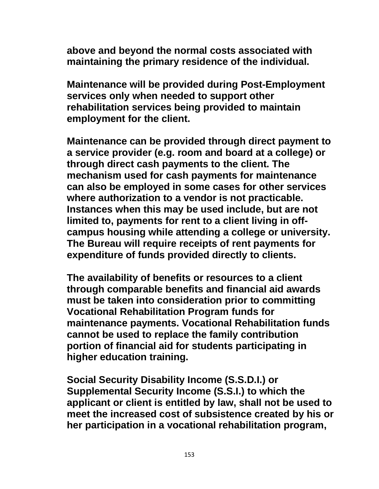**above and beyond the normal costs associated with maintaining the primary residence of the individual.**

**Maintenance will be provided during Post-Employment services only when needed to support other rehabilitation services being provided to maintain employment for the client.**

**Maintenance can be provided through direct payment to a service provider (e.g. room and board at a college) or through direct cash payments to the client. The mechanism used for cash payments for maintenance can also be employed in some cases for other services where authorization to a vendor is not practicable. Instances when this may be used include, but are not limited to, payments for rent to a client living in offcampus housing while attending a college or university. The Bureau will require receipts of rent payments for expenditure of funds provided directly to clients.**

**The availability of benefits or resources to a client through comparable benefits and financial aid awards must be taken into consideration prior to committing Vocational Rehabilitation Program funds for maintenance payments. Vocational Rehabilitation funds cannot be used to replace the family contribution portion of financial aid for students participating in higher education training.**

**Social Security Disability Income (S.S.D.I.) or Supplemental Security Income (S.S.I.) to which the applicant or client is entitled by law, shall not be used to meet the increased cost of subsistence created by his or her participation in a vocational rehabilitation program,**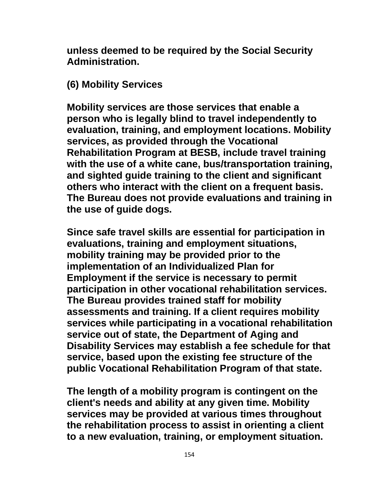**unless deemed to be required by the Social Security Administration.**

# **(6) Mobility Services**

**Mobility services are those services that enable a person who is legally blind to travel independently to evaluation, training, and employment locations. Mobility services, as provided through the Vocational Rehabilitation Program at BESB, include travel training with the use of a white cane, bus/transportation training, and sighted guide training to the client and significant others who interact with the client on a frequent basis. The Bureau does not provide evaluations and training in the use of guide dogs.**

**Since safe travel skills are essential for participation in evaluations, training and employment situations, mobility training may be provided prior to the implementation of an Individualized Plan for Employment if the service is necessary to permit participation in other vocational rehabilitation services. The Bureau provides trained staff for mobility assessments and training. If a client requires mobility services while participating in a vocational rehabilitation service out of state, the Department of Aging and Disability Services may establish a fee schedule for that service, based upon the existing fee structure of the public Vocational Rehabilitation Program of that state.**

**The length of a mobility program is contingent on the client's needs and ability at any given time. Mobility services may be provided at various times throughout the rehabilitation process to assist in orienting a client to a new evaluation, training, or employment situation.**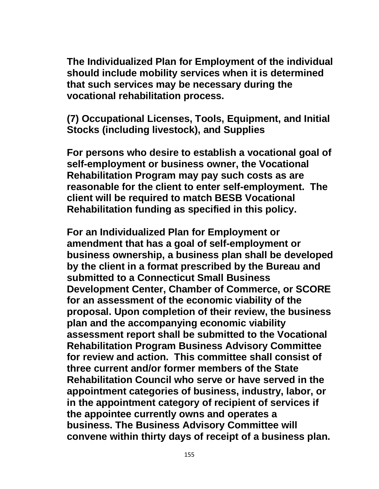**The Individualized Plan for Employment of the individual should include mobility services when it is determined that such services may be necessary during the vocational rehabilitation process.**

**(7) Occupational Licenses, Tools, Equipment, and Initial Stocks (including livestock), and Supplies**

**For persons who desire to establish a vocational goal of self-employment or business owner, the Vocational Rehabilitation Program may pay such costs as are reasonable for the client to enter self-employment. The client will be required to match BESB Vocational Rehabilitation funding as specified in this policy.**

**For an Individualized Plan for Employment or amendment that has a goal of self-employment or business ownership, a business plan shall be developed by the client in a format prescribed by the Bureau and submitted to a Connecticut Small Business Development Center, Chamber of Commerce, or SCORE for an assessment of the economic viability of the proposal. Upon completion of their review, the business plan and the accompanying economic viability assessment report shall be submitted to the Vocational Rehabilitation Program Business Advisory Committee for review and action. This committee shall consist of three current and/or former members of the State Rehabilitation Council who serve or have served in the appointment categories of business, industry, labor, or in the appointment category of recipient of services if the appointee currently owns and operates a business. The Business Advisory Committee will convene within thirty days of receipt of a business plan.**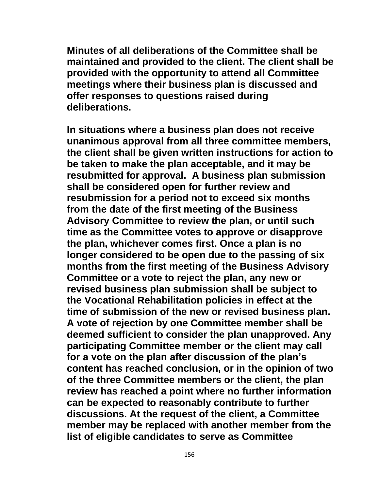**Minutes of all deliberations of the Committee shall be maintained and provided to the client. The client shall be provided with the opportunity to attend all Committee meetings where their business plan is discussed and offer responses to questions raised during deliberations.**

**In situations where a business plan does not receive unanimous approval from all three committee members, the client shall be given written instructions for action to be taken to make the plan acceptable, and it may be resubmitted for approval. A business plan submission shall be considered open for further review and resubmission for a period not to exceed six months from the date of the first meeting of the Business Advisory Committee to review the plan, or until such time as the Committee votes to approve or disapprove the plan, whichever comes first. Once a plan is no longer considered to be open due to the passing of six months from the first meeting of the Business Advisory Committee or a vote to reject the plan, any new or revised business plan submission shall be subject to the Vocational Rehabilitation policies in effect at the time of submission of the new or revised business plan. A vote of rejection by one Committee member shall be deemed sufficient to consider the plan unapproved. Any participating Committee member or the client may call for a vote on the plan after discussion of the plan's content has reached conclusion, or in the opinion of two of the three Committee members or the client, the plan review has reached a point where no further information can be expected to reasonably contribute to further discussions. At the request of the client, a Committee member may be replaced with another member from the list of eligible candidates to serve as Committee**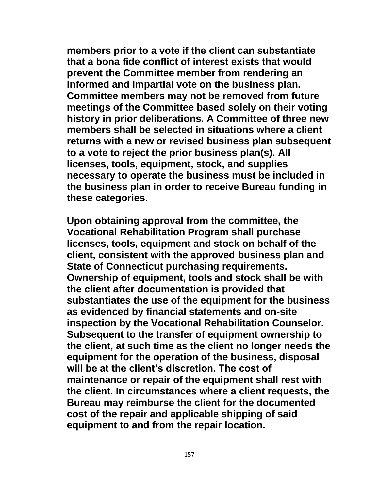**members prior to a vote if the client can substantiate that a bona fide conflict of interest exists that would prevent the Committee member from rendering an informed and impartial vote on the business plan. Committee members may not be removed from future meetings of the Committee based solely on their voting history in prior deliberations. A Committee of three new members shall be selected in situations where a client returns with a new or revised business plan subsequent to a vote to reject the prior business plan(s). All licenses, tools, equipment, stock, and supplies necessary to operate the business must be included in the business plan in order to receive Bureau funding in these categories.**

**Upon obtaining approval from the committee, the Vocational Rehabilitation Program shall purchase licenses, tools, equipment and stock on behalf of the client, consistent with the approved business plan and State of Connecticut purchasing requirements. Ownership of equipment, tools and stock shall be with the client after documentation is provided that substantiates the use of the equipment for the business as evidenced by financial statements and on-site inspection by the Vocational Rehabilitation Counselor. Subsequent to the transfer of equipment ownership to the client, at such time as the client no longer needs the equipment for the operation of the business, disposal will be at the client's discretion. The cost of maintenance or repair of the equipment shall rest with the client. In circumstances where a client requests, the Bureau may reimburse the client for the documented cost of the repair and applicable shipping of said equipment to and from the repair location.**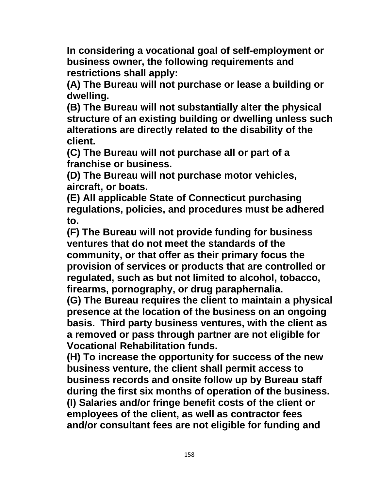**In considering a vocational goal of self-employment or business owner, the following requirements and restrictions shall apply:**

**(A) The Bureau will not purchase or lease a building or dwelling.**

**(B) The Bureau will not substantially alter the physical structure of an existing building or dwelling unless such alterations are directly related to the disability of the client.**

**(C) The Bureau will not purchase all or part of a franchise or business.**

**(D) The Bureau will not purchase motor vehicles, aircraft, or boats.**

**(E) All applicable State of Connecticut purchasing regulations, policies, and procedures must be adhered to.**

**(F) The Bureau will not provide funding for business ventures that do not meet the standards of the community, or that offer as their primary focus the provision of services or products that are controlled or regulated, such as but not limited to alcohol, tobacco, firearms, pornography, or drug paraphernalia.**

**(G) The Bureau requires the client to maintain a physical presence at the location of the business on an ongoing basis. Third party business ventures, with the client as a removed or pass through partner are not eligible for Vocational Rehabilitation funds.**

**(H) To increase the opportunity for success of the new business venture, the client shall permit access to business records and onsite follow up by Bureau staff during the first six months of operation of the business. (I) Salaries and/or fringe benefit costs of the client or employees of the client, as well as contractor fees and/or consultant fees are not eligible for funding and**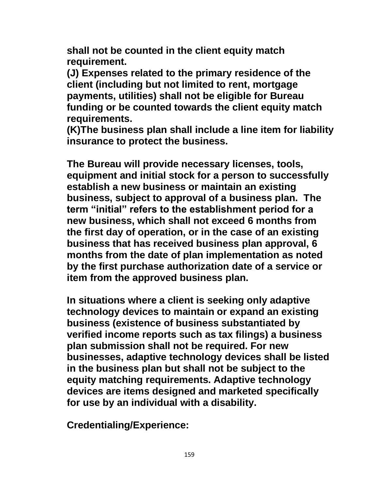**shall not be counted in the client equity match requirement.**

**(J) Expenses related to the primary residence of the client (including but not limited to rent, mortgage payments, utilities) shall not be eligible for Bureau funding or be counted towards the client equity match requirements.**

**(K)The business plan shall include a line item for liability insurance to protect the business.**

**The Bureau will provide necessary licenses, tools, equipment and initial stock for a person to successfully establish a new business or maintain an existing business, subject to approval of a business plan. The term "initial" refers to the establishment period for a new business, which shall not exceed 6 months from the first day of operation, or in the case of an existing business that has received business plan approval, 6 months from the date of plan implementation as noted by the first purchase authorization date of a service or item from the approved business plan.** 

**In situations where a client is seeking only adaptive technology devices to maintain or expand an existing business (existence of business substantiated by verified income reports such as tax filings) a business plan submission shall not be required. For new businesses, adaptive technology devices shall be listed in the business plan but shall not be subject to the equity matching requirements. Adaptive technology devices are items designed and marketed specifically for use by an individual with a disability.**

**Credentialing/Experience:**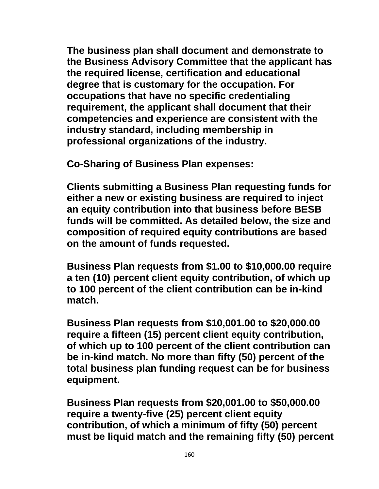**The business plan shall document and demonstrate to the Business Advisory Committee that the applicant has the required license, certification and educational degree that is customary for the occupation. For occupations that have no specific credentialing requirement, the applicant shall document that their competencies and experience are consistent with the industry standard, including membership in professional organizations of the industry.** 

**Co-Sharing of Business Plan expenses:**

**Clients submitting a Business Plan requesting funds for either a new or existing business are required to inject an equity contribution into that business before BESB funds will be committed. As detailed below, the size and composition of required equity contributions are based on the amount of funds requested.**

**Business Plan requests from \$1.00 to \$10,000.00 require a ten (10) percent client equity contribution, of which up to 100 percent of the client contribution can be in-kind match.**

**Business Plan requests from \$10,001.00 to \$20,000.00 require a fifteen (15) percent client equity contribution, of which up to 100 percent of the client contribution can be in-kind match. No more than fifty (50) percent of the total business plan funding request can be for business equipment.**

**Business Plan requests from \$20,001.00 to \$50,000.00 require a twenty-five (25) percent client equity contribution, of which a minimum of fifty (50) percent must be liquid match and the remaining fifty (50) percent**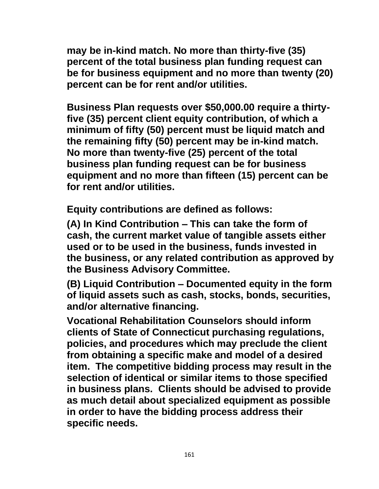**may be in-kind match. No more than thirty-five (35) percent of the total business plan funding request can be for business equipment and no more than twenty (20) percent can be for rent and/or utilities.**

**Business Plan requests over \$50,000.00 require a thirtyfive (35) percent client equity contribution, of which a minimum of fifty (50) percent must be liquid match and the remaining fifty (50) percent may be in-kind match. No more than twenty-five (25) percent of the total business plan funding request can be for business equipment and no more than fifteen (15) percent can be for rent and/or utilities.**

**Equity contributions are defined as follows:**

**(A) In Kind Contribution – This can take the form of cash, the current market value of tangible assets either used or to be used in the business, funds invested in the business, or any related contribution as approved by the Business Advisory Committee.** 

**(B) Liquid Contribution – Documented equity in the form of liquid assets such as cash, stocks, bonds, securities, and/or alternative financing.**

**Vocational Rehabilitation Counselors should inform clients of State of Connecticut purchasing regulations, policies, and procedures which may preclude the client from obtaining a specific make and model of a desired item. The competitive bidding process may result in the selection of identical or similar items to those specified in business plans. Clients should be advised to provide as much detail about specialized equipment as possible in order to have the bidding process address their specific needs.**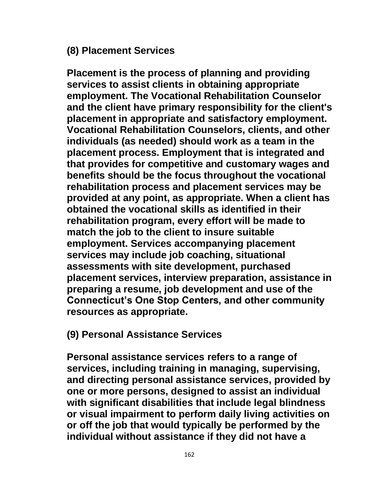#### **(8) Placement Services**

**Placement is the process of planning and providing services to assist clients in obtaining appropriate employment. The Vocational Rehabilitation Counselor and the client have primary responsibility for the client's placement in appropriate and satisfactory employment. Vocational Rehabilitation Counselors, clients, and other individuals (as needed) should work as a team in the placement process. Employment that is integrated and that provides for competitive and customary wages and benefits should be the focus throughout the vocational rehabilitation process and placement services may be provided at any point, as appropriate. When a client has obtained the vocational skills as identified in their rehabilitation program, every effort will be made to match the job to the client to insure suitable employment. Services accompanying placement services may include job coaching, situational assessments with site development, purchased placement services, interview preparation, assistance in preparing a resume, job development and use of the Connecticut's One Stop Centers, and other community resources as appropriate.**

## **(9) Personal Assistance Services**

**Personal assistance services refers to a range of services, including training in managing, supervising, and directing personal assistance services, provided by one or more persons, designed to assist an individual with significant disabilities that include legal blindness or visual impairment to perform daily living activities on or off the job that would typically be performed by the individual without assistance if they did not have a**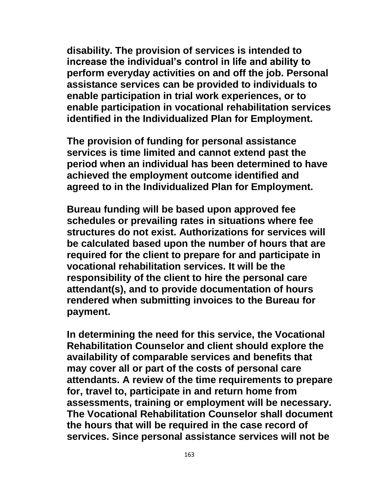**disability. The provision of services is intended to increase the individual's control in life and ability to perform everyday activities on and off the job. Personal assistance services can be provided to individuals to enable participation in trial work experiences, or to enable participation in vocational rehabilitation services identified in the Individualized Plan for Employment.**

**The provision of funding for personal assistance services is time limited and cannot extend past the period when an individual has been determined to have achieved the employment outcome identified and agreed to in the Individualized Plan for Employment.**

**Bureau funding will be based upon approved fee schedules or prevailing rates in situations where fee structures do not exist. Authorizations for services will be calculated based upon the number of hours that are required for the client to prepare for and participate in vocational rehabilitation services. It will be the responsibility of the client to hire the personal care attendant(s), and to provide documentation of hours rendered when submitting invoices to the Bureau for payment.**

**In determining the need for this service, the Vocational Rehabilitation Counselor and client should explore the availability of comparable services and benefits that may cover all or part of the costs of personal care attendants. A review of the time requirements to prepare for, travel to, participate in and return home from assessments, training or employment will be necessary. The Vocational Rehabilitation Counselor shall document the hours that will be required in the case record of services. Since personal assistance services will not be**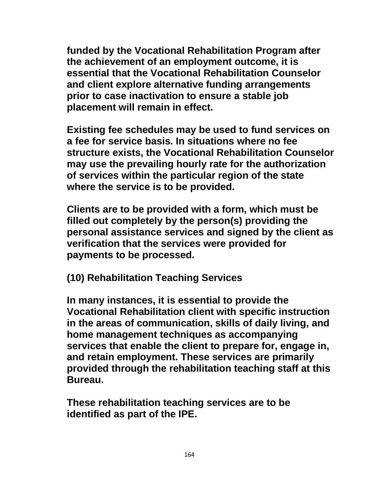**funded by the Vocational Rehabilitation Program after the achievement of an employment outcome, it is essential that the Vocational Rehabilitation Counselor and client explore alternative funding arrangements prior to case inactivation to ensure a stable job placement will remain in effect.**

**Existing fee schedules may be used to fund services on a fee for service basis. In situations where no fee structure exists, the Vocational Rehabilitation Counselor may use the prevailing hourly rate for the authorization of services within the particular region of the state where the service is to be provided.**

**Clients are to be provided with a form, which must be filled out completely by the person(s) providing the personal assistance services and signed by the client as verification that the services were provided for payments to be processed.**

**(10) Rehabilitation Teaching Services**

**In many instances, it is essential to provide the Vocational Rehabilitation client with specific instruction in the areas of communication, skills of daily living, and home management techniques as accompanying services that enable the client to prepare for, engage in, and retain employment. These services are primarily provided through the rehabilitation teaching staff at this Bureau.**

**These rehabilitation teaching services are to be identified as part of the IPE.**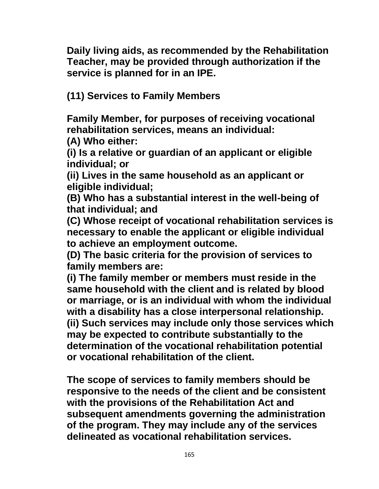**Daily living aids, as recommended by the Rehabilitation Teacher, may be provided through authorization if the service is planned for in an IPE.**

**(11) Services to Family Members**

**Family Member, for purposes of receiving vocational rehabilitation services, means an individual:**

**(A) Who either:**

**(i) Is a relative or guardian of an applicant or eligible individual; or**

**(ii) Lives in the same household as an applicant or eligible individual;**

**(B) Who has a substantial interest in the well-being of that individual; and**

**(C) Whose receipt of vocational rehabilitation services is necessary to enable the applicant or eligible individual to achieve an employment outcome.**

**(D) The basic criteria for the provision of services to family members are:**

**(i) The family member or members must reside in the same household with the client and is related by blood or marriage, or is an individual with whom the individual with a disability has a close interpersonal relationship. (ii) Such services may include only those services which may be expected to contribute substantially to the determination of the vocational rehabilitation potential or vocational rehabilitation of the client.**

**The scope of services to family members should be responsive to the needs of the client and be consistent with the provisions of the Rehabilitation Act and subsequent amendments governing the administration of the program. They may include any of the services delineated as vocational rehabilitation services.**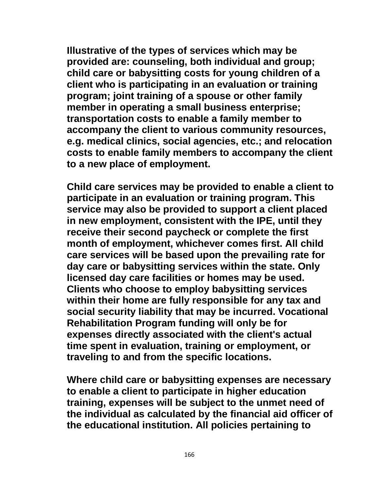**Illustrative of the types of services which may be provided are: counseling, both individual and group; child care or babysitting costs for young children of a client who is participating in an evaluation or training program; joint training of a spouse or other family member in operating a small business enterprise; transportation costs to enable a family member to accompany the client to various community resources, e.g. medical clinics, social agencies, etc.; and relocation costs to enable family members to accompany the client to a new place of employment.**

**Child care services may be provided to enable a client to participate in an evaluation or training program. This service may also be provided to support a client placed in new employment, consistent with the IPE, until they receive their second paycheck or complete the first month of employment, whichever comes first. All child care services will be based upon the prevailing rate for day care or babysitting services within the state. Only licensed day care facilities or homes may be used. Clients who choose to employ babysitting services within their home are fully responsible for any tax and social security liability that may be incurred. Vocational Rehabilitation Program funding will only be for expenses directly associated with the client's actual time spent in evaluation, training or employment, or traveling to and from the specific locations.**

**Where child care or babysitting expenses are necessary to enable a client to participate in higher education training, expenses will be subject to the unmet need of the individual as calculated by the financial aid officer of the educational institution. All policies pertaining to**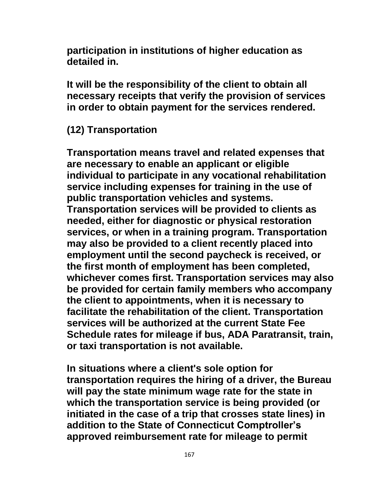**participation in institutions of higher education as detailed in.**

**It will be the responsibility of the client to obtain all necessary receipts that verify the provision of services in order to obtain payment for the services rendered.**

# **(12) Transportation**

**Transportation means travel and related expenses that are necessary to enable an applicant or eligible individual to participate in any vocational rehabilitation service including expenses for training in the use of public transportation vehicles and systems. Transportation services will be provided to clients as needed, either for diagnostic or physical restoration services, or when in a training program. Transportation may also be provided to a client recently placed into employment until the second paycheck is received, or the first month of employment has been completed, whichever comes first. Transportation services may also be provided for certain family members who accompany the client to appointments, when it is necessary to facilitate the rehabilitation of the client. Transportation services will be authorized at the current State Fee Schedule rates for mileage if bus, ADA Paratransit, train, or taxi transportation is not available.**

**In situations where a client's sole option for transportation requires the hiring of a driver, the Bureau will pay the state minimum wage rate for the state in which the transportation service is being provided (or initiated in the case of a trip that crosses state lines) in addition to the State of Connecticut Comptroller's approved reimbursement rate for mileage to permit**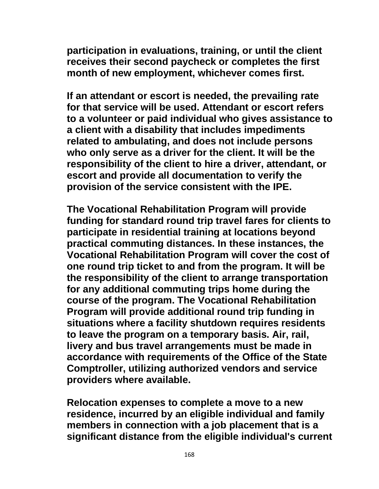**participation in evaluations, training, or until the client receives their second paycheck or completes the first month of new employment, whichever comes first.**

**If an attendant or escort is needed, the prevailing rate for that service will be used. Attendant or escort refers to a volunteer or paid individual who gives assistance to a client with a disability that includes impediments related to ambulating, and does not include persons who only serve as a driver for the client. It will be the responsibility of the client to hire a driver, attendant, or escort and provide all documentation to verify the provision of the service consistent with the IPE.**

**The Vocational Rehabilitation Program will provide funding for standard round trip travel fares for clients to participate in residential training at locations beyond practical commuting distances. In these instances, the Vocational Rehabilitation Program will cover the cost of one round trip ticket to and from the program. It will be the responsibility of the client to arrange transportation for any additional commuting trips home during the course of the program. The Vocational Rehabilitation Program will provide additional round trip funding in situations where a facility shutdown requires residents to leave the program on a temporary basis. Air, rail, livery and bus travel arrangements must be made in accordance with requirements of the Office of the State Comptroller, utilizing authorized vendors and service providers where available.**

**Relocation expenses to complete a move to a new residence, incurred by an eligible individual and family members in connection with a job placement that is a significant distance from the eligible individual's current**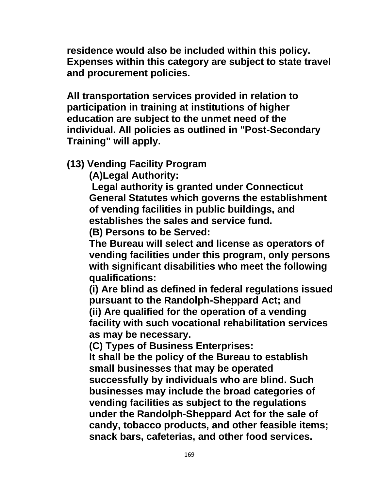**residence would also be included within this policy. Expenses within this category are subject to state travel and procurement policies.**

**All transportation services provided in relation to participation in training at institutions of higher education are subject to the unmet need of the individual. All policies as outlined in "Post-Secondary Training" will apply.**

**(13) Vending Facility Program**

**(A)Legal Authority:**

**Legal authority is granted under Connecticut General Statutes which governs the establishment of vending facilities in public buildings, and establishes the sales and service fund.**

**(B) Persons to be Served:** 

**The Bureau will select and license as operators of vending facilities under this program, only persons with significant disabilities who meet the following qualifications:** 

**(i) Are blind as defined in federal regulations issued pursuant to the Randolph-Sheppard Act; and (ii) Are qualified for the operation of a vending facility with such vocational rehabilitation services as may be necessary.**

**(C) Types of Business Enterprises:** 

**It shall be the policy of the Bureau to establish small businesses that may be operated successfully by individuals who are blind. Such businesses may include the broad categories of vending facilities as subject to the regulations under the Randolph-Sheppard Act for the sale of candy, tobacco products, and other feasible items; snack bars, cafeterias, and other food services.**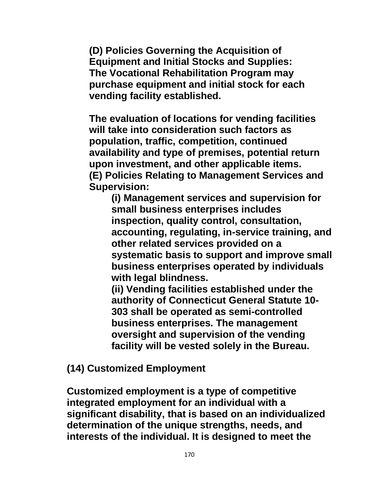**(D) Policies Governing the Acquisition of Equipment and Initial Stocks and Supplies: The Vocational Rehabilitation Program may purchase equipment and initial stock for each vending facility established.**

**The evaluation of locations for vending facilities will take into consideration such factors as population, traffic, competition, continued availability and type of premises, potential return upon investment, and other applicable items. (E) Policies Relating to Management Services and Supervision:**

**(i) Management services and supervision for small business enterprises includes inspection, quality control, consultation, accounting, regulating, in-service training, and other related services provided on a systematic basis to support and improve small business enterprises operated by individuals with legal blindness.** 

**(ii) Vending facilities established under the authority of Connecticut General Statute 10- 303 shall be operated as semi-controlled business enterprises. The management oversight and supervision of the vending facility will be vested solely in the Bureau.**

**(14) Customized Employment**

**Customized employment is a type of competitive integrated employment for an individual with a significant disability, that is based on an individualized determination of the unique strengths, needs, and interests of the individual. It is designed to meet the**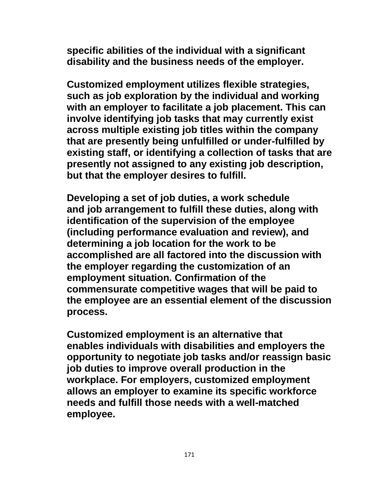**specific abilities of the individual with a significant disability and the business needs of the employer.** 

**Customized employment utilizes flexible strategies, such as job exploration by the individual and working with an employer to facilitate a job placement. This can involve identifying job tasks that may currently exist across multiple existing job titles within the company that are presently being unfulfilled or under-fulfilled by existing staff, or identifying a collection of tasks that are presently not assigned to any existing job description, but that the employer desires to fulfill.** 

**Developing a set of job duties, a work schedule and job arrangement to fulfill these duties, along with identification of the supervision of the employee (including performance evaluation and review), and determining a job location for the work to be accomplished are all factored into the discussion with the employer regarding the customization of an employment situation. Confirmation of the commensurate competitive wages that will be paid to the employee are an essential element of the discussion process.**

**Customized employment is an alternative that enables individuals with disabilities and employers the opportunity to negotiate job tasks and/or reassign basic job duties to improve overall production in the workplace. For employers, customized employment allows an employer to examine its specific workforce needs and fulfill those needs with a well-matched employee.**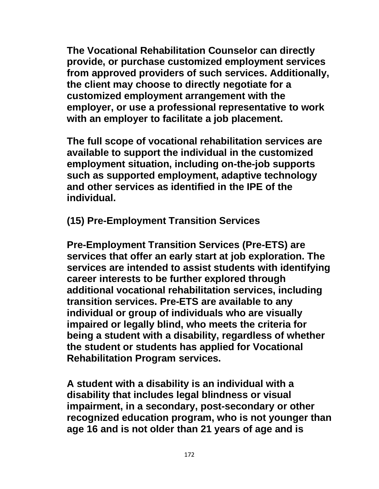**The Vocational Rehabilitation Counselor can directly provide, or purchase customized employment services from approved providers of such services. Additionally, the client may choose to directly negotiate for a customized employment arrangement with the employer, or use a professional representative to work with an employer to facilitate a job placement.** 

**The full scope of vocational rehabilitation services are available to support the individual in the customized employment situation, including on-the-job supports such as supported employment, adaptive technology and other services as identified in the IPE of the individual.** 

**(15) Pre-Employment Transition Services**

**Pre-Employment Transition Services (Pre-ETS) are services that offer an early start at job exploration. The services are intended to assist students with identifying career interests to be further explored through additional vocational rehabilitation services, including transition services. Pre-ETS are available to any individual or group of individuals who are visually impaired or legally blind, who meets the criteria for being a student with a disability, regardless of whether the student or students has applied for Vocational Rehabilitation Program services.**

**A student with a disability is an individual with a disability that includes legal blindness or visual impairment, in a secondary, post-secondary or other recognized education program, who is not younger than age 16 and is not older than 21 years of age and is**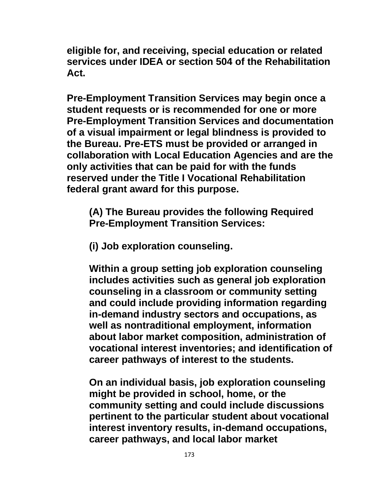**eligible for, and receiving, special education or related services under IDEA or section 504 of the Rehabilitation Act.** 

**Pre-Employment Transition Services may begin once a student requests or is recommended for one or more Pre-Employment Transition Services and documentation of a visual impairment or legal blindness is provided to the Bureau. Pre-ETS must be provided or arranged in collaboration with Local Education Agencies and are the only activities that can be paid for with the funds reserved under the Title I Vocational Rehabilitation federal grant award for this purpose.** 

**(A) The Bureau provides the following Required Pre-Employment Transition Services:** 

**(i) Job exploration counseling.**

**Within a group setting job exploration counseling includes activities such as general job exploration counseling in a classroom or community setting and could include providing information regarding in-demand industry sectors and occupations, as well as nontraditional employment, information about labor market composition, administration of vocational interest inventories; and identification of career pathways of interest to the students.** 

**On an individual basis, job exploration counseling might be provided in school, home, or the community setting and could include discussions pertinent to the particular student about vocational interest inventory results, in-demand occupations, career pathways, and local labor market**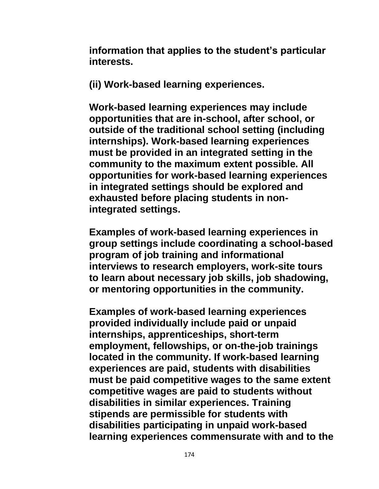**information that applies to the student's particular interests.** 

**(ii) Work-based learning experiences.**

**Work-based learning experiences may include opportunities that are in-school, after school, or outside of the traditional school setting (including internships). Work-based learning experiences must be provided in an integrated setting in the community to the maximum extent possible. All opportunities for work-based learning experiences in integrated settings should be explored and exhausted before placing students in nonintegrated settings.** 

**Examples of work-based learning experiences in group settings include coordinating a school-based program of job training and informational interviews to research employers, work-site tours to learn about necessary job skills, job shadowing, or mentoring opportunities in the community.** 

**Examples of work-based learning experiences provided individually include paid or unpaid internships, apprenticeships, short-term employment, fellowships, or on-the-job trainings located in the community. If work-based learning experiences are paid, students with disabilities must be paid competitive wages to the same extent competitive wages are paid to students without disabilities in similar experiences. Training stipends are permissible for students with disabilities participating in unpaid work-based learning experiences commensurate with and to the**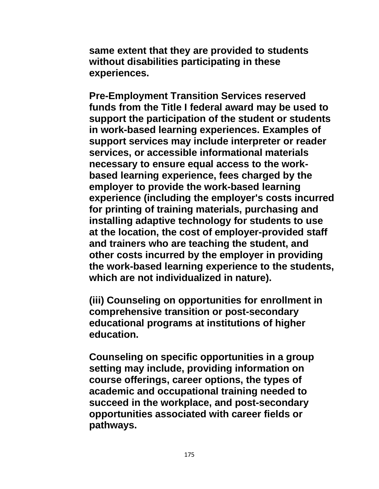**same extent that they are provided to students without disabilities participating in these experiences.** 

**Pre-Employment Transition Services reserved funds from the Title I federal award may be used to support the participation of the student or students in work-based learning experiences. Examples of support services may include interpreter or reader services, or accessible informational materials necessary to ensure equal access to the workbased learning experience, fees charged by the employer to provide the work-based learning experience (including the employer's costs incurred for printing of training materials, purchasing and installing adaptive technology for students to use at the location, the cost of employer-provided staff and trainers who are teaching the student, and other costs incurred by the employer in providing the work-based learning experience to the students, which are not individualized in nature).** 

**(iii) Counseling on opportunities for enrollment in comprehensive transition or post-secondary educational programs at institutions of higher education.** 

**Counseling on specific opportunities in a group setting may include, providing information on course offerings, career options, the types of academic and occupational training needed to succeed in the workplace, and post-secondary opportunities associated with career fields or pathways.**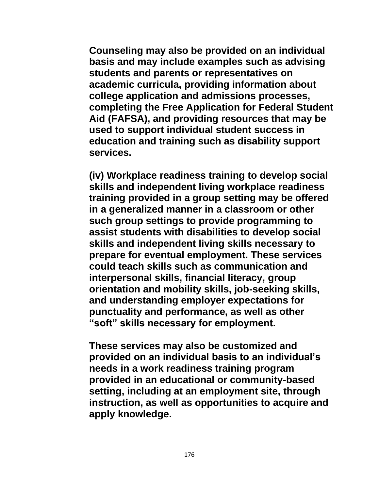**Counseling may also be provided on an individual basis and may include examples such as advising students and parents or representatives on academic curricula, providing information about college application and admissions processes, completing the Free Application for Federal Student Aid (FAFSA), and providing resources that may be used to support individual student success in education and training such as disability support services.** 

**(iv) Workplace readiness training to develop social skills and independent living workplace readiness training provided in a group setting may be offered in a generalized manner in a classroom or other such group settings to provide programming to assist students with disabilities to develop social skills and independent living skills necessary to prepare for eventual employment. These services could teach skills such as communication and interpersonal skills, financial literacy, group orientation and mobility skills, job-seeking skills, and understanding employer expectations for punctuality and performance, as well as other "soft" skills necessary for employment.** 

**These services may also be customized and provided on an individual basis to an individual's needs in a work readiness training program provided in an educational or community-based setting, including at an employment site, through instruction, as well as opportunities to acquire and apply knowledge.**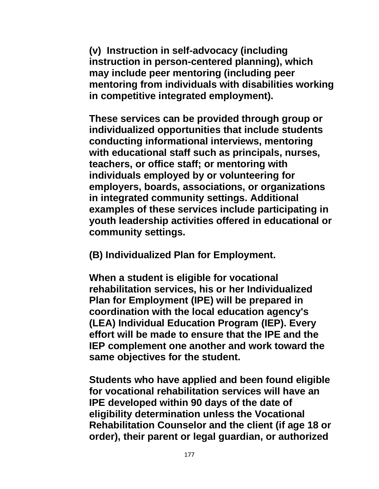**(v) Instruction in self-advocacy (including instruction in person-centered planning), which may include peer mentoring (including peer mentoring from individuals with disabilities working in competitive integrated employment).** 

**These services can be provided through group or individualized opportunities that include students conducting informational interviews, mentoring with educational staff such as principals, nurses, teachers, or office staff; or mentoring with individuals employed by or volunteering for employers, boards, associations, or organizations in integrated community settings. Additional examples of these services include participating in youth leadership activities offered in educational or community settings.** 

**(B) Individualized Plan for Employment.**

**When a student is eligible for vocational rehabilitation services, his or her Individualized Plan for Employment (IPE) will be prepared in coordination with the local education agency's (LEA) Individual Education Program (IEP). Every effort will be made to ensure that the IPE and the IEP complement one another and work toward the same objectives for the student.**

**Students who have applied and been found eligible for vocational rehabilitation services will have an IPE developed within 90 days of the date of eligibility determination unless the Vocational Rehabilitation Counselor and the client (if age 18 or order), their parent or legal guardian, or authorized**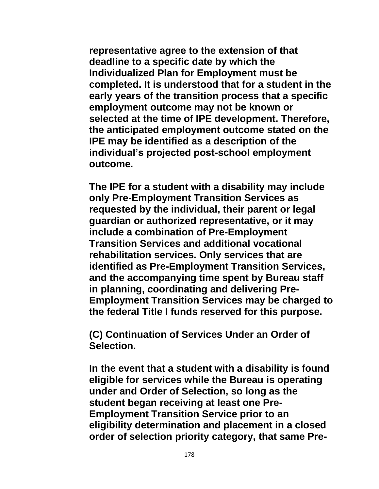**representative agree to the extension of that deadline to a specific date by which the Individualized Plan for Employment must be completed. It is understood that for a student in the early years of the transition process that a specific employment outcome may not be known or selected at the time of IPE development. Therefore, the anticipated employment outcome stated on the IPE may be identified as a description of the individual's projected post-school employment outcome.**

**The IPE for a student with a disability may include only Pre-Employment Transition Services as requested by the individual, their parent or legal guardian or authorized representative, or it may include a combination of Pre-Employment Transition Services and additional vocational rehabilitation services. Only services that are identified as Pre-Employment Transition Services, and the accompanying time spent by Bureau staff in planning, coordinating and delivering Pre-Employment Transition Services may be charged to the federal Title I funds reserved for this purpose.**

**(C) Continuation of Services Under an Order of Selection.**

**In the event that a student with a disability is found eligible for services while the Bureau is operating under and Order of Selection, so long as the student began receiving at least one Pre-Employment Transition Service prior to an eligibility determination and placement in a closed order of selection priority category, that same Pre-**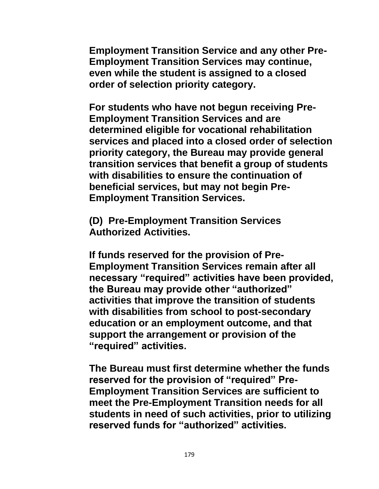**Employment Transition Service and any other Pre-Employment Transition Services may continue, even while the student is assigned to a closed order of selection priority category.** 

**For students who have not begun receiving Pre-Employment Transition Services and are determined eligible for vocational rehabilitation services and placed into a closed order of selection priority category, the Bureau may provide general transition services that benefit a group of students with disabilities to ensure the continuation of beneficial services, but may not begin Pre-Employment Transition Services.** 

**(D) Pre-Employment Transition Services Authorized Activities.**

**If funds reserved for the provision of Pre-Employment Transition Services remain after all necessary "required" activities have been provided, the Bureau may provide other "authorized" activities that improve the transition of students with disabilities from school to post-secondary education or an employment outcome, and that support the arrangement or provision of the "required" activities.** 

**The Bureau must first determine whether the funds reserved for the provision of "required" Pre-Employment Transition Services are sufficient to meet the Pre-Employment Transition needs for all students in need of such activities, prior to utilizing reserved funds for "authorized" activities.**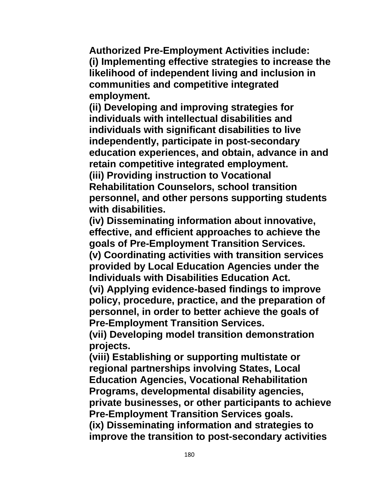**Authorized Pre-Employment Activities include: (i) Implementing effective strategies to increase the likelihood of independent living and inclusion in communities and competitive integrated employment.** 

**(ii) Developing and improving strategies for individuals with intellectual disabilities and individuals with significant disabilities to live independently, participate in post-secondary education experiences, and obtain, advance in and retain competitive integrated employment.** 

**(iii) Providing instruction to Vocational Rehabilitation Counselors, school transition personnel, and other persons supporting students with disabilities.** 

**(iv) Disseminating information about innovative, effective, and efficient approaches to achieve the goals of Pre-Employment Transition Services.** 

**(v) Coordinating activities with transition services provided by Local Education Agencies under the Individuals with Disabilities Education Act.** 

**(vi) Applying evidence-based findings to improve policy, procedure, practice, and the preparation of personnel, in order to better achieve the goals of Pre-Employment Transition Services.**

**(vii) Developing model transition demonstration projects.**

**(viii) Establishing or supporting multistate or regional partnerships involving States, Local Education Agencies, Vocational Rehabilitation Programs, developmental disability agencies, private businesses, or other participants to achieve Pre-Employment Transition Services goals. (ix) Disseminating information and strategies to** 

**improve the transition to post-secondary activities**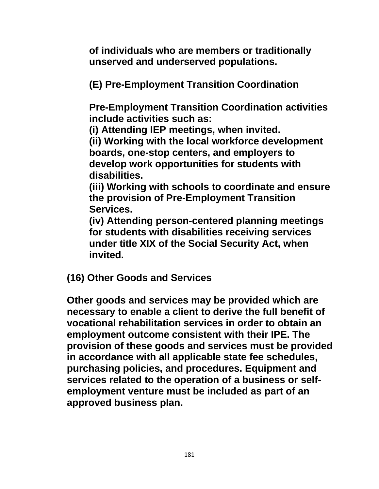**of individuals who are members or traditionally unserved and underserved populations.** 

**(E) Pre-Employment Transition Coordination** 

**Pre-Employment Transition Coordination activities include activities such as:** 

**(i) Attending IEP meetings, when invited.** 

**(ii) Working with the local workforce development boards, one-stop centers, and employers to develop work opportunities for students with disabilities.** 

**(iii) Working with schools to coordinate and ensure the provision of Pre-Employment Transition Services.** 

**(iv) Attending person-centered planning meetings for students with disabilities receiving services under title XIX of the Social Security Act, when invited.**

**(16) Other Goods and Services**

**Other goods and services may be provided which are necessary to enable a client to derive the full benefit of vocational rehabilitation services in order to obtain an employment outcome consistent with their IPE. The provision of these goods and services must be provided in accordance with all applicable state fee schedules, purchasing policies, and procedures. Equipment and services related to the operation of a business or selfemployment venture must be included as part of an approved business plan.**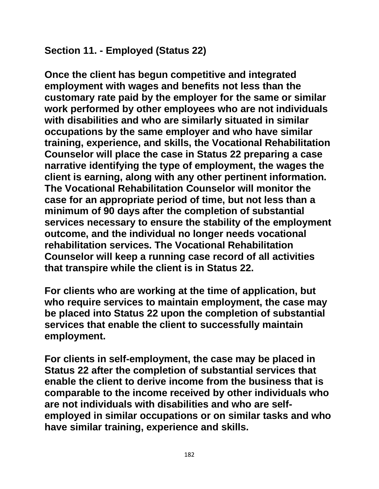## **Section 11. - Employed (Status 22)**

**Once the client has begun competitive and integrated employment with wages and benefits not less than the customary rate paid by the employer for the same or similar work performed by other employees who are not individuals with disabilities and who are similarly situated in similar occupations by the same employer and who have similar training, experience, and skills, the Vocational Rehabilitation Counselor will place the case in Status 22 preparing a case narrative identifying the type of employment, the wages the client is earning, along with any other pertinent information. The Vocational Rehabilitation Counselor will monitor the case for an appropriate period of time, but not less than a minimum of 90 days after the completion of substantial services necessary to ensure the stability of the employment outcome, and the individual no longer needs vocational rehabilitation services. The Vocational Rehabilitation Counselor will keep a running case record of all activities that transpire while the client is in Status 22.**

**For clients who are working at the time of application, but who require services to maintain employment, the case may be placed into Status 22 upon the completion of substantial services that enable the client to successfully maintain employment.**

**For clients in self-employment, the case may be placed in Status 22 after the completion of substantial services that enable the client to derive income from the business that is comparable to the income received by other individuals who are not individuals with disabilities and who are selfemployed in similar occupations or on similar tasks and who have similar training, experience and skills.**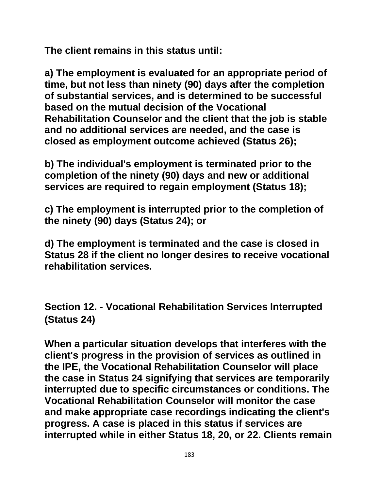**The client remains in this status until:**

**a) The employment is evaluated for an appropriate period of time, but not less than ninety (90) days after the completion of substantial services, and is determined to be successful based on the mutual decision of the Vocational Rehabilitation Counselor and the client that the job is stable and no additional services are needed, and the case is closed as employment outcome achieved (Status 26);**

**b) The individual's employment is terminated prior to the completion of the ninety (90) days and new or additional services are required to regain employment (Status 18);** 

**c) The employment is interrupted prior to the completion of the ninety (90) days (Status 24); or**

**d) The employment is terminated and the case is closed in Status 28 if the client no longer desires to receive vocational rehabilitation services.**

**Section 12. - Vocational Rehabilitation Services Interrupted (Status 24)**

**When a particular situation develops that interferes with the client's progress in the provision of services as outlined in the IPE, the Vocational Rehabilitation Counselor will place the case in Status 24 signifying that services are temporarily interrupted due to specific circumstances or conditions. The Vocational Rehabilitation Counselor will monitor the case and make appropriate case recordings indicating the client's progress. A case is placed in this status if services are interrupted while in either Status 18, 20, or 22. Clients remain**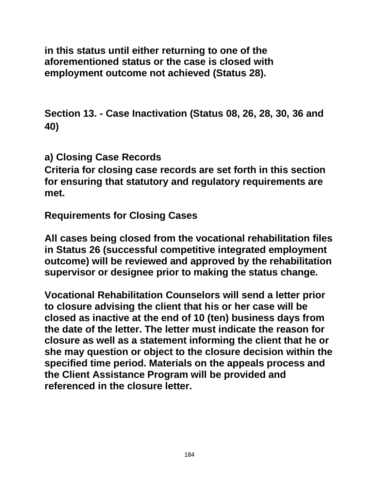**in this status until either returning to one of the aforementioned status or the case is closed with employment outcome not achieved (Status 28).**

**Section 13. - Case Inactivation (Status 08, 26, 28, 30, 36 and 40)**

**a) Closing Case Records**

**Criteria for closing case records are set forth in this section for ensuring that statutory and regulatory requirements are met.**

**Requirements for Closing Cases**

**All cases being closed from the vocational rehabilitation files in Status 26 (successful competitive integrated employment outcome) will be reviewed and approved by the rehabilitation supervisor or designee prior to making the status change.**

**Vocational Rehabilitation Counselors will send a letter prior to closure advising the client that his or her case will be closed as inactive at the end of 10 (ten) business days from the date of the letter. The letter must indicate the reason for closure as well as a statement informing the client that he or she may question or object to the closure decision within the specified time period. Materials on the appeals process and the Client Assistance Program will be provided and referenced in the closure letter.**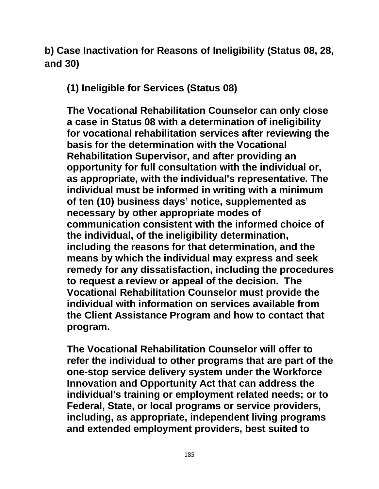**b) Case Inactivation for Reasons of Ineligibility (Status 08, 28, and 30)**

**(1) Ineligible for Services (Status 08)**

**The Vocational Rehabilitation Counselor can only close a case in Status 08 with a determination of ineligibility for vocational rehabilitation services after reviewing the basis for the determination with the Vocational Rehabilitation Supervisor, and after providing an opportunity for full consultation with the individual or, as appropriate, with the individual's representative. The individual must be informed in writing with a minimum of ten (10) business days' notice, supplemented as necessary by other appropriate modes of communication consistent with the informed choice of the individual, of the ineligibility determination, including the reasons for that determination, and the means by which the individual may express and seek remedy for any dissatisfaction, including the procedures to request a review or appeal of the decision. The Vocational Rehabilitation Counselor must provide the individual with information on services available from the Client Assistance Program and how to contact that program.** 

**The Vocational Rehabilitation Counselor will offer to refer the individual to other programs that are part of the one-stop service delivery system under the Workforce Innovation and Opportunity Act that can address the individual's training or employment related needs; or to Federal, State, or local programs or service providers, including, as appropriate, independent living programs and extended employment providers, best suited to**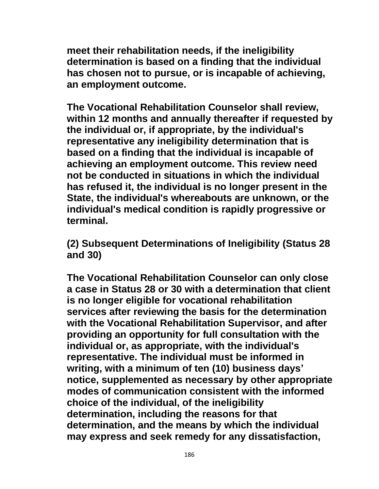**meet their rehabilitation needs, if the ineligibility determination is based on a finding that the individual has chosen not to pursue, or is incapable of achieving, an employment outcome.**

**The Vocational Rehabilitation Counselor shall review, within 12 months and annually thereafter if requested by the individual or, if appropriate, by the individual's representative any ineligibility determination that is based on a finding that the individual is incapable of achieving an employment outcome. This review need not be conducted in situations in which the individual has refused it, the individual is no longer present in the State, the individual's whereabouts are unknown, or the individual's medical condition is rapidly progressive or terminal.**

**(2) Subsequent Determinations of Ineligibility (Status 28 and 30)**

**The Vocational Rehabilitation Counselor can only close a case in Status 28 or 30 with a determination that client is no longer eligible for vocational rehabilitation services after reviewing the basis for the determination with the Vocational Rehabilitation Supervisor, and after providing an opportunity for full consultation with the individual or, as appropriate, with the individual's representative. The individual must be informed in writing, with a minimum of ten (10) business days' notice, supplemented as necessary by other appropriate modes of communication consistent with the informed choice of the individual, of the ineligibility determination, including the reasons for that determination, and the means by which the individual may express and seek remedy for any dissatisfaction,**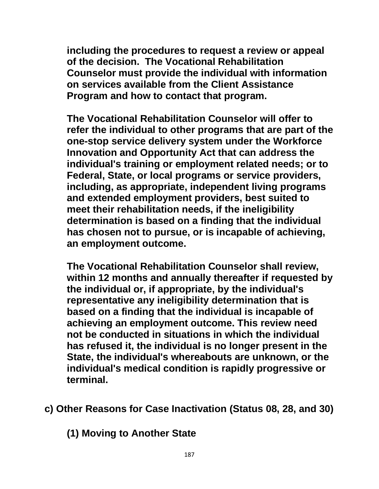**including the procedures to request a review or appeal of the decision. The Vocational Rehabilitation Counselor must provide the individual with information on services available from the Client Assistance Program and how to contact that program.** 

**The Vocational Rehabilitation Counselor will offer to refer the individual to other programs that are part of the one-stop service delivery system under the Workforce Innovation and Opportunity Act that can address the individual's training or employment related needs; or to Federal, State, or local programs or service providers, including, as appropriate, independent living programs and extended employment providers, best suited to meet their rehabilitation needs, if the ineligibility determination is based on a finding that the individual has chosen not to pursue, or is incapable of achieving, an employment outcome.**

**The Vocational Rehabilitation Counselor shall review, within 12 months and annually thereafter if requested by the individual or, if appropriate, by the individual's representative any ineligibility determination that is based on a finding that the individual is incapable of achieving an employment outcome. This review need not be conducted in situations in which the individual has refused it, the individual is no longer present in the State, the individual's whereabouts are unknown, or the individual's medical condition is rapidly progressive or terminal.**

**c) Other Reasons for Case Inactivation (Status 08, 28, and 30)**

**(1) Moving to Another State**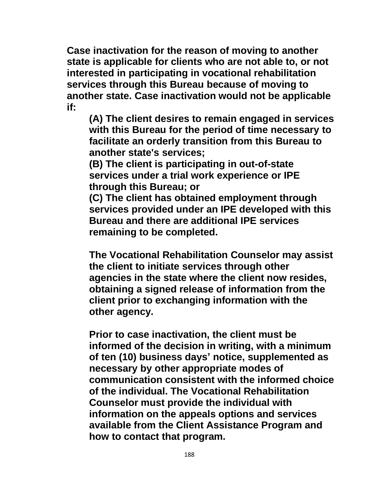**Case inactivation for the reason of moving to another state is applicable for clients who are not able to, or not interested in participating in vocational rehabilitation services through this Bureau because of moving to another state. Case inactivation would not be applicable if:**

**(A) The client desires to remain engaged in services with this Bureau for the period of time necessary to facilitate an orderly transition from this Bureau to another state's services;**

**(B) The client is participating in out-of-state services under a trial work experience or IPE through this Bureau; or**

**(C) The client has obtained employment through services provided under an IPE developed with this Bureau and there are additional IPE services remaining to be completed.**

**The Vocational Rehabilitation Counselor may assist the client to initiate services through other agencies in the state where the client now resides, obtaining a signed release of information from the client prior to exchanging information with the other agency.**

**Prior to case inactivation, the client must be informed of the decision in writing, with a minimum of ten (10) business days' notice, supplemented as necessary by other appropriate modes of communication consistent with the informed choice of the individual. The Vocational Rehabilitation Counselor must provide the individual with information on the appeals options and services available from the Client Assistance Program and how to contact that program.**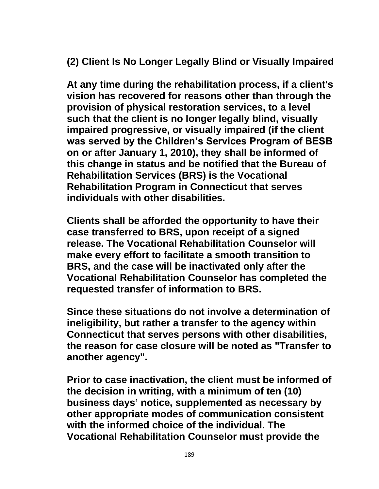**(2) Client Is No Longer Legally Blind or Visually Impaired**

**At any time during the rehabilitation process, if a client's vision has recovered for reasons other than through the provision of physical restoration services, to a level such that the client is no longer legally blind, visually impaired progressive, or visually impaired (if the client was served by the Children's Services Program of BESB on or after January 1, 2010), they shall be informed of this change in status and be notified that the Bureau of Rehabilitation Services (BRS) is the Vocational Rehabilitation Program in Connecticut that serves individuals with other disabilities.**

**Clients shall be afforded the opportunity to have their case transferred to BRS, upon receipt of a signed release. The Vocational Rehabilitation Counselor will make every effort to facilitate a smooth transition to BRS, and the case will be inactivated only after the Vocational Rehabilitation Counselor has completed the requested transfer of information to BRS.**

**Since these situations do not involve a determination of ineligibility, but rather a transfer to the agency within Connecticut that serves persons with other disabilities, the reason for case closure will be noted as "Transfer to another agency".**

**Prior to case inactivation, the client must be informed of the decision in writing, with a minimum of ten (10) business days' notice, supplemented as necessary by other appropriate modes of communication consistent with the informed choice of the individual. The Vocational Rehabilitation Counselor must provide the**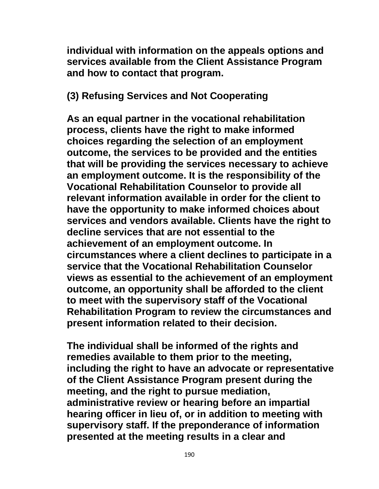**individual with information on the appeals options and services available from the Client Assistance Program and how to contact that program.**

**(3) Refusing Services and Not Cooperating**

**As an equal partner in the vocational rehabilitation process, clients have the right to make informed choices regarding the selection of an employment outcome, the services to be provided and the entities that will be providing the services necessary to achieve an employment outcome. It is the responsibility of the Vocational Rehabilitation Counselor to provide all relevant information available in order for the client to have the opportunity to make informed choices about services and vendors available. Clients have the right to decline services that are not essential to the achievement of an employment outcome. In circumstances where a client declines to participate in a service that the Vocational Rehabilitation Counselor views as essential to the achievement of an employment outcome, an opportunity shall be afforded to the client to meet with the supervisory staff of the Vocational Rehabilitation Program to review the circumstances and present information related to their decision.** 

**The individual shall be informed of the rights and remedies available to them prior to the meeting, including the right to have an advocate or representative of the Client Assistance Program present during the meeting, and the right to pursue mediation, administrative review or hearing before an impartial hearing officer in lieu of, or in addition to meeting with supervisory staff. If the preponderance of information presented at the meeting results in a clear and**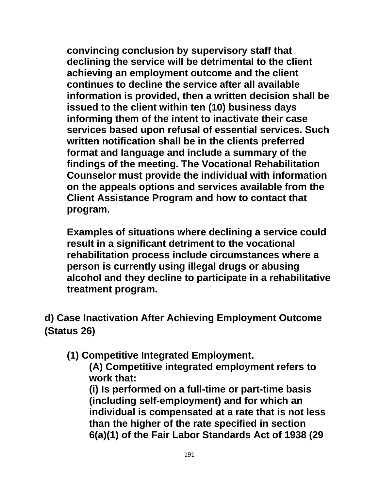**convincing conclusion by supervisory staff that declining the service will be detrimental to the client achieving an employment outcome and the client continues to decline the service after all available information is provided, then a written decision shall be issued to the client within ten (10) business days informing them of the intent to inactivate their case services based upon refusal of essential services. Such written notification shall be in the clients preferred format and language and include a summary of the findings of the meeting. The Vocational Rehabilitation Counselor must provide the individual with information on the appeals options and services available from the Client Assistance Program and how to contact that program.**

**Examples of situations where declining a service could result in a significant detriment to the vocational rehabilitation process include circumstances where a person is currently using illegal drugs or abusing alcohol and they decline to participate in a rehabilitative treatment program.**

**d) Case Inactivation After Achieving Employment Outcome (Status 26)**

**(1) Competitive Integrated Employment.**

**(A) Competitive integrated employment refers to work that:**

**(i) Is performed on a full-time or part-time basis (including self-employment) and for which an individual is compensated at a rate that is not less than the higher of the rate specified in section 6(a)(1) of the Fair Labor Standards Act of 1938 (29**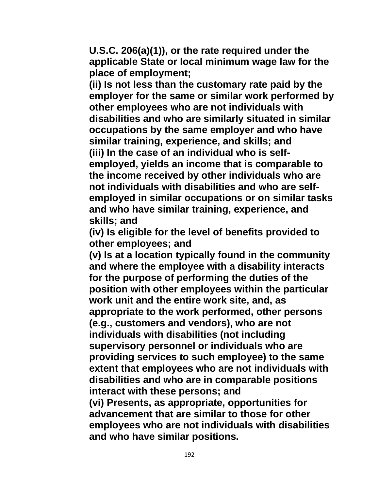**U.S.C. 206(a)(1)), or the rate required under the applicable State or local minimum wage law for the place of employment;**

**(ii) Is not less than the customary rate paid by the employer for the same or similar work performed by other employees who are not individuals with disabilities and who are similarly situated in similar occupations by the same employer and who have similar training, experience, and skills; and (iii) In the case of an individual who is selfemployed, yields an income that is comparable to the income received by other individuals who are not individuals with disabilities and who are selfemployed in similar occupations or on similar tasks and who have similar training, experience, and skills; and**

**(iv) Is eligible for the level of benefits provided to other employees; and**

**(v) Is at a location typically found in the community and where the employee with a disability interacts for the purpose of performing the duties of the position with other employees within the particular work unit and the entire work site, and, as appropriate to the work performed, other persons (e.g., customers and vendors), who are not individuals with disabilities (not including supervisory personnel or individuals who are providing services to such employee) to the same extent that employees who are not individuals with disabilities and who are in comparable positions interact with these persons; and (vi) Presents, as appropriate, opportunities for** 

**advancement that are similar to those for other employees who are not individuals with disabilities and who have similar positions.**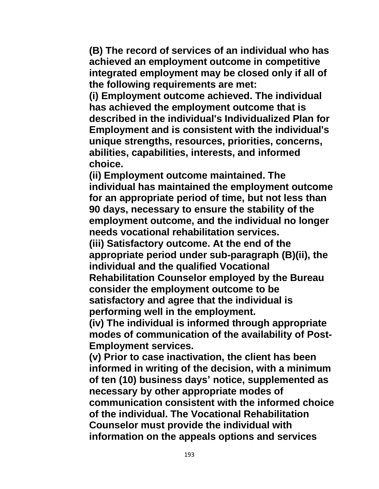**(B) The record of services of an individual who has achieved an employment outcome in competitive integrated employment may be closed only if all of the following requirements are met:** 

**(i) Employment outcome achieved. The individual has achieved the employment outcome that is described in the individual's Individualized Plan for Employment and is consistent with the individual's unique strengths, resources, priorities, concerns, abilities, capabilities, interests, and informed choice.** 

**(ii) Employment outcome maintained. The individual has maintained the employment outcome for an appropriate period of time, but not less than 90 days, necessary to ensure the stability of the employment outcome, and the individual no longer needs vocational rehabilitation services.** 

**(iii) Satisfactory outcome. At the end of the appropriate period under sub-paragraph (B)(ii), the individual and the qualified Vocational Rehabilitation Counselor employed by the Bureau consider the employment outcome to be** 

**satisfactory and agree that the individual is performing well in the employment.** 

**(iv) The individual is informed through appropriate modes of communication of the availability of Post-Employment services.**

**(v) Prior to case inactivation, the client has been informed in writing of the decision, with a minimum of ten (10) business days' notice, supplemented as necessary by other appropriate modes of communication consistent with the informed choice of the individual. The Vocational Rehabilitation Counselor must provide the individual with information on the appeals options and services**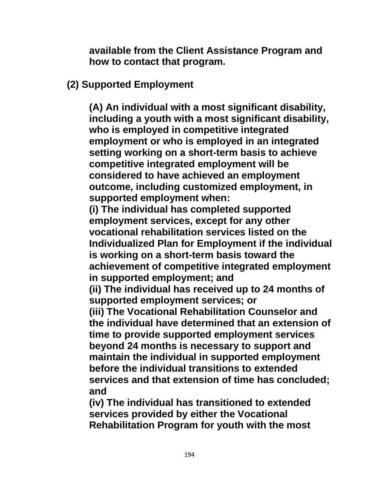**available from the Client Assistance Program and how to contact that program.**

## **(2) Supported Employment**

**(A) An individual with a most significant disability, including a youth with a most significant disability, who is employed in competitive integrated employment or who is employed in an integrated setting working on a short-term basis to achieve competitive integrated employment will be considered to have achieved an employment outcome, including customized employment, in supported employment when:**

**(i) The individual has completed supported employment services, except for any other vocational rehabilitation services listed on the Individualized Plan for Employment if the individual is working on a short-term basis toward the achievement of competitive integrated employment in supported employment; and** 

**(ii) The individual has received up to 24 months of supported employment services; or** 

**(iii) The Vocational Rehabilitation Counselor and the individual have determined that an extension of time to provide supported employment services beyond 24 months is necessary to support and maintain the individual in supported employment before the individual transitions to extended services and that extension of time has concluded; and** 

**(iv) The individual has transitioned to extended services provided by either the Vocational Rehabilitation Program for youth with the most**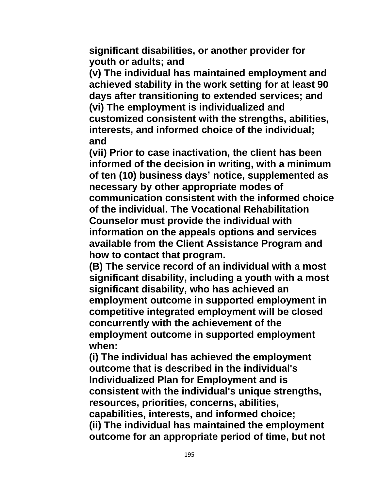**significant disabilities, or another provider for youth or adults; and** 

**(v) The individual has maintained employment and achieved stability in the work setting for at least 90 days after transitioning to extended services; and (vi) The employment is individualized and customized consistent with the strengths, abilities, interests, and informed choice of the individual; and** 

**(vii) Prior to case inactivation, the client has been informed of the decision in writing, with a minimum of ten (10) business days' notice, supplemented as necessary by other appropriate modes of communication consistent with the informed choice of the individual. The Vocational Rehabilitation Counselor must provide the individual with information on the appeals options and services available from the Client Assistance Program and how to contact that program.**

**(B) The service record of an individual with a most significant disability, including a youth with a most significant disability, who has achieved an employment outcome in supported employment in competitive integrated employment will be closed concurrently with the achievement of the employment outcome in supported employment when:** 

**(i) The individual has achieved the employment outcome that is described in the individual's Individualized Plan for Employment and is consistent with the individual's unique strengths, resources, priorities, concerns, abilities, capabilities, interests, and informed choice; (ii) The individual has maintained the employment outcome for an appropriate period of time, but not**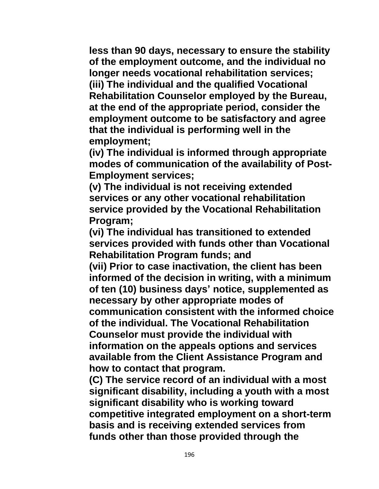**less than 90 days, necessary to ensure the stability of the employment outcome, and the individual no longer needs vocational rehabilitation services; (iii) The individual and the qualified Vocational Rehabilitation Counselor employed by the Bureau, at the end of the appropriate period, consider the employment outcome to be satisfactory and agree that the individual is performing well in the employment;** 

**(iv) The individual is informed through appropriate modes of communication of the availability of Post-Employment services;** 

**(v) The individual is not receiving extended services or any other vocational rehabilitation service provided by the Vocational Rehabilitation Program;** 

**(vi) The individual has transitioned to extended services provided with funds other than Vocational Rehabilitation Program funds; and**

**(vii) Prior to case inactivation, the client has been informed of the decision in writing, with a minimum of ten (10) business days' notice, supplemented as necessary by other appropriate modes of communication consistent with the informed choice of the individual. The Vocational Rehabilitation Counselor must provide the individual with information on the appeals options and services available from the Client Assistance Program and how to contact that program.**

**(C) The service record of an individual with a most significant disability, including a youth with a most significant disability who is working toward competitive integrated employment on a short-term basis and is receiving extended services from funds other than those provided through the**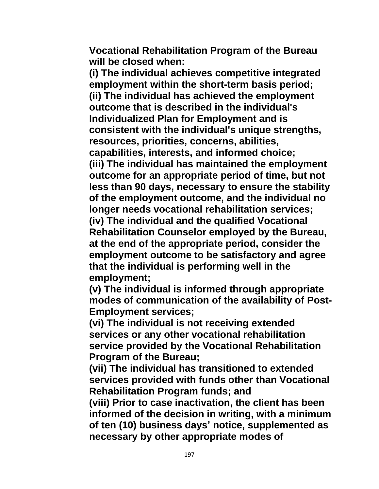**Vocational Rehabilitation Program of the Bureau will be closed when:** 

**(i) The individual achieves competitive integrated employment within the short-term basis period; (ii) The individual has achieved the employment outcome that is described in the individual's Individualized Plan for Employment and is consistent with the individual's unique strengths, resources, priorities, concerns, abilities, capabilities, interests, and informed choice; (iii) The individual has maintained the employment outcome for an appropriate period of time, but not less than 90 days, necessary to ensure the stability of the employment outcome, and the individual no longer needs vocational rehabilitation services; (iv) The individual and the qualified Vocational Rehabilitation Counselor employed by the Bureau, at the end of the appropriate period, consider the employment outcome to be satisfactory and agree that the individual is performing well in the employment;**

**(v) The individual is informed through appropriate modes of communication of the availability of Post-Employment services;**

**(vi) The individual is not receiving extended services or any other vocational rehabilitation service provided by the Vocational Rehabilitation Program of the Bureau;** 

**(vii) The individual has transitioned to extended services provided with funds other than Vocational Rehabilitation Program funds; and**

**(viii) Prior to case inactivation, the client has been informed of the decision in writing, with a minimum of ten (10) business days' notice, supplemented as necessary by other appropriate modes of**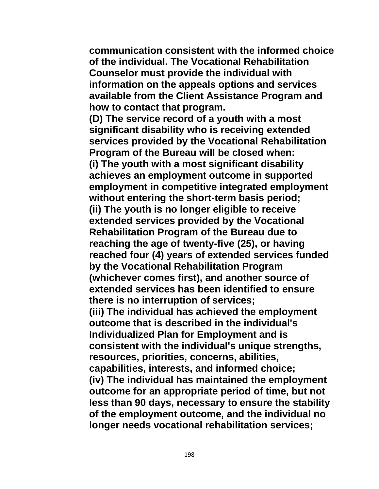**communication consistent with the informed choice of the individual. The Vocational Rehabilitation Counselor must provide the individual with information on the appeals options and services available from the Client Assistance Program and how to contact that program.**

**(D) The service record of a youth with a most significant disability who is receiving extended services provided by the Vocational Rehabilitation Program of the Bureau will be closed when: (i) The youth with a most significant disability achieves an employment outcome in supported employment in competitive integrated employment without entering the short-term basis period; (ii) The youth is no longer eligible to receive extended services provided by the Vocational Rehabilitation Program of the Bureau due to reaching the age of twenty-five (25), or having reached four (4) years of extended services funded by the Vocational Rehabilitation Program (whichever comes first), and another source of extended services has been identified to ensure there is no interruption of services; (iii) The individual has achieved the employment outcome that is described in the individual's Individualized Plan for Employment and is consistent with the individual's unique strengths, resources, priorities, concerns, abilities, capabilities, interests, and informed choice; (iv) The individual has maintained the employment outcome for an appropriate period of time, but not less than 90 days, necessary to ensure the stability of the employment outcome, and the individual no longer needs vocational rehabilitation services;**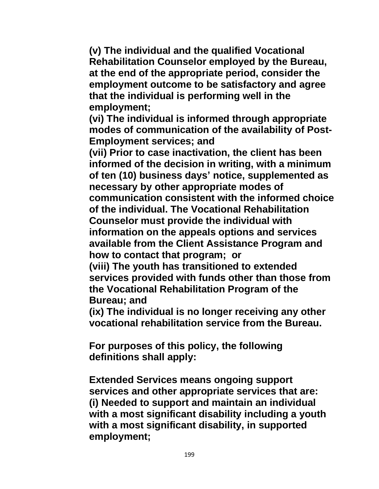**(v) The individual and the qualified Vocational Rehabilitation Counselor employed by the Bureau, at the end of the appropriate period, consider the employment outcome to be satisfactory and agree that the individual is performing well in the employment;** 

**(vi) The individual is informed through appropriate modes of communication of the availability of Post-Employment services; and**

**(vii) Prior to case inactivation, the client has been informed of the decision in writing, with a minimum of ten (10) business days' notice, supplemented as necessary by other appropriate modes of communication consistent with the informed choice of the individual. The Vocational Rehabilitation Counselor must provide the individual with information on the appeals options and services available from the Client Assistance Program and how to contact that program; or** 

**(viii) The youth has transitioned to extended services provided with funds other than those from the Vocational Rehabilitation Program of the Bureau; and** 

**(ix) The individual is no longer receiving any other vocational rehabilitation service from the Bureau.** 

**For purposes of this policy, the following definitions shall apply:**

**Extended Services means ongoing support services and other appropriate services that are: (i) Needed to support and maintain an individual with a most significant disability including a youth with a most significant disability, in supported employment;**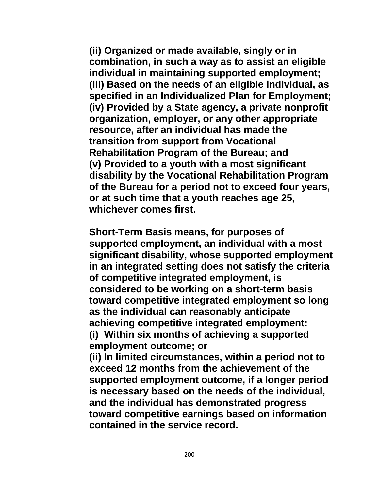**(ii) Organized or made available, singly or in combination, in such a way as to assist an eligible individual in maintaining supported employment; (iii) Based on the needs of an eligible individual, as specified in an Individualized Plan for Employment; (iv) Provided by a State agency, a private nonprofit organization, employer, or any other appropriate resource, after an individual has made the transition from support from Vocational Rehabilitation Program of the Bureau; and (v) Provided to a youth with a most significant disability by the Vocational Rehabilitation Program of the Bureau for a period not to exceed four years, or at such time that a youth reaches age 25, whichever comes first.**

**Short-Term Basis means, for purposes of supported employment, an individual with a most significant disability, whose supported employment in an integrated setting does not satisfy the criteria of competitive integrated employment, is considered to be working on a short-term basis toward competitive integrated employment so long as the individual can reasonably anticipate achieving competitive integrated employment: (i) Within six months of achieving a supported employment outcome; or** 

**(ii) In limited circumstances, within a period not to exceed 12 months from the achievement of the supported employment outcome, if a longer period is necessary based on the needs of the individual, and the individual has demonstrated progress toward competitive earnings based on information contained in the service record.**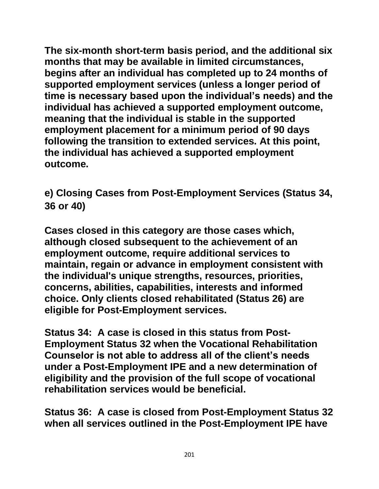**The six-month short-term basis period, and the additional six months that may be available in limited circumstances, begins after an individual has completed up to 24 months of supported employment services (unless a longer period of time is necessary based upon the individual's needs) and the individual has achieved a supported employment outcome, meaning that the individual is stable in the supported employment placement for a minimum period of 90 days following the transition to extended services. At this point, the individual has achieved a supported employment outcome.**

**e) Closing Cases from Post-Employment Services (Status 34, 36 or 40)**

**Cases closed in this category are those cases which, although closed subsequent to the achievement of an employment outcome, require additional services to maintain, regain or advance in employment consistent with the individual's unique strengths, resources, priorities, concerns, abilities, capabilities, interests and informed choice. Only clients closed rehabilitated (Status 26) are eligible for Post-Employment services.** 

**Status 34: A case is closed in this status from Post-Employment Status 32 when the Vocational Rehabilitation Counselor is not able to address all of the client's needs under a Post-Employment IPE and a new determination of eligibility and the provision of the full scope of vocational rehabilitation services would be beneficial.**

**Status 36: A case is closed from Post-Employment Status 32 when all services outlined in the Post-Employment IPE have**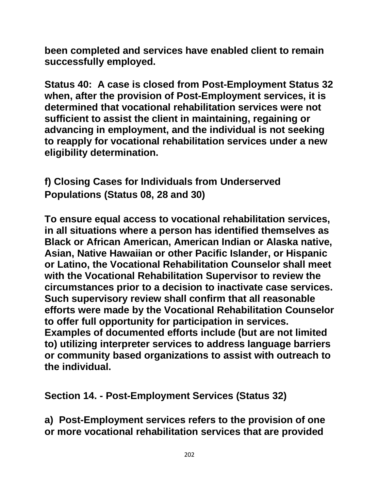**been completed and services have enabled client to remain successfully employed.**

**Status 40: A case is closed from Post-Employment Status 32 when, after the provision of Post-Employment services, it is determined that vocational rehabilitation services were not sufficient to assist the client in maintaining, regaining or advancing in employment, and the individual is not seeking to reapply for vocational rehabilitation services under a new eligibility determination.**

**f) Closing Cases for Individuals from Underserved Populations (Status 08, 28 and 30)**

**To ensure equal access to vocational rehabilitation services, in all situations where a person has identified themselves as Black or African American, American Indian or Alaska native, Asian, Native Hawaiian or other Pacific Islander, or Hispanic or Latino, the Vocational Rehabilitation Counselor shall meet with the Vocational Rehabilitation Supervisor to review the circumstances prior to a decision to inactivate case services. Such supervisory review shall confirm that all reasonable efforts were made by the Vocational Rehabilitation Counselor to offer full opportunity for participation in services. Examples of documented efforts include (but are not limited to) utilizing interpreter services to address language barriers or community based organizations to assist with outreach to the individual.**

**Section 14. - Post-Employment Services (Status 32)**

**a) Post-Employment services refers to the provision of one or more vocational rehabilitation services that are provided**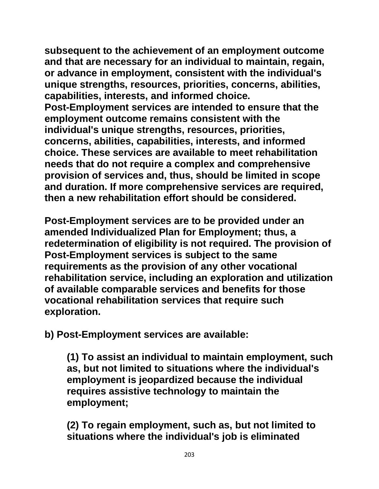**subsequent to the achievement of an employment outcome and that are necessary for an individual to maintain, regain, or advance in employment, consistent with the individual's unique strengths, resources, priorities, concerns, abilities, capabilities, interests, and informed choice. Post-Employment services are intended to ensure that the employment outcome remains consistent with the** 

**individual's unique strengths, resources, priorities, concerns, abilities, capabilities, interests, and informed choice. These services are available to meet rehabilitation needs that do not require a complex and comprehensive provision of services and, thus, should be limited in scope and duration. If more comprehensive services are required, then a new rehabilitation effort should be considered.** 

**Post-Employment services are to be provided under an amended Individualized Plan for Employment; thus, a redetermination of eligibility is not required. The provision of Post-Employment services is subject to the same requirements as the provision of any other vocational rehabilitation service, including an exploration and utilization of available comparable services and benefits for those vocational rehabilitation services that require such exploration.** 

**b) Post-Employment services are available:**

**(1) To assist an individual to maintain employment, such as, but not limited to situations where the individual's employment is jeopardized because the individual requires assistive technology to maintain the employment;** 

**(2) To regain employment, such as, but not limited to situations where the individual's job is eliminated**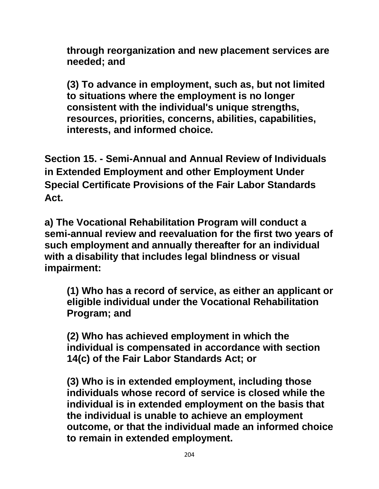**through reorganization and new placement services are needed; and**

**(3) To advance in employment, such as, but not limited to situations where the employment is no longer consistent with the individual's unique strengths, resources, priorities, concerns, abilities, capabilities, interests, and informed choice.**

**Section 15. - Semi-Annual and Annual Review of Individuals in Extended Employment and other Employment Under Special Certificate Provisions of the Fair Labor Standards Act.** 

**a) The Vocational Rehabilitation Program will conduct a semi-annual review and reevaluation for the first two years of such employment and annually thereafter for an individual with a disability that includes legal blindness or visual impairment:**

**(1) Who has a record of service, as either an applicant or eligible individual under the Vocational Rehabilitation Program; and**

**(2) Who has achieved employment in which the individual is compensated in accordance with section 14(c) of the Fair Labor Standards Act; or**

**(3) Who is in extended employment, including those individuals whose record of service is closed while the individual is in extended employment on the basis that the individual is unable to achieve an employment outcome, or that the individual made an informed choice to remain in extended employment.**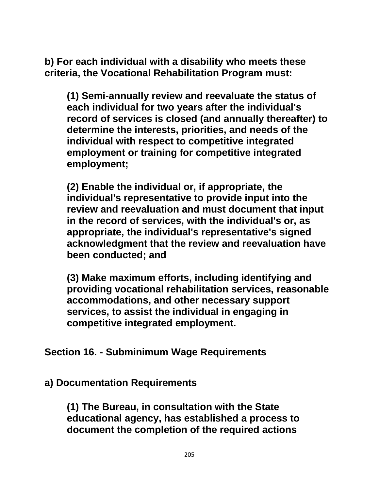**b) For each individual with a disability who meets these criteria, the Vocational Rehabilitation Program must:**

**(1) Semi-annually review and reevaluate the status of each individual for two years after the individual's record of services is closed (and annually thereafter) to determine the interests, priorities, and needs of the individual with respect to competitive integrated employment or training for competitive integrated employment;**

**(2) Enable the individual or, if appropriate, the individual's representative to provide input into the review and reevaluation and must document that input in the record of services, with the individual's or, as appropriate, the individual's representative's signed acknowledgment that the review and reevaluation have been conducted; and**

**(3) Make maximum efforts, including identifying and providing vocational rehabilitation services, reasonable accommodations, and other necessary support services, to assist the individual in engaging in competitive integrated employment.**

## **Section 16. - Subminimum Wage Requirements**

## **a) Documentation Requirements**

**(1) The Bureau, in consultation with the State educational agency, has established a process to document the completion of the required actions**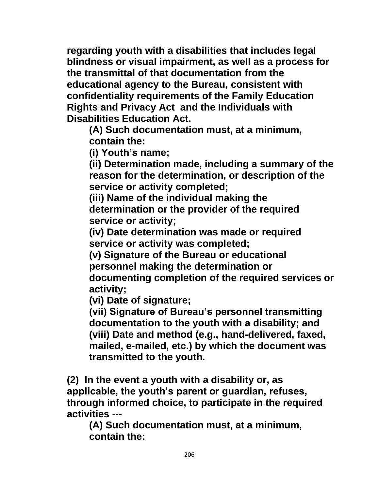**regarding youth with a disabilities that includes legal blindness or visual impairment, as well as a process for the transmittal of that documentation from the educational agency to the Bureau, consistent with confidentiality requirements of the Family Education Rights and Privacy Act and the Individuals with Disabilities Education Act.**

**(A) Such documentation must, at a minimum, contain the:**

**(i) Youth's name;**

**(ii) Determination made, including a summary of the reason for the determination, or description of the service or activity completed;**

**(iii) Name of the individual making the determination or the provider of the required service or activity;**

**(iv) Date determination was made or required service or activity was completed;**

**(v) Signature of the Bureau or educational personnel making the determination or documenting completion of the required services or activity;**

**(vi) Date of signature;**

**(vii) Signature of Bureau's personnel transmitting documentation to the youth with a disability; and (viii) Date and method (e.g., hand-delivered, faxed, mailed, e-mailed, etc.) by which the document was transmitted to the youth.**

**(2) In the event a youth with a disability or, as applicable, the youth's parent or guardian, refuses, through informed choice, to participate in the required activities ---**

**(A) Such documentation must, at a minimum, contain the:**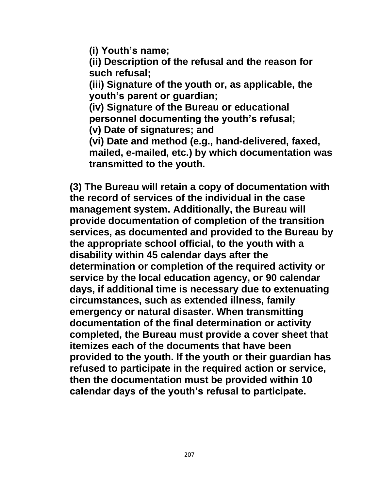**(i) Youth's name;**

**(ii) Description of the refusal and the reason for such refusal;**

**(iii) Signature of the youth or, as applicable, the youth's parent or guardian;**

**(iv) Signature of the Bureau or educational personnel documenting the youth's refusal;**

**(v) Date of signatures; and**

**(vi) Date and method (e.g., hand-delivered, faxed, mailed, e-mailed, etc.) by which documentation was transmitted to the youth.**

**(3) The Bureau will retain a copy of documentation with the record of services of the individual in the case management system. Additionally, the Bureau will provide documentation of completion of the transition services, as documented and provided to the Bureau by the appropriate school official, to the youth with a disability within 45 calendar days after the determination or completion of the required activity or service by the local education agency, or 90 calendar days, if additional time is necessary due to extenuating circumstances, such as extended illness, family emergency or natural disaster. When transmitting documentation of the final determination or activity completed, the Bureau must provide a cover sheet that itemizes each of the documents that have been provided to the youth. If the youth or their guardian has refused to participate in the required action or service, then the documentation must be provided within 10 calendar days of the youth's refusal to participate.**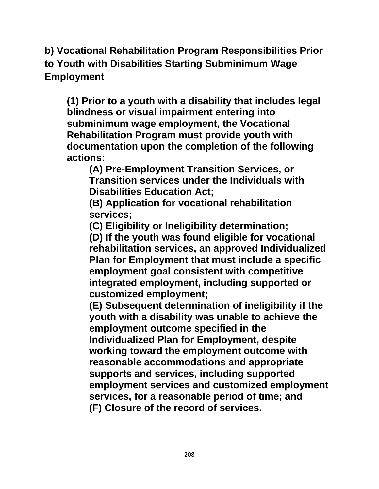**b) Vocational Rehabilitation Program Responsibilities Prior to Youth with Disabilities Starting Subminimum Wage Employment**

**(1) Prior to a youth with a disability that includes legal blindness or visual impairment entering into subminimum wage employment, the Vocational Rehabilitation Program must provide youth with documentation upon the completion of the following actions:**

**(A) Pre-Employment Transition Services, or Transition services under the Individuals with Disabilities Education Act;**

**(B) Application for vocational rehabilitation services;**

**(C) Eligibility or Ineligibility determination;**

**(D) If the youth was found eligible for vocational rehabilitation services, an approved Individualized Plan for Employment that must include a specific employment goal consistent with competitive integrated employment, including supported or customized employment;**

**(E) Subsequent determination of ineligibility if the youth with a disability was unable to achieve the employment outcome specified in the Individualized Plan for Employment, despite working toward the employment outcome with reasonable accommodations and appropriate supports and services, including supported employment services and customized employment services, for a reasonable period of time; and (F) Closure of the record of services.**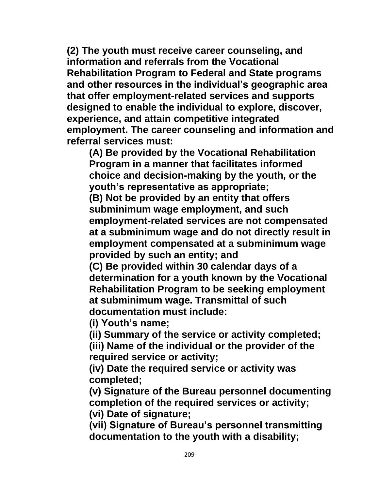**(2) The youth must receive career counseling, and information and referrals from the Vocational Rehabilitation Program to Federal and State programs and other resources in the individual's geographic area that offer employment-related services and supports designed to enable the individual to explore, discover, experience, and attain competitive integrated employment. The career counseling and information and referral services must:**

**(A) Be provided by the Vocational Rehabilitation Program in a manner that facilitates informed choice and decision-making by the youth, or the youth's representative as appropriate;**

**(B) Not be provided by an entity that offers subminimum wage employment, and such employment-related services are not compensated at a subminimum wage and do not directly result in employment compensated at a subminimum wage provided by such an entity; and**

**(C) Be provided within 30 calendar days of a determination for a youth known by the Vocational Rehabilitation Program to be seeking employment at subminimum wage. Transmittal of such documentation must include:**

**(i) Youth's name;**

**(ii) Summary of the service or activity completed;**

**(iii) Name of the individual or the provider of the required service or activity;**

**(iv) Date the required service or activity was completed;**

**(v) Signature of the Bureau personnel documenting completion of the required services or activity; (vi) Date of signature;**

**(vii) Signature of Bureau's personnel transmitting documentation to the youth with a disability;**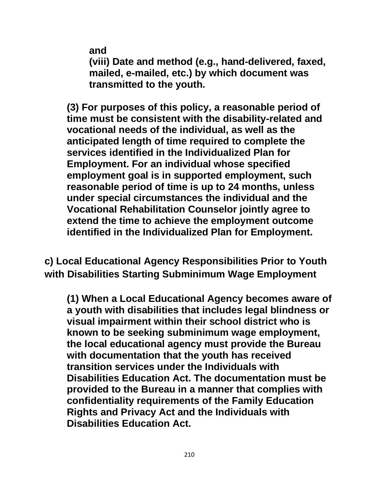**and**

**(viii) Date and method (e.g., hand-delivered, faxed, mailed, e-mailed, etc.) by which document was transmitted to the youth.**

**(3) For purposes of this policy, a reasonable period of time must be consistent with the disability-related and vocational needs of the individual, as well as the anticipated length of time required to complete the services identified in the Individualized Plan for Employment. For an individual whose specified employment goal is in supported employment, such reasonable period of time is up to 24 months, unless under special circumstances the individual and the Vocational Rehabilitation Counselor jointly agree to extend the time to achieve the employment outcome identified in the Individualized Plan for Employment.**

**c) Local Educational Agency Responsibilities Prior to Youth with Disabilities Starting Subminimum Wage Employment**

**(1) When a Local Educational Agency becomes aware of a youth with disabilities that includes legal blindness or visual impairment within their school district who is known to be seeking subminimum wage employment, the local educational agency must provide the Bureau with documentation that the youth has received transition services under the Individuals with Disabilities Education Act. The documentation must be provided to the Bureau in a manner that complies with confidentiality requirements of the Family Education Rights and Privacy Act and the Individuals with Disabilities Education Act.**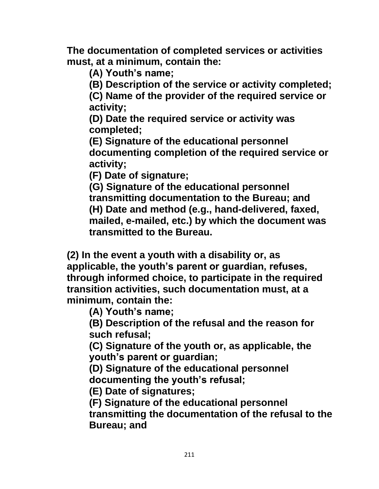**The documentation of completed services or activities must, at a minimum, contain the:**

**(A) Youth's name;**

**(B) Description of the service or activity completed;**

**(C) Name of the provider of the required service or activity;**

**(D) Date the required service or activity was completed;**

**(E) Signature of the educational personnel documenting completion of the required service or activity;**

**(F) Date of signature;**

**(G) Signature of the educational personnel transmitting documentation to the Bureau; and (H) Date and method (e.g., hand-delivered, faxed, mailed, e-mailed, etc.) by which the document was transmitted to the Bureau.**

**(2) In the event a youth with a disability or, as applicable, the youth's parent or guardian, refuses, through informed choice, to participate in the required transition activities, such documentation must, at a minimum, contain the:**

**(A) Youth's name;**

**(B) Description of the refusal and the reason for such refusal;**

**(C) Signature of the youth or, as applicable, the youth's parent or guardian;**

**(D) Signature of the educational personnel documenting the youth's refusal;**

**(E) Date of signatures;**

**(F) Signature of the educational personnel transmitting the documentation of the refusal to the Bureau; and**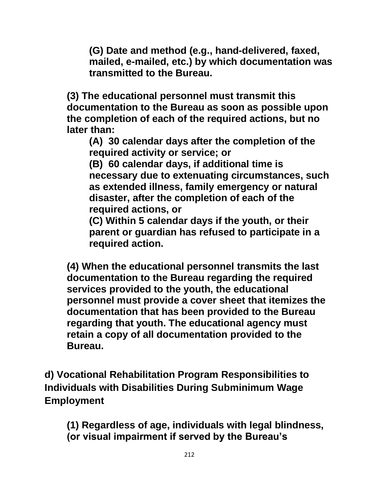**(G) Date and method (e.g., hand-delivered, faxed, mailed, e-mailed, etc.) by which documentation was transmitted to the Bureau.**

**(3) The educational personnel must transmit this documentation to the Bureau as soon as possible upon the completion of each of the required actions, but no later than:**

**(A) 30 calendar days after the completion of the required activity or service; or**

**(B) 60 calendar days, if additional time is necessary due to extenuating circumstances, such as extended illness, family emergency or natural disaster, after the completion of each of the required actions, or**

**(C) Within 5 calendar days if the youth, or their parent or guardian has refused to participate in a required action.**

**(4) When the educational personnel transmits the last documentation to the Bureau regarding the required services provided to the youth, the educational personnel must provide a cover sheet that itemizes the documentation that has been provided to the Bureau regarding that youth. The educational agency must retain a copy of all documentation provided to the Bureau.**

**d) Vocational Rehabilitation Program Responsibilities to Individuals with Disabilities During Subminimum Wage Employment**

**(1) Regardless of age, individuals with legal blindness, (or visual impairment if served by the Bureau's**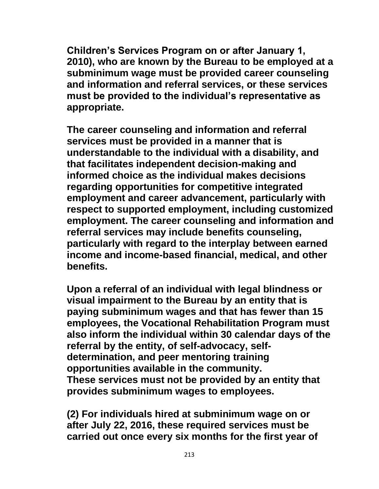**Children's Services Program on or after January 1, 2010), who are known by the Bureau to be employed at a subminimum wage must be provided career counseling and information and referral services, or these services must be provided to the individual's representative as appropriate.** 

**The career counseling and information and referral services must be provided in a manner that is understandable to the individual with a disability, and that facilitates independent decision-making and informed choice as the individual makes decisions regarding opportunities for competitive integrated employment and career advancement, particularly with respect to supported employment, including customized employment. The career counseling and information and referral services may include benefits counseling, particularly with regard to the interplay between earned income and income-based financial, medical, and other benefits.**

**Upon a referral of an individual with legal blindness or visual impairment to the Bureau by an entity that is paying subminimum wages and that has fewer than 15 employees, the Vocational Rehabilitation Program must also inform the individual within 30 calendar days of the referral by the entity, of self-advocacy, selfdetermination, and peer mentoring training opportunities available in the community. These services must not be provided by an entity that provides subminimum wages to employees.** 

**(2) For individuals hired at subminimum wage on or after July 22, 2016, these required services must be carried out once every six months for the first year of**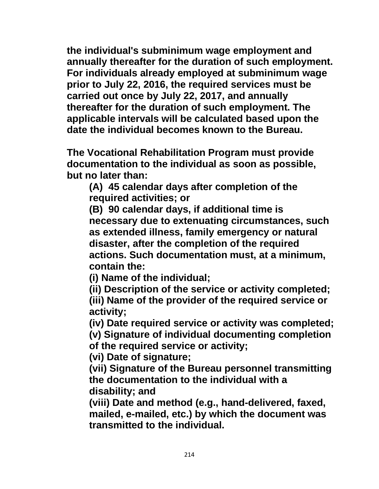**the individual's subminimum wage employment and annually thereafter for the duration of such employment. For individuals already employed at subminimum wage prior to July 22, 2016, the required services must be carried out once by July 22, 2017, and annually thereafter for the duration of such employment. The applicable intervals will be calculated based upon the date the individual becomes known to the Bureau.**

**The Vocational Rehabilitation Program must provide documentation to the individual as soon as possible, but no later than:**

**(A) 45 calendar days after completion of the required activities; or**

**(B) 90 calendar days, if additional time is necessary due to extenuating circumstances, such as extended illness, family emergency or natural disaster, after the completion of the required actions. Such documentation must, at a minimum, contain the:**

**(i) Name of the individual;**

**(ii) Description of the service or activity completed;**

**(iii) Name of the provider of the required service or activity;**

**(iv) Date required service or activity was completed;**

**(v) Signature of individual documenting completion of the required service or activity;**

**(vi) Date of signature;**

**(vii) Signature of the Bureau personnel transmitting the documentation to the individual with a disability; and**

**(viii) Date and method (e.g., hand-delivered, faxed, mailed, e-mailed, etc.) by which the document was transmitted to the individual.**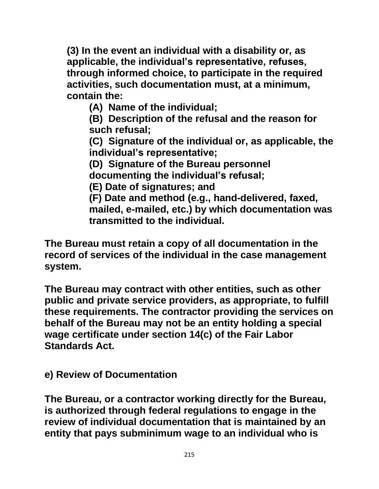**(3) In the event an individual with a disability or, as applicable, the individual's representative, refuses, through informed choice, to participate in the required activities, such documentation must, at a minimum, contain the:**

**(A) Name of the individual;**

**(B) Description of the refusal and the reason for such refusal;**

**(C) Signature of the individual or, as applicable, the individual's representative;**

**(D) Signature of the Bureau personnel documenting the individual's refusal;**

**(E) Date of signatures; and**

**(F) Date and method (e.g., hand-delivered, faxed, mailed, e-mailed, etc.) by which documentation was transmitted to the individual.**

**The Bureau must retain a copy of all documentation in the record of services of the individual in the case management system.**

**The Bureau may contract with other entities, such as other public and private service providers, as appropriate, to fulfill these requirements. The contractor providing the services on behalf of the Bureau may not be an entity holding a special wage certificate under section 14(c) of the Fair Labor Standards Act.**

**e) Review of Documentation**

**The Bureau, or a contractor working directly for the Bureau, is authorized through federal regulations to engage in the review of individual documentation that is maintained by an entity that pays subminimum wage to an individual who is**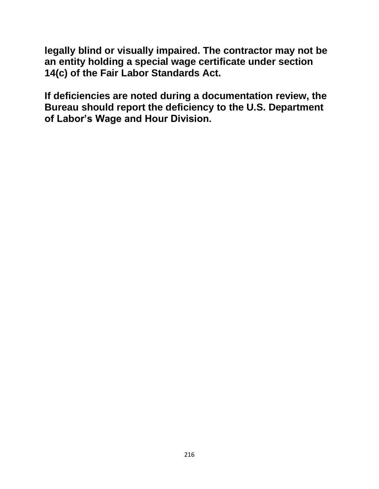**legally blind or visually impaired. The contractor may not be an entity holding a special wage certificate under section 14(c) of the Fair Labor Standards Act.**

**If deficiencies are noted during a documentation review, the Bureau should report the deficiency to the U.S. Department of Labor's Wage and Hour Division.**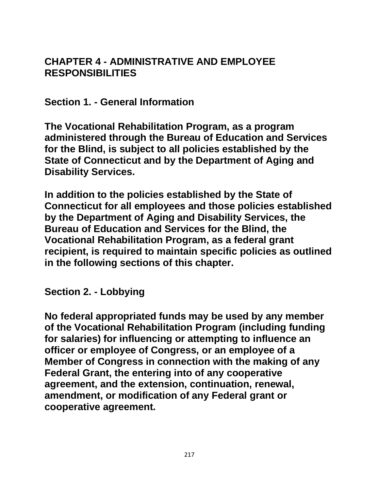## **CHAPTER 4 - ADMINISTRATIVE AND EMPLOYEE RESPONSIBILITIES**

**Section 1. - General Information**

**The Vocational Rehabilitation Program, as a program administered through the Bureau of Education and Services for the Blind, is subject to all policies established by the State of Connecticut and by the Department of Aging and Disability Services.** 

**In addition to the policies established by the State of Connecticut for all employees and those policies established by the Department of Aging and Disability Services, the Bureau of Education and Services for the Blind, the Vocational Rehabilitation Program, as a federal grant recipient, is required to maintain specific policies as outlined in the following sections of this chapter.**

**Section 2. - Lobbying**

**No federal appropriated funds may be used by any member of the Vocational Rehabilitation Program (including funding for salaries) for influencing or attempting to influence an officer or employee of Congress, or an employee of a Member of Congress in connection with the making of any Federal Grant, the entering into of any cooperative agreement, and the extension, continuation, renewal, amendment, or modification of any Federal grant or cooperative agreement.**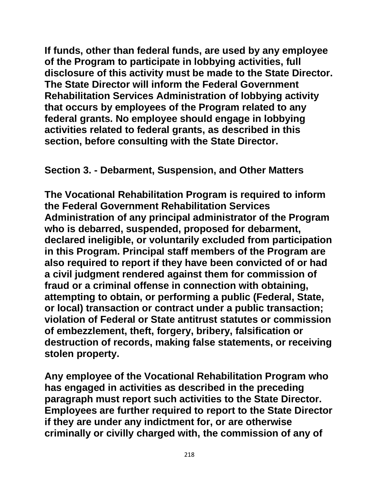**If funds, other than federal funds, are used by any employee of the Program to participate in lobbying activities, full disclosure of this activity must be made to the State Director. The State Director will inform the Federal Government Rehabilitation Services Administration of lobbying activity that occurs by employees of the Program related to any federal grants. No employee should engage in lobbying activities related to federal grants, as described in this section, before consulting with the State Director.**

**Section 3. - Debarment, Suspension, and Other Matters**

**The Vocational Rehabilitation Program is required to inform the Federal Government Rehabilitation Services Administration of any principal administrator of the Program who is debarred, suspended, proposed for debarment, declared ineligible, or voluntarily excluded from participation in this Program. Principal staff members of the Program are also required to report if they have been convicted of or had a civil judgment rendered against them for commission of fraud or a criminal offense in connection with obtaining, attempting to obtain, or performing a public (Federal, State, or local) transaction or contract under a public transaction; violation of Federal or State antitrust statutes or commission of embezzlement, theft, forgery, bribery, falsification or destruction of records, making false statements, or receiving stolen property.**

**Any employee of the Vocational Rehabilitation Program who has engaged in activities as described in the preceding paragraph must report such activities to the State Director. Employees are further required to report to the State Director if they are under any indictment for, or are otherwise criminally or civilly charged with, the commission of any of**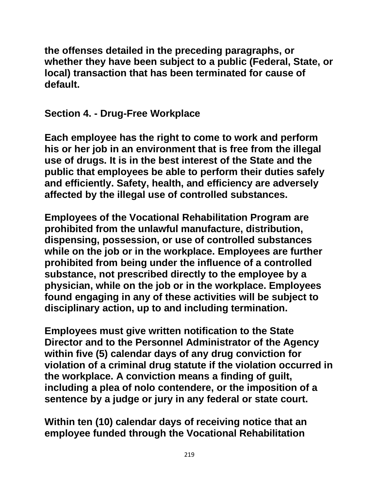**the offenses detailed in the preceding paragraphs, or whether they have been subject to a public (Federal, State, or local) transaction that has been terminated for cause of default.**

**Section 4. - Drug-Free Workplace**

**Each employee has the right to come to work and perform his or her job in an environment that is free from the illegal use of drugs. It is in the best interest of the State and the public that employees be able to perform their duties safely and efficiently. Safety, health, and efficiency are adversely affected by the illegal use of controlled substances.**

**Employees of the Vocational Rehabilitation Program are prohibited from the unlawful manufacture, distribution, dispensing, possession, or use of controlled substances while on the job or in the workplace. Employees are further prohibited from being under the influence of a controlled substance, not prescribed directly to the employee by a physician, while on the job or in the workplace. Employees found engaging in any of these activities will be subject to disciplinary action, up to and including termination.**

**Employees must give written notification to the State Director and to the Personnel Administrator of the Agency within five (5) calendar days of any drug conviction for violation of a criminal drug statute if the violation occurred in the workplace. A conviction means a finding of guilt, including a plea of nolo contendere, or the imposition of a sentence by a judge or jury in any federal or state court.**

**Within ten (10) calendar days of receiving notice that an employee funded through the Vocational Rehabilitation**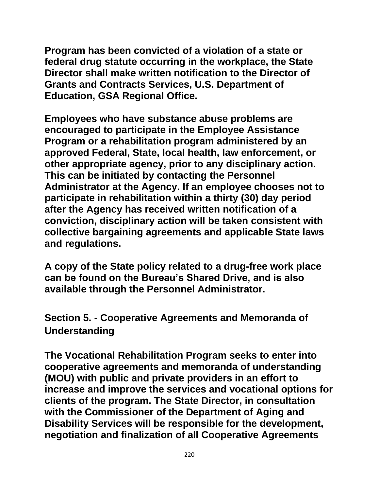**Program has been convicted of a violation of a state or federal drug statute occurring in the workplace, the State Director shall make written notification to the Director of Grants and Contracts Services, U.S. Department of Education, GSA Regional Office.**

**Employees who have substance abuse problems are encouraged to participate in the Employee Assistance Program or a rehabilitation program administered by an approved Federal, State, local health, law enforcement, or other appropriate agency, prior to any disciplinary action. This can be initiated by contacting the Personnel Administrator at the Agency. If an employee chooses not to participate in rehabilitation within a thirty (30) day period after the Agency has received written notification of a conviction, disciplinary action will be taken consistent with collective bargaining agreements and applicable State laws and regulations.**

**A copy of the State policy related to a drug-free work place can be found on the Bureau's Shared Drive, and is also available through the Personnel Administrator.**

**Section 5. - Cooperative Agreements and Memoranda of Understanding**

**The Vocational Rehabilitation Program seeks to enter into cooperative agreements and memoranda of understanding (MOU) with public and private providers in an effort to increase and improve the services and vocational options for clients of the program. The State Director, in consultation with the Commissioner of the Department of Aging and Disability Services will be responsible for the development, negotiation and finalization of all Cooperative Agreements**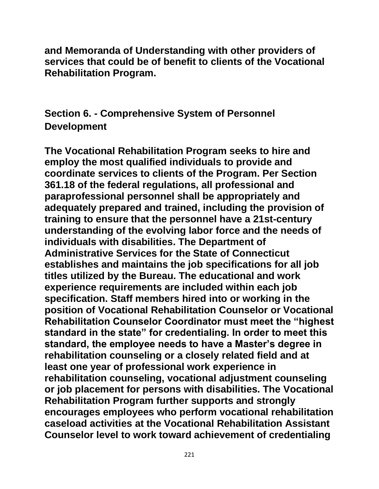**and Memoranda of Understanding with other providers of services that could be of benefit to clients of the Vocational Rehabilitation Program.**

**Section 6. - Comprehensive System of Personnel Development**

**The Vocational Rehabilitation Program seeks to hire and employ the most qualified individuals to provide and coordinate services to clients of the Program. Per Section 361.18 of the federal regulations, all professional and paraprofessional personnel shall be appropriately and adequately prepared and trained, including the provision of training to ensure that the personnel have a 21st-century understanding of the evolving labor force and the needs of individuals with disabilities. The Department of Administrative Services for the State of Connecticut establishes and maintains the job specifications for all job titles utilized by the Bureau. The educational and work experience requirements are included within each job specification. Staff members hired into or working in the position of Vocational Rehabilitation Counselor or Vocational Rehabilitation Counselor Coordinator must meet the "highest standard in the state" for credentialing. In order to meet this standard, the employee needs to have a Master's degree in rehabilitation counseling or a closely related field and at least one year of professional work experience in rehabilitation counseling, vocational adjustment counseling or job placement for persons with disabilities. The Vocational Rehabilitation Program further supports and strongly encourages employees who perform vocational rehabilitation caseload activities at the Vocational Rehabilitation Assistant Counselor level to work toward achievement of credentialing**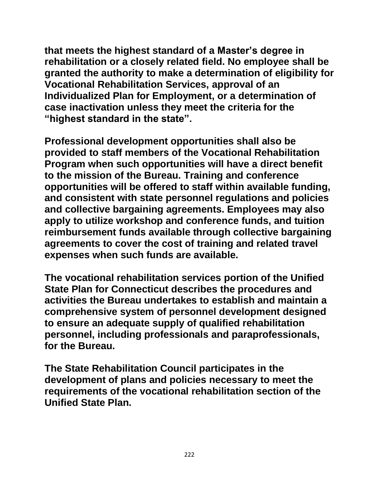**that meets the highest standard of a Master's degree in rehabilitation or a closely related field. No employee shall be granted the authority to make a determination of eligibility for Vocational Rehabilitation Services, approval of an Individualized Plan for Employment, or a determination of case inactivation unless they meet the criteria for the "highest standard in the state".** 

**Professional development opportunities shall also be provided to staff members of the Vocational Rehabilitation Program when such opportunities will have a direct benefit to the mission of the Bureau. Training and conference opportunities will be offered to staff within available funding, and consistent with state personnel regulations and policies and collective bargaining agreements. Employees may also apply to utilize workshop and conference funds, and tuition reimbursement funds available through collective bargaining agreements to cover the cost of training and related travel expenses when such funds are available.**

**The vocational rehabilitation services portion of the Unified State Plan for Connecticut describes the procedures and activities the Bureau undertakes to establish and maintain a comprehensive system of personnel development designed to ensure an adequate supply of qualified rehabilitation personnel, including professionals and paraprofessionals, for the Bureau.**

**The State Rehabilitation Council participates in the development of plans and policies necessary to meet the requirements of the vocational rehabilitation section of the Unified State Plan.**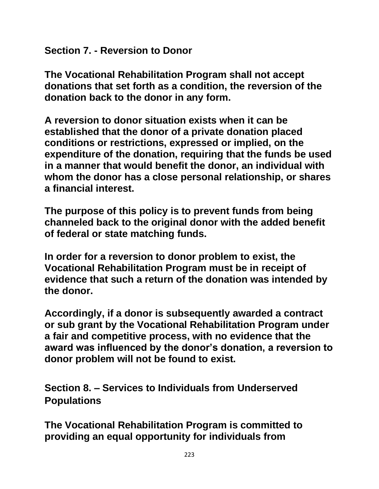**Section 7. - Reversion to Donor**

**The Vocational Rehabilitation Program shall not accept donations that set forth as a condition, the reversion of the donation back to the donor in any form.**

**A reversion to donor situation exists when it can be established that the donor of a private donation placed conditions or restrictions, expressed or implied, on the expenditure of the donation, requiring that the funds be used in a manner that would benefit the donor, an individual with whom the donor has a close personal relationship, or shares a financial interest.**

**The purpose of this policy is to prevent funds from being channeled back to the original donor with the added benefit of federal or state matching funds.**

**In order for a reversion to donor problem to exist, the Vocational Rehabilitation Program must be in receipt of evidence that such a return of the donation was intended by the donor.**

**Accordingly, if a donor is subsequently awarded a contract or sub grant by the Vocational Rehabilitation Program under a fair and competitive process, with no evidence that the award was influenced by the donor's donation, a reversion to donor problem will not be found to exist.**

**Section 8. – Services to Individuals from Underserved Populations**

**The Vocational Rehabilitation Program is committed to providing an equal opportunity for individuals from**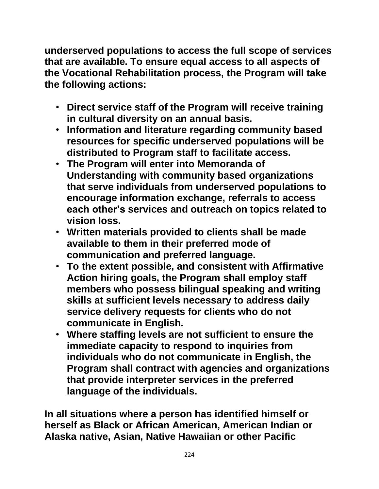**underserved populations to access the full scope of services that are available. To ensure equal access to all aspects of the Vocational Rehabilitation process, the Program will take the following actions:**

- **Direct service staff of the Program will receive training in cultural diversity on an annual basis.**
- **Information and literature regarding community based resources for specific underserved populations will be distributed to Program staff to facilitate access.**
- **The Program will enter into Memoranda of Understanding with community based organizations that serve individuals from underserved populations to encourage information exchange, referrals to access each other's services and outreach on topics related to vision loss.**
- **Written materials provided to clients shall be made available to them in their preferred mode of communication and preferred language.**
- **To the extent possible, and consistent with Affirmative Action hiring goals, the Program shall employ staff members who possess bilingual speaking and writing skills at sufficient levels necessary to address daily service delivery requests for clients who do not communicate in English.**
- **Where staffing levels are not sufficient to ensure the immediate capacity to respond to inquiries from individuals who do not communicate in English, the Program shall contract with agencies and organizations that provide interpreter services in the preferred language of the individuals.**

**In all situations where a person has identified himself or herself as Black or African American, American Indian or Alaska native, Asian, Native Hawaiian or other Pacific**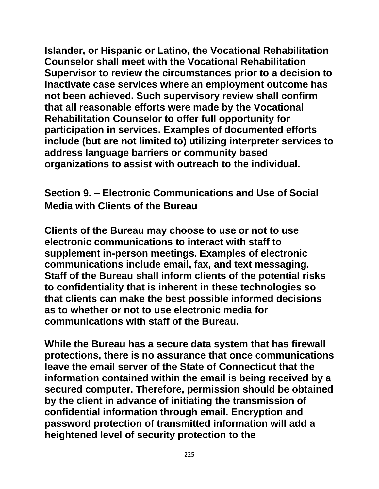**Islander, or Hispanic or Latino, the Vocational Rehabilitation Counselor shall meet with the Vocational Rehabilitation Supervisor to review the circumstances prior to a decision to inactivate case services where an employment outcome has not been achieved. Such supervisory review shall confirm that all reasonable efforts were made by the Vocational Rehabilitation Counselor to offer full opportunity for participation in services. Examples of documented efforts include (but are not limited to) utilizing interpreter services to address language barriers or community based organizations to assist with outreach to the individual.**

**Section 9. – Electronic Communications and Use of Social Media with Clients of the Bureau**

**Clients of the Bureau may choose to use or not to use electronic communications to interact with staff to supplement in-person meetings. Examples of electronic communications include email, fax, and text messaging. Staff of the Bureau shall inform clients of the potential risks to confidentiality that is inherent in these technologies so that clients can make the best possible informed decisions as to whether or not to use electronic media for communications with staff of the Bureau.** 

**While the Bureau has a secure data system that has firewall protections, there is no assurance that once communications leave the email server of the State of Connecticut that the information contained within the email is being received by a secured computer. Therefore, permission should be obtained by the client in advance of initiating the transmission of confidential information through email. Encryption and password protection of transmitted information will add a heightened level of security protection to the**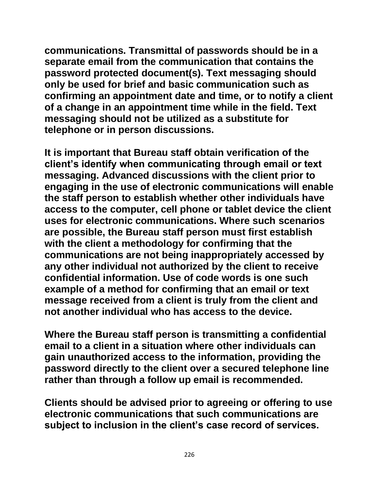**communications. Transmittal of passwords should be in a separate email from the communication that contains the password protected document(s). Text messaging should only be used for brief and basic communication such as confirming an appointment date and time, or to notify a client of a change in an appointment time while in the field. Text messaging should not be utilized as a substitute for telephone or in person discussions.** 

**It is important that Bureau staff obtain verification of the client's identify when communicating through email or text messaging. Advanced discussions with the client prior to engaging in the use of electronic communications will enable the staff person to establish whether other individuals have access to the computer, cell phone or tablet device the client uses for electronic communications. Where such scenarios are possible, the Bureau staff person must first establish with the client a methodology for confirming that the communications are not being inappropriately accessed by any other individual not authorized by the client to receive confidential information. Use of code words is one such example of a method for confirming that an email or text message received from a client is truly from the client and not another individual who has access to the device.**

**Where the Bureau staff person is transmitting a confidential email to a client in a situation where other individuals can gain unauthorized access to the information, providing the password directly to the client over a secured telephone line rather than through a follow up email is recommended.** 

**Clients should be advised prior to agreeing or offering to use electronic communications that such communications are subject to inclusion in the client's case record of services.**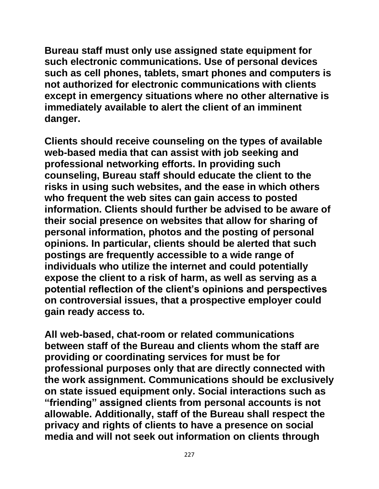**Bureau staff must only use assigned state equipment for such electronic communications. Use of personal devices such as cell phones, tablets, smart phones and computers is not authorized for electronic communications with clients except in emergency situations where no other alternative is immediately available to alert the client of an imminent danger.**

**Clients should receive counseling on the types of available web-based media that can assist with job seeking and professional networking efforts. In providing such counseling, Bureau staff should educate the client to the risks in using such websites, and the ease in which others who frequent the web sites can gain access to posted information. Clients should further be advised to be aware of their social presence on websites that allow for sharing of personal information, photos and the posting of personal opinions. In particular, clients should be alerted that such postings are frequently accessible to a wide range of individuals who utilize the internet and could potentially expose the client to a risk of harm, as well as serving as a potential reflection of the client's opinions and perspectives on controversial issues, that a prospective employer could gain ready access to.**

**All web-based, chat-room or related communications between staff of the Bureau and clients whom the staff are providing or coordinating services for must be for professional purposes only that are directly connected with the work assignment. Communications should be exclusively on state issued equipment only. Social interactions such as "friending" assigned clients from personal accounts is not allowable. Additionally, staff of the Bureau shall respect the privacy and rights of clients to have a presence on social media and will not seek out information on clients through**